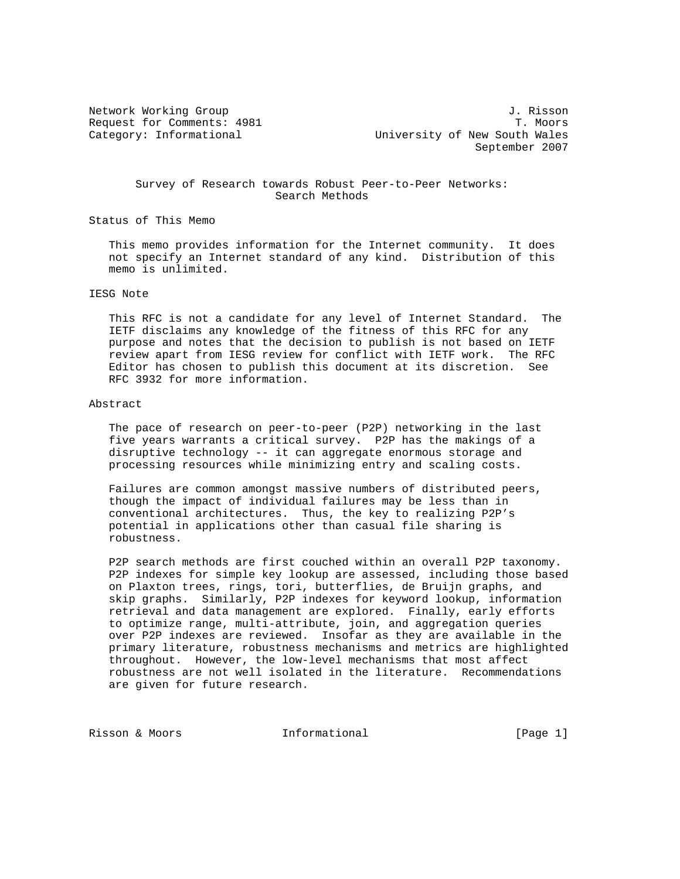Network Working Group 3. November 2012 1. Risson Request for Comments: 4981 T. Moors Category: Informational **Exercise South University of New South Wales** September 2007

 Survey of Research towards Robust Peer-to-Peer Networks: Search Methods

Status of This Memo

 This memo provides information for the Internet community. It does not specify an Internet standard of any kind. Distribution of this memo is unlimited.

### IESG Note

 This RFC is not a candidate for any level of Internet Standard. The IETF disclaims any knowledge of the fitness of this RFC for any purpose and notes that the decision to publish is not based on IETF review apart from IESG review for conflict with IETF work. The RFC Editor has chosen to publish this document at its discretion. See RFC 3932 for more information.

#### Abstract

 The pace of research on peer-to-peer (P2P) networking in the last five years warrants a critical survey. P2P has the makings of a disruptive technology -- it can aggregate enormous storage and processing resources while minimizing entry and scaling costs.

 Failures are common amongst massive numbers of distributed peers, though the impact of individual failures may be less than in conventional architectures. Thus, the key to realizing P2P's potential in applications other than casual file sharing is robustness.

 P2P search methods are first couched within an overall P2P taxonomy. P2P indexes for simple key lookup are assessed, including those based on Plaxton trees, rings, tori, butterflies, de Bruijn graphs, and skip graphs. Similarly, P2P indexes for keyword lookup, information retrieval and data management are explored. Finally, early efforts to optimize range, multi-attribute, join, and aggregation queries over P2P indexes are reviewed. Insofar as they are available in the primary literature, robustness mechanisms and metrics are highlighted throughout. However, the low-level mechanisms that most affect robustness are not well isolated in the literature. Recommendations are given for future research.

Risson & Moors **Informational** [Page 1]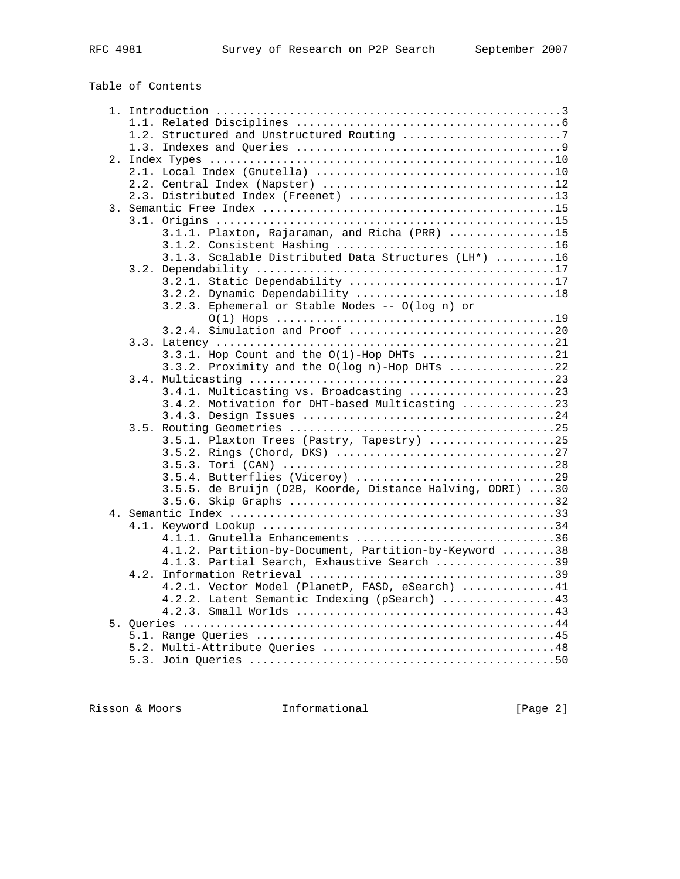# Table of Contents

| 1.2. Structured and Unstructured Routing 7                |  |
|-----------------------------------------------------------|--|
|                                                           |  |
|                                                           |  |
|                                                           |  |
|                                                           |  |
| 2.3. Distributed Index (Freenet) 13                       |  |
|                                                           |  |
|                                                           |  |
| 3.1.1. Plaxton, Rajaraman, and Richa (PRR) 15             |  |
|                                                           |  |
| 3.1.3. Scalable Distributed Data Structures (LH*) 16      |  |
|                                                           |  |
| 3.2.1. Static Dependability 17                            |  |
| 3.2.2. Dynamic Dependability 18                           |  |
| 3.2.3. Ephemeral or Stable Nodes -- O(log n) or           |  |
|                                                           |  |
|                                                           |  |
|                                                           |  |
|                                                           |  |
| $3.3.2$ . Proximity and the O(log n)-Hop DHTs 22          |  |
|                                                           |  |
| 3.4.1. Multicasting vs. Broadcasting 23                   |  |
| 3.4.2. Motivation for DHT-based Multicasting 23           |  |
|                                                           |  |
|                                                           |  |
| 3.5.1. Plaxton Trees (Pastry, Tapestry) 25                |  |
|                                                           |  |
|                                                           |  |
| 3.5.4. Butterflies (Viceroy) 29                           |  |
| 3.5.5. de Bruijn (D2B, Koorde, Distance Halving, ODRI) 30 |  |
|                                                           |  |
|                                                           |  |
|                                                           |  |
| 4.1.1. Gnutella Enhancements 36                           |  |
| 4.1.2. Partition-by-Document, Partition-by-Keyword 38     |  |
| 4.1.3. Partial Search, Exhaustive Search 39               |  |
|                                                           |  |
| 4.2.1. Vector Model (PlanetP, FASD, eSearch) 41           |  |
| 4.2.2. Latent Semantic Indexing (pSearch) 43              |  |
|                                                           |  |
|                                                           |  |
|                                                           |  |
|                                                           |  |
|                                                           |  |

Risson & Moors **Informational** [Page 2]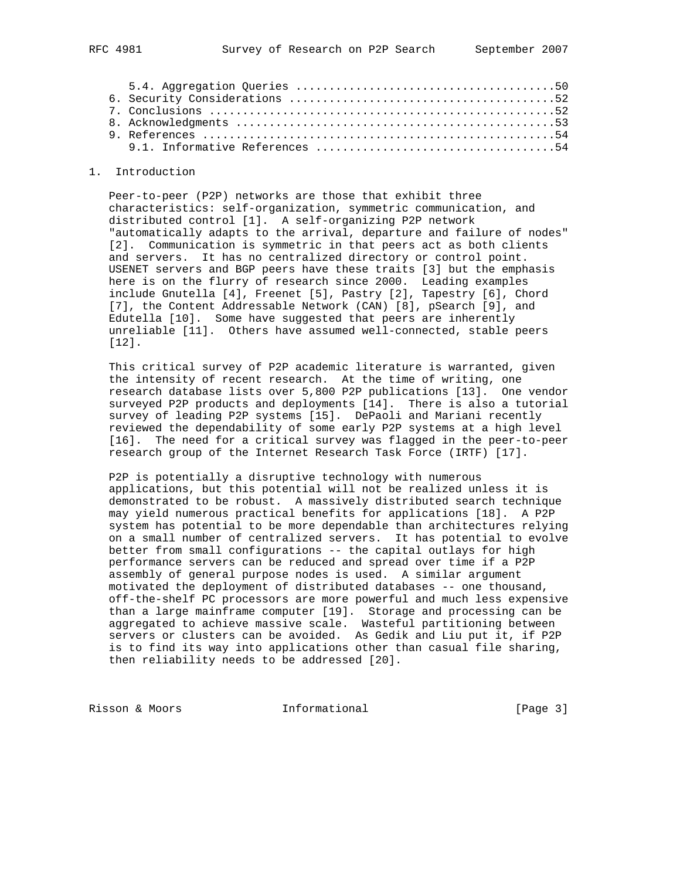#### 1. Introduction

 Peer-to-peer (P2P) networks are those that exhibit three characteristics: self-organization, symmetric communication, and distributed control [1]. A self-organizing P2P network "automatically adapts to the arrival, departure and failure of nodes" [2]. Communication is symmetric in that peers act as both clients and servers. It has no centralized directory or control point. USENET servers and BGP peers have these traits [3] but the emphasis here is on the flurry of research since 2000. Leading examples include Gnutella [4], Freenet [5], Pastry [2], Tapestry [6], Chord [7], the Content Addressable Network (CAN) [8], pSearch [9], and Edutella [10]. Some have suggested that peers are inherently unreliable [11]. Others have assumed well-connected, stable peers [12].

 This critical survey of P2P academic literature is warranted, given the intensity of recent research. At the time of writing, one research database lists over 5,800 P2P publications [13]. One vendor surveyed P2P products and deployments [14]. There is also a tutorial survey of leading P2P systems [15]. DePaoli and Mariani recently reviewed the dependability of some early P2P systems at a high level [16]. The need for a critical survey was flagged in the peer-to-peer research group of the Internet Research Task Force (IRTF) [17].

 P2P is potentially a disruptive technology with numerous applications, but this potential will not be realized unless it is demonstrated to be robust. A massively distributed search technique may yield numerous practical benefits for applications [18]. A P2P system has potential to be more dependable than architectures relying on a small number of centralized servers. It has potential to evolve better from small configurations -- the capital outlays for high performance servers can be reduced and spread over time if a P2P assembly of general purpose nodes is used. A similar argument motivated the deployment of distributed databases -- one thousand, off-the-shelf PC processors are more powerful and much less expensive than a large mainframe computer [19]. Storage and processing can be aggregated to achieve massive scale. Wasteful partitioning between servers or clusters can be avoided. As Gedik and Liu put it, if P2P is to find its way into applications other than casual file sharing, then reliability needs to be addressed [20].

Risson & Moors **Informational** [Page 3]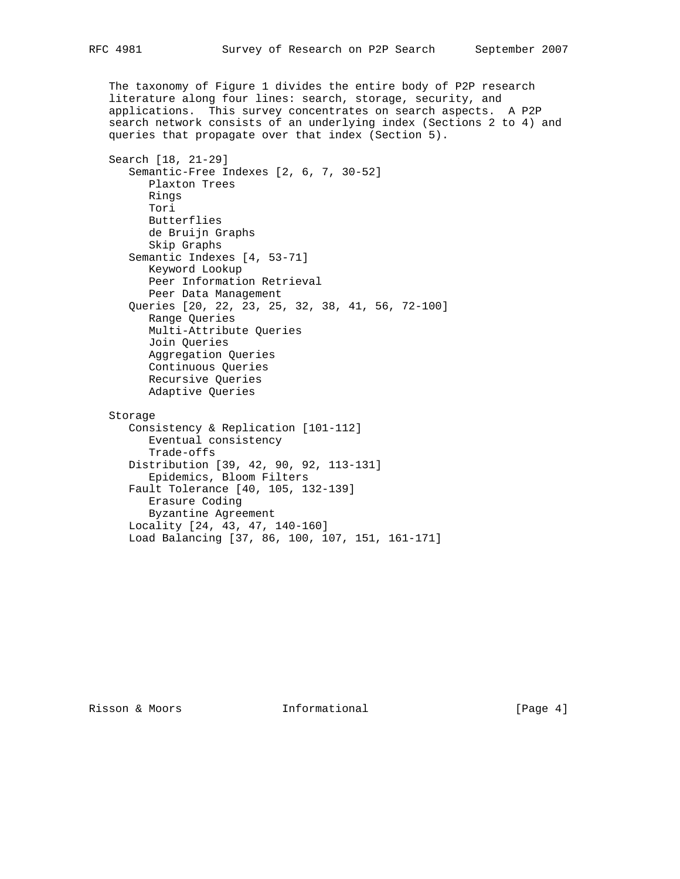The taxonomy of Figure 1 divides the entire body of P2P research literature along four lines: search, storage, security, and applications. This survey concentrates on search aspects. A P2P search network consists of an underlying index (Sections 2 to 4) and queries that propagate over that index (Section 5). Search [18, 21-29] Semantic-Free Indexes [2, 6, 7, 30-52] Plaxton Trees Rings Tori Butterflies de Bruijn Graphs Skip Graphs Semantic Indexes [4, 53-71] Keyword Lookup Peer Information Retrieval Peer Data Management Queries [20, 22, 23, 25, 32, 38, 41, 56, 72-100] Range Queries Multi-Attribute Queries Join Queries Aggregation Queries Continuous Queries Recursive Queries Adaptive Queries Storage Consistency & Replication [101-112] Eventual consistency Trade-offs Distribution [39, 42, 90, 92, 113-131] Epidemics, Bloom Filters Fault Tolerance [40, 105, 132-139] Erasure Coding Byzantine Agreement Locality [24, 43, 47, 140-160] Load Balancing [37, 86, 100, 107, 151, 161-171]

Risson & Moors **Informational** [Page 4]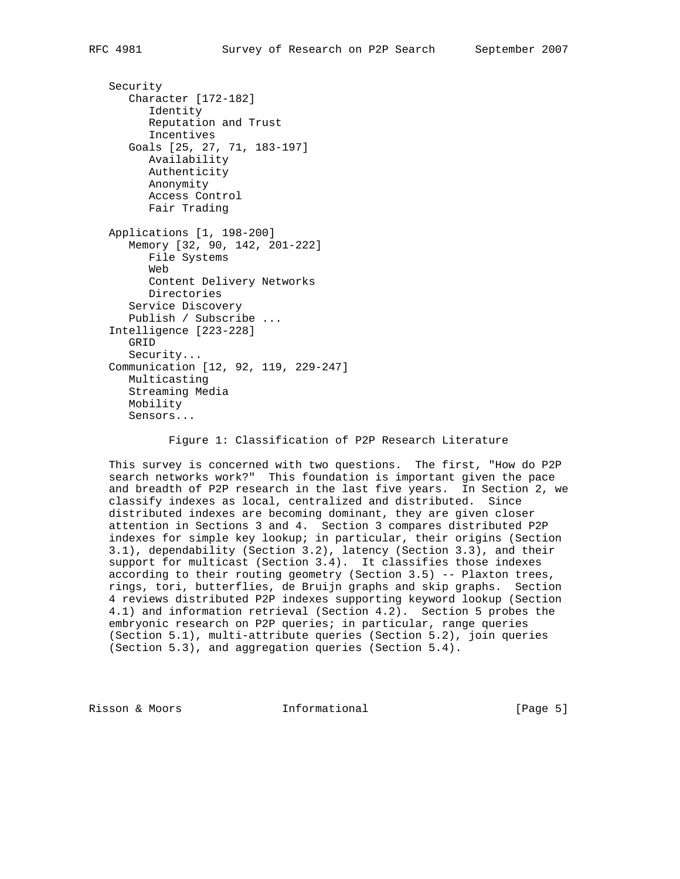Security Character [172-182] Identity Reputation and Trust Incentives Goals [25, 27, 71, 183-197] Availability Authenticity Anonymity Access Control Fair Trading Applications [1, 198-200] Memory [32, 90, 142, 201-222] File Systems Web Content Delivery Networks Directories Service Discovery Publish / Subscribe ... Intelligence [223-228] GRID Security... Communication [12, 92, 119, 229-247] Multicasting Streaming Media Mobility Sensors...

Figure 1: Classification of P2P Research Literature

 This survey is concerned with two questions. The first, "How do P2P search networks work?" This foundation is important given the pace and breadth of P2P research in the last five years. In Section 2, we classify indexes as local, centralized and distributed. Since distributed indexes are becoming dominant, they are given closer attention in Sections 3 and 4. Section 3 compares distributed P2P indexes for simple key lookup; in particular, their origins (Section 3.1), dependability (Section 3.2), latency (Section 3.3), and their support for multicast (Section 3.4). It classifies those indexes according to their routing geometry (Section 3.5) -- Plaxton trees, rings, tori, butterflies, de Bruijn graphs and skip graphs. Section 4 reviews distributed P2P indexes supporting keyword lookup (Section 4.1) and information retrieval (Section 4.2). Section 5 probes the embryonic research on P2P queries; in particular, range queries (Section 5.1), multi-attribute queries (Section 5.2), join queries (Section 5.3), and aggregation queries (Section 5.4).

Risson & Moors **Informational** [Page 5]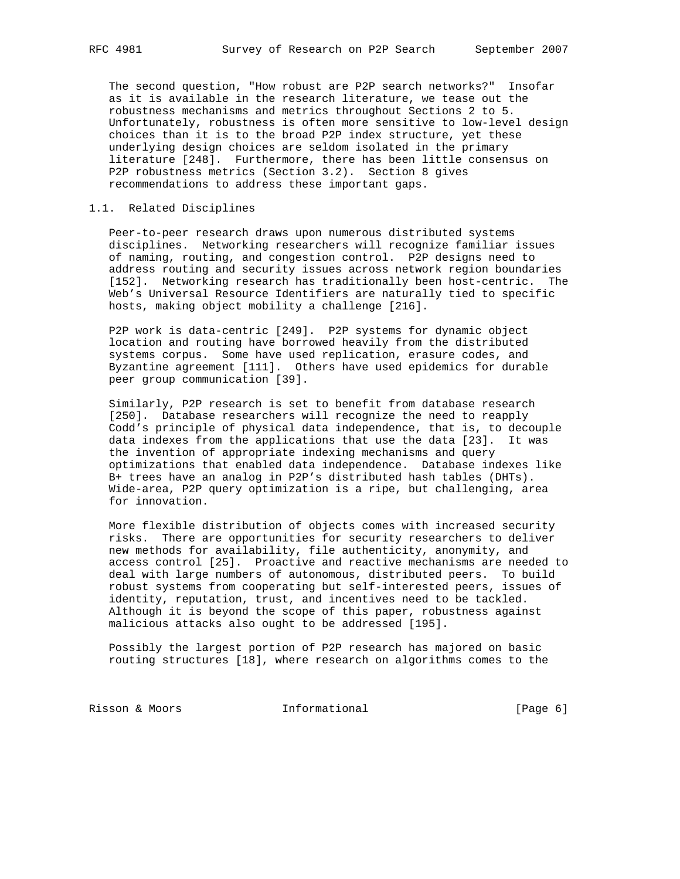The second question, "How robust are P2P search networks?" Insofar as it is available in the research literature, we tease out the robustness mechanisms and metrics throughout Sections 2 to 5. Unfortunately, robustness is often more sensitive to low-level design choices than it is to the broad P2P index structure, yet these underlying design choices are seldom isolated in the primary literature [248]. Furthermore, there has been little consensus on P2P robustness metrics (Section 3.2). Section 8 gives recommendations to address these important gaps.

## 1.1. Related Disciplines

 Peer-to-peer research draws upon numerous distributed systems disciplines. Networking researchers will recognize familiar issues of naming, routing, and congestion control. P2P designs need to address routing and security issues across network region boundaries [152]. Networking research has traditionally been host-centric. The Web's Universal Resource Identifiers are naturally tied to specific hosts, making object mobility a challenge [216].

 P2P work is data-centric [249]. P2P systems for dynamic object location and routing have borrowed heavily from the distributed systems corpus. Some have used replication, erasure codes, and Byzantine agreement [111]. Others have used epidemics for durable peer group communication [39].

 Similarly, P2P research is set to benefit from database research [250]. Database researchers will recognize the need to reapply Codd's principle of physical data independence, that is, to decouple data indexes from the applications that use the data [23]. It was the invention of appropriate indexing mechanisms and query optimizations that enabled data independence. Database indexes like B+ trees have an analog in P2P's distributed hash tables (DHTs). Wide-area, P2P query optimization is a ripe, but challenging, area for innovation.

 More flexible distribution of objects comes with increased security risks. There are opportunities for security researchers to deliver new methods for availability, file authenticity, anonymity, and access control [25]. Proactive and reactive mechanisms are needed to deal with large numbers of autonomous, distributed peers. To build robust systems from cooperating but self-interested peers, issues of identity, reputation, trust, and incentives need to be tackled. Although it is beyond the scope of this paper, robustness against malicious attacks also ought to be addressed [195].

 Possibly the largest portion of P2P research has majored on basic routing structures [18], where research on algorithms comes to the

Risson & Moors **Informational** [Page 6]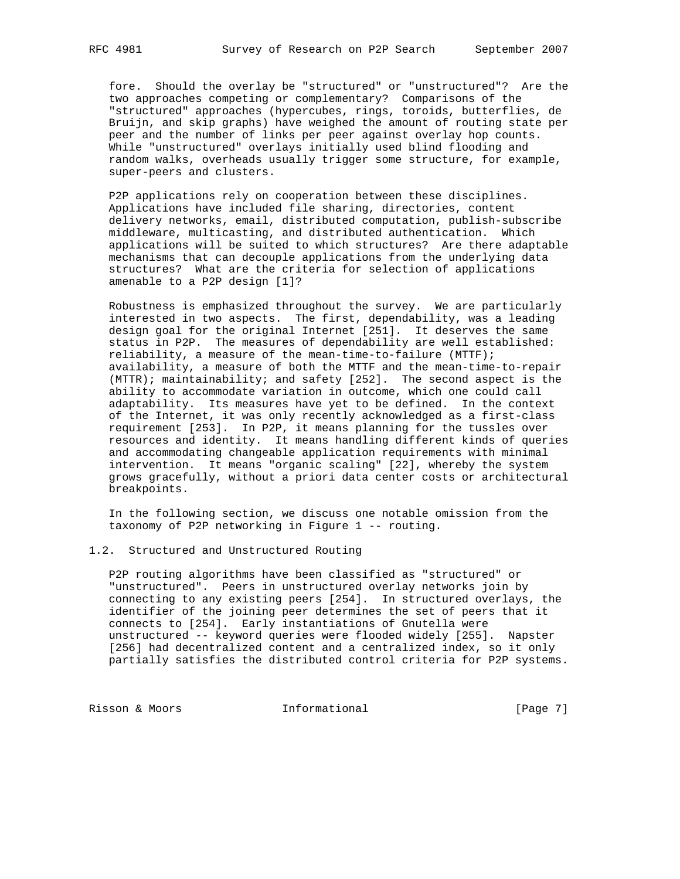fore. Should the overlay be "structured" or "unstructured"? Are the two approaches competing or complementary? Comparisons of the "structured" approaches (hypercubes, rings, toroids, butterflies, de Bruijn, and skip graphs) have weighed the amount of routing state per peer and the number of links per peer against overlay hop counts. While "unstructured" overlays initially used blind flooding and random walks, overheads usually trigger some structure, for example, super-peers and clusters.

 P2P applications rely on cooperation between these disciplines. Applications have included file sharing, directories, content delivery networks, email, distributed computation, publish-subscribe middleware, multicasting, and distributed authentication. Which applications will be suited to which structures? Are there adaptable mechanisms that can decouple applications from the underlying data structures? What are the criteria for selection of applications amenable to a P2P design [1]?

 Robustness is emphasized throughout the survey. We are particularly interested in two aspects. The first, dependability, was a leading design goal for the original Internet [251]. It deserves the same status in P2P. The measures of dependability are well established: reliability, a measure of the mean-time-to-failure (MTTF); availability, a measure of both the MTTF and the mean-time-to-repair (MTTR); maintainability; and safety [252]. The second aspect is the ability to accommodate variation in outcome, which one could call adaptability. Its measures have yet to be defined. In the context of the Internet, it was only recently acknowledged as a first-class requirement [253]. In P2P, it means planning for the tussles over resources and identity. It means handling different kinds of queries and accommodating changeable application requirements with minimal intervention. It means "organic scaling" [22], whereby the system grows gracefully, without a priori data center costs or architectural breakpoints.

 In the following section, we discuss one notable omission from the taxonomy of P2P networking in Figure 1 -- routing.

## 1.2. Structured and Unstructured Routing

 P2P routing algorithms have been classified as "structured" or "unstructured". Peers in unstructured overlay networks join by connecting to any existing peers [254]. In structured overlays, the identifier of the joining peer determines the set of peers that it connects to [254]. Early instantiations of Gnutella were unstructured -- keyword queries were flooded widely [255]. Napster [256] had decentralized content and a centralized index, so it only partially satisfies the distributed control criteria for P2P systems.

Risson & Moors **Informational** [Page 7]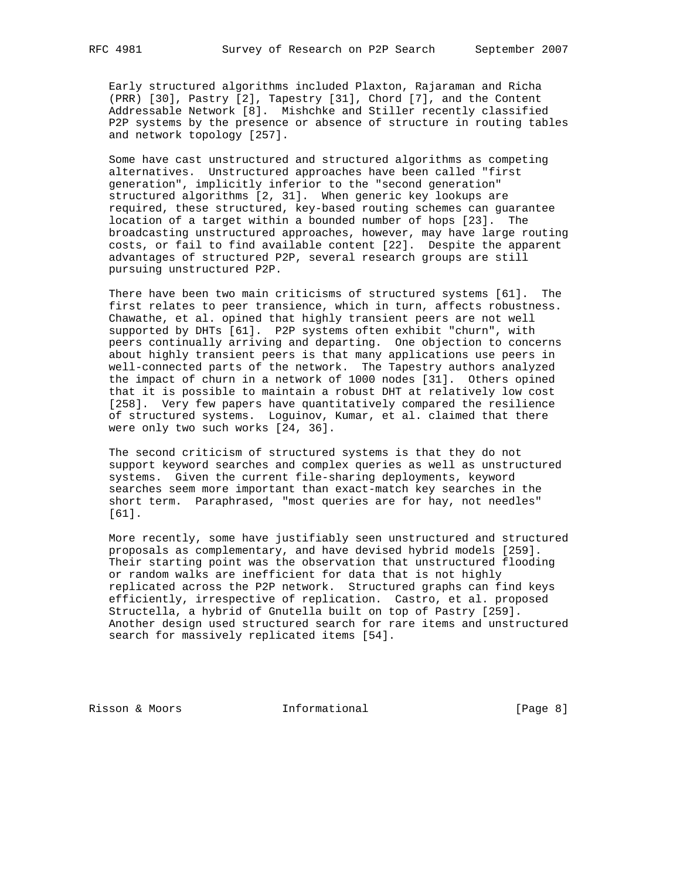Early structured algorithms included Plaxton, Rajaraman and Richa (PRR) [30], Pastry [2], Tapestry [31], Chord [7], and the Content Addressable Network [8]. Mishchke and Stiller recently classified P2P systems by the presence or absence of structure in routing tables and network topology [257].

 Some have cast unstructured and structured algorithms as competing alternatives. Unstructured approaches have been called "first generation", implicitly inferior to the "second generation" structured algorithms [2, 31]. When generic key lookups are required, these structured, key-based routing schemes can guarantee location of a target within a bounded number of hops [23]. The broadcasting unstructured approaches, however, may have large routing costs, or fail to find available content [22]. Despite the apparent advantages of structured P2P, several research groups are still pursuing unstructured P2P.

 There have been two main criticisms of structured systems [61]. The first relates to peer transience, which in turn, affects robustness. Chawathe, et al. opined that highly transient peers are not well supported by DHTs [61]. P2P systems often exhibit "churn", with peers continually arriving and departing. One objection to concerns about highly transient peers is that many applications use peers in well-connected parts of the network. The Tapestry authors analyzed the impact of churn in a network of 1000 nodes [31]. Others opined that it is possible to maintain a robust DHT at relatively low cost [258]. Very few papers have quantitatively compared the resilience of structured systems. Loguinov, Kumar, et al. claimed that there were only two such works [24, 36].

 The second criticism of structured systems is that they do not support keyword searches and complex queries as well as unstructured systems. Given the current file-sharing deployments, keyword searches seem more important than exact-match key searches in the short term. Paraphrased, "most queries are for hay, not needles" [61].

 More recently, some have justifiably seen unstructured and structured proposals as complementary, and have devised hybrid models [259]. Their starting point was the observation that unstructured flooding or random walks are inefficient for data that is not highly replicated across the P2P network. Structured graphs can find keys efficiently, irrespective of replication. Castro, et al. proposed Structella, a hybrid of Gnutella built on top of Pastry [259]. Another design used structured search for rare items and unstructured search for massively replicated items [54].

Risson & Moors **Informational** [Page 8]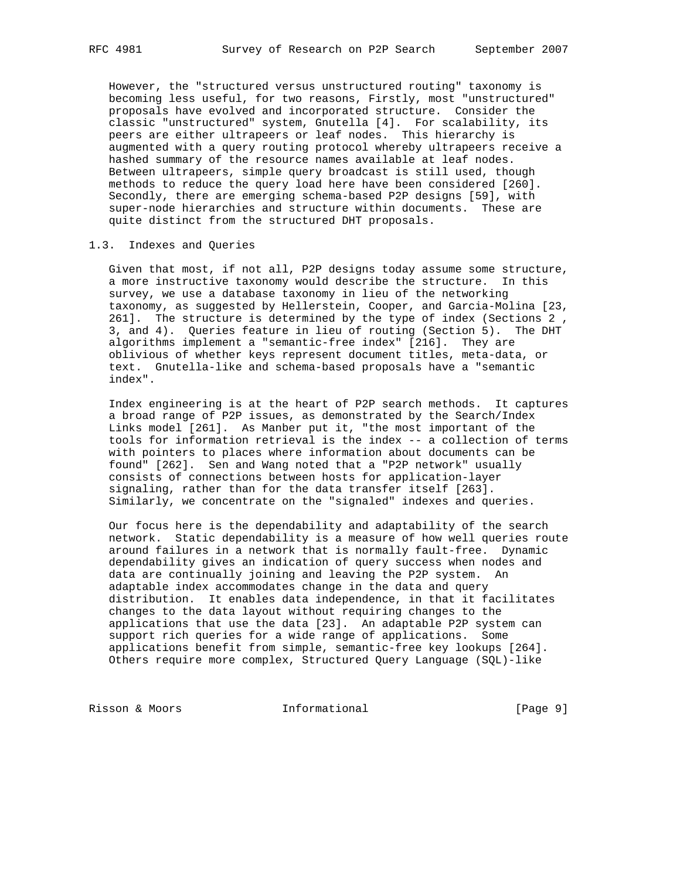However, the "structured versus unstructured routing" taxonomy is becoming less useful, for two reasons, Firstly, most "unstructured" proposals have evolved and incorporated structure. Consider the classic "unstructured" system, Gnutella [4]. For scalability, its peers are either ultrapeers or leaf nodes. This hierarchy is augmented with a query routing protocol whereby ultrapeers receive a hashed summary of the resource names available at leaf nodes. Between ultrapeers, simple query broadcast is still used, though methods to reduce the query load here have been considered [260]. Secondly, there are emerging schema-based P2P designs [59], with super-node hierarchies and structure within documents. These are quite distinct from the structured DHT proposals.

## 1.3. Indexes and Queries

 Given that most, if not all, P2P designs today assume some structure, a more instructive taxonomy would describe the structure. In this survey, we use a database taxonomy in lieu of the networking taxonomy, as suggested by Hellerstein, Cooper, and Garcia-Molina [23, 261]. The structure is determined by the type of index (Sections 2 , 3, and 4). Queries feature in lieu of routing (Section 5). The DHT algorithms implement a "semantic-free index" [216]. They are oblivious of whether keys represent document titles, meta-data, or text. Gnutella-like and schema-based proposals have a "semantic index".

 Index engineering is at the heart of P2P search methods. It captures a broad range of P2P issues, as demonstrated by the Search/Index Links model [261]. As Manber put it, "the most important of the tools for information retrieval is the index -- a collection of terms with pointers to places where information about documents can be found" [262]. Sen and Wang noted that a "P2P network" usually consists of connections between hosts for application-layer signaling, rather than for the data transfer itself [263]. Similarly, we concentrate on the "signaled" indexes and queries.

 Our focus here is the dependability and adaptability of the search network. Static dependability is a measure of how well queries route around failures in a network that is normally fault-free. Dynamic dependability gives an indication of query success when nodes and data are continually joining and leaving the P2P system. An adaptable index accommodates change in the data and query distribution. It enables data independence, in that it facilitates changes to the data layout without requiring changes to the applications that use the data [23]. An adaptable P2P system can support rich queries for a wide range of applications. Some applications benefit from simple, semantic-free key lookups [264]. Others require more complex, Structured Query Language (SQL)-like

Risson & Moors **Informational** [Page 9]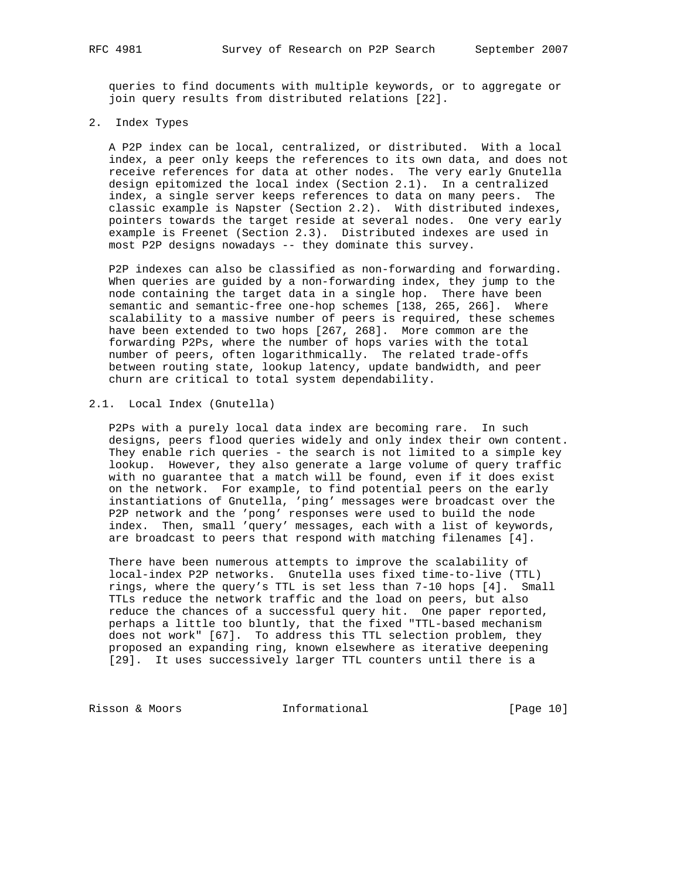queries to find documents with multiple keywords, or to aggregate or join query results from distributed relations [22].

2. Index Types

 A P2P index can be local, centralized, or distributed. With a local index, a peer only keeps the references to its own data, and does not receive references for data at other nodes. The very early Gnutella design epitomized the local index (Section 2.1). In a centralized index, a single server keeps references to data on many peers. The classic example is Napster (Section 2.2). With distributed indexes, pointers towards the target reside at several nodes. One very early example is Freenet (Section 2.3). Distributed indexes are used in most P2P designs nowadays -- they dominate this survey.

 P2P indexes can also be classified as non-forwarding and forwarding. When queries are guided by a non-forwarding index, they jump to the node containing the target data in a single hop. There have been semantic and semantic-free one-hop schemes [138, 265, 266]. Where scalability to a massive number of peers is required, these schemes have been extended to two hops [267, 268]. More common are the forwarding P2Ps, where the number of hops varies with the total number of peers, often logarithmically. The related trade-offs between routing state, lookup latency, update bandwidth, and peer churn are critical to total system dependability.

## 2.1. Local Index (Gnutella)

 P2Ps with a purely local data index are becoming rare. In such designs, peers flood queries widely and only index their own content. They enable rich queries - the search is not limited to a simple key lookup. However, they also generate a large volume of query traffic with no guarantee that a match will be found, even if it does exist on the network. For example, to find potential peers on the early instantiations of Gnutella, 'ping' messages were broadcast over the P2P network and the 'pong' responses were used to build the node index. Then, small 'query' messages, each with a list of keywords, are broadcast to peers that respond with matching filenames [4].

 There have been numerous attempts to improve the scalability of local-index P2P networks. Gnutella uses fixed time-to-live (TTL) rings, where the query's TTL is set less than 7-10 hops [4]. Small TTLs reduce the network traffic and the load on peers, but also reduce the chances of a successful query hit. One paper reported, perhaps a little too bluntly, that the fixed "TTL-based mechanism does not work" [67]. To address this TTL selection problem, they proposed an expanding ring, known elsewhere as iterative deepening [29]. It uses successively larger TTL counters until there is a

Risson & Moors **Informational** [Page 10]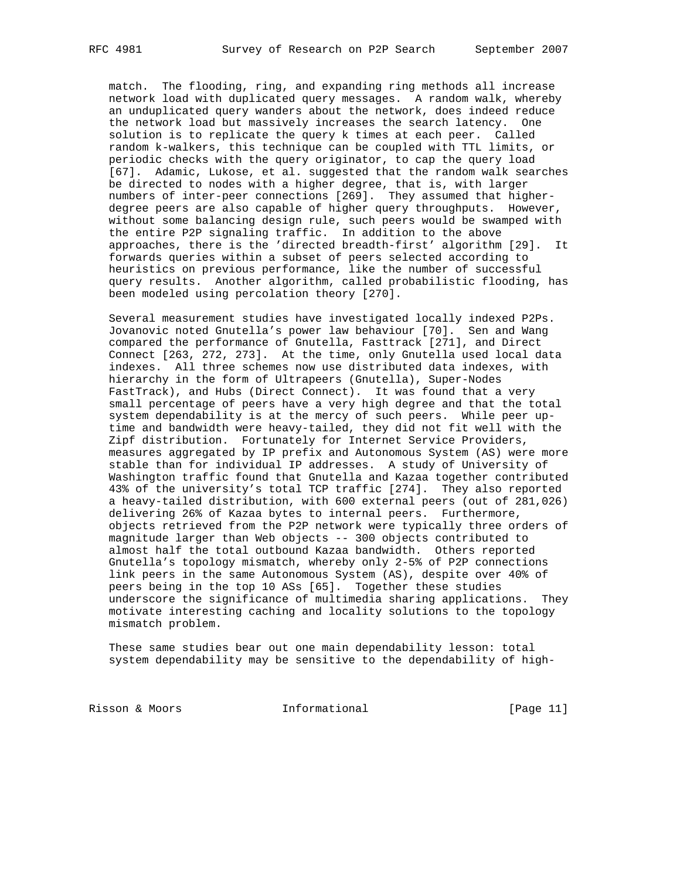match. The flooding, ring, and expanding ring methods all increase network load with duplicated query messages. A random walk, whereby an unduplicated query wanders about the network, does indeed reduce the network load but massively increases the search latency. One solution is to replicate the query k times at each peer. Called random k-walkers, this technique can be coupled with TTL limits, or periodic checks with the query originator, to cap the query load [67]. Adamic, Lukose, et al. suggested that the random walk searches be directed to nodes with a higher degree, that is, with larger numbers of inter-peer connections [269]. They assumed that higher degree peers are also capable of higher query throughputs. However, without some balancing design rule, such peers would be swamped with the entire P2P signaling traffic. In addition to the above approaches, there is the 'directed breadth-first' algorithm [29]. It forwards queries within a subset of peers selected according to heuristics on previous performance, like the number of successful query results. Another algorithm, called probabilistic flooding, has been modeled using percolation theory [270].

 Several measurement studies have investigated locally indexed P2Ps. Jovanovic noted Gnutella's power law behaviour [70]. Sen and Wang compared the performance of Gnutella, Fasttrack [271], and Direct Connect [263, 272, 273]. At the time, only Gnutella used local data indexes. All three schemes now use distributed data indexes, with hierarchy in the form of Ultrapeers (Gnutella), Super-Nodes FastTrack), and Hubs (Direct Connect). It was found that a very small percentage of peers have a very high degree and that the total system dependability is at the mercy of such peers. While peer up time and bandwidth were heavy-tailed, they did not fit well with the Zipf distribution. Fortunately for Internet Service Providers, measures aggregated by IP prefix and Autonomous System (AS) were more stable than for individual IP addresses. A study of University of Washington traffic found that Gnutella and Kazaa together contributed 43% of the university's total TCP traffic [274]. They also reported a heavy-tailed distribution, with 600 external peers (out of 281,026) delivering 26% of Kazaa bytes to internal peers. Furthermore, objects retrieved from the P2P network were typically three orders of magnitude larger than Web objects -- 300 objects contributed to almost half the total outbound Kazaa bandwidth. Others reported Gnutella's topology mismatch, whereby only 2-5% of P2P connections link peers in the same Autonomous System (AS), despite over 40% of peers being in the top 10 ASs [65]. Together these studies underscore the significance of multimedia sharing applications. They motivate interesting caching and locality solutions to the topology mismatch problem.

 These same studies bear out one main dependability lesson: total system dependability may be sensitive to the dependability of high-

Risson & Moors **Informational** [Page 11]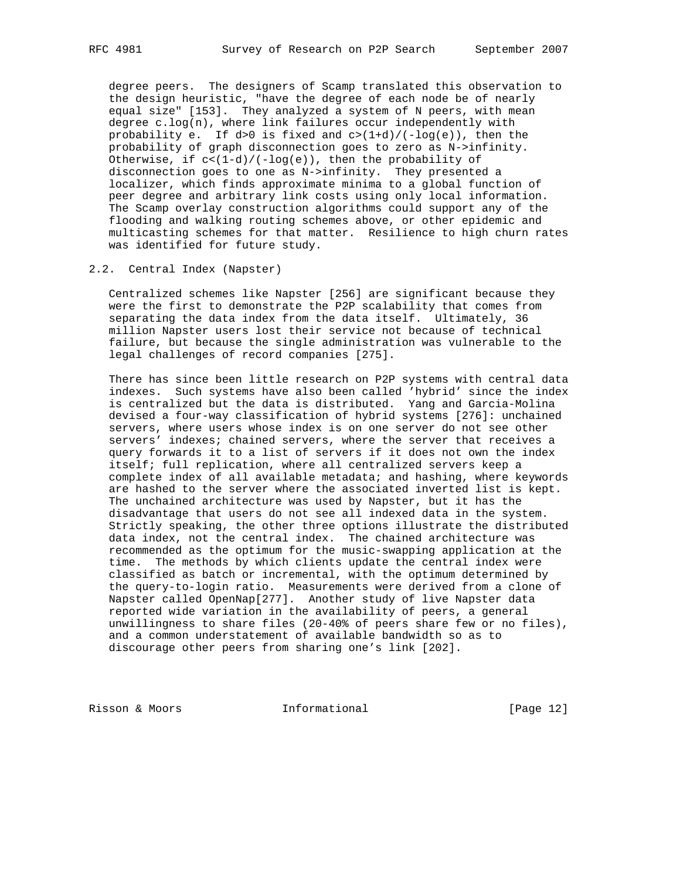degree peers. The designers of Scamp translated this observation to the design heuristic, "have the degree of each node be of nearly equal size" [153]. They analyzed a system of N peers, with mean degree c.log(n), where link failures occur independently with probability e. If  $d>0$  is fixed and  $c>(1+d)/(-log(e))$ , then the probability of graph disconnection goes to zero as N->infinity. Otherwise, if c<(1-d)/(-log(e)), then the probability of disconnection goes to one as N->infinity. They presented a localizer, which finds approximate minima to a global function of peer degree and arbitrary link costs using only local information. The Scamp overlay construction algorithms could support any of the flooding and walking routing schemes above, or other epidemic and multicasting schemes for that matter. Resilience to high churn rates was identified for future study.

### 2.2. Central Index (Napster)

 Centralized schemes like Napster [256] are significant because they were the first to demonstrate the P2P scalability that comes from separating the data index from the data itself. Ultimately, 36 million Napster users lost their service not because of technical failure, but because the single administration was vulnerable to the legal challenges of record companies [275].

 There has since been little research on P2P systems with central data indexes. Such systems have also been called 'hybrid' since the index is centralized but the data is distributed. Yang and Garcia-Molina devised a four-way classification of hybrid systems [276]: unchained servers, where users whose index is on one server do not see other servers' indexes; chained servers, where the server that receives a query forwards it to a list of servers if it does not own the index itself; full replication, where all centralized servers keep a complete index of all available metadata; and hashing, where keywords are hashed to the server where the associated inverted list is kept. The unchained architecture was used by Napster, but it has the disadvantage that users do not see all indexed data in the system. Strictly speaking, the other three options illustrate the distributed data index, not the central index. The chained architecture was recommended as the optimum for the music-swapping application at the time. The methods by which clients update the central index were classified as batch or incremental, with the optimum determined by the query-to-login ratio. Measurements were derived from a clone of Napster called OpenNap[277]. Another study of live Napster data reported wide variation in the availability of peers, a general unwillingness to share files (20-40% of peers share few or no files), and a common understatement of available bandwidth so as to discourage other peers from sharing one's link [202].

Risson & Moors **Informational** [Page 12]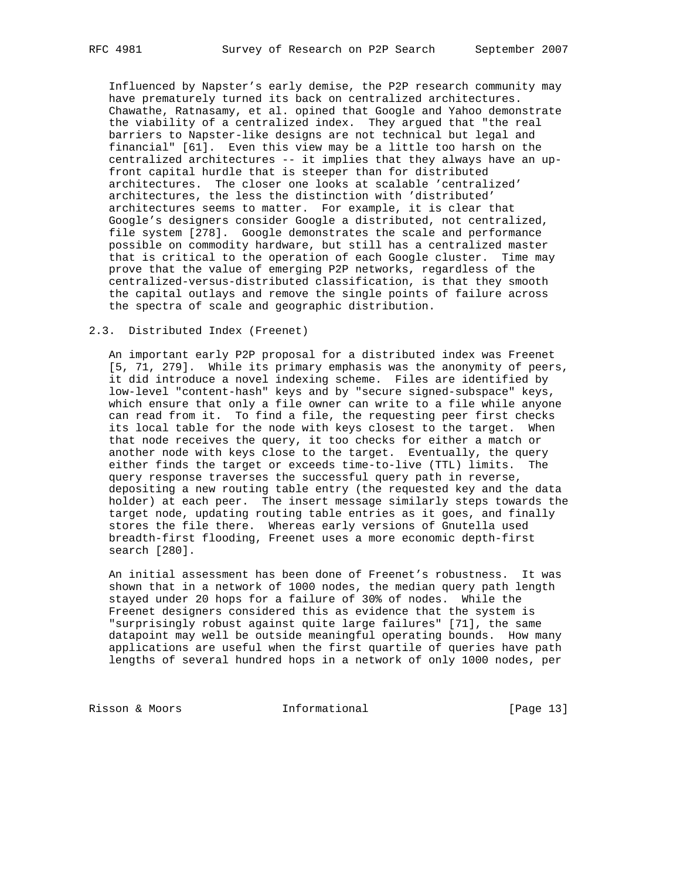Influenced by Napster's early demise, the P2P research community may have prematurely turned its back on centralized architectures. Chawathe, Ratnasamy, et al. opined that Google and Yahoo demonstrate the viability of a centralized index. They argued that "the real barriers to Napster-like designs are not technical but legal and financial" [61]. Even this view may be a little too harsh on the centralized architectures -- it implies that they always have an up front capital hurdle that is steeper than for distributed architectures. The closer one looks at scalable 'centralized' architectures, the less the distinction with 'distributed' architectures seems to matter. For example, it is clear that Google's designers consider Google a distributed, not centralized, file system [278]. Google demonstrates the scale and performance possible on commodity hardware, but still has a centralized master that is critical to the operation of each Google cluster. Time may prove that the value of emerging P2P networks, regardless of the centralized-versus-distributed classification, is that they smooth the capital outlays and remove the single points of failure across the spectra of scale and geographic distribution.

### 2.3. Distributed Index (Freenet)

 An important early P2P proposal for a distributed index was Freenet [5, 71, 279]. While its primary emphasis was the anonymity of peers, it did introduce a novel indexing scheme. Files are identified by low-level "content-hash" keys and by "secure signed-subspace" keys, which ensure that only a file owner can write to a file while anyone can read from it. To find a file, the requesting peer first checks its local table for the node with keys closest to the target. When that node receives the query, it too checks for either a match or another node with keys close to the target. Eventually, the query either finds the target or exceeds time-to-live (TTL) limits. The query response traverses the successful query path in reverse, depositing a new routing table entry (the requested key and the data holder) at each peer. The insert message similarly steps towards the target node, updating routing table entries as it goes, and finally stores the file there. Whereas early versions of Gnutella used breadth-first flooding, Freenet uses a more economic depth-first search [280].

 An initial assessment has been done of Freenet's robustness. It was shown that in a network of 1000 nodes, the median query path length stayed under 20 hops for a failure of 30% of nodes. While the Freenet designers considered this as evidence that the system is "surprisingly robust against quite large failures" [71], the same datapoint may well be outside meaningful operating bounds. How many applications are useful when the first quartile of queries have path lengths of several hundred hops in a network of only 1000 nodes, per

Risson & Moors **Informational** [Page 13]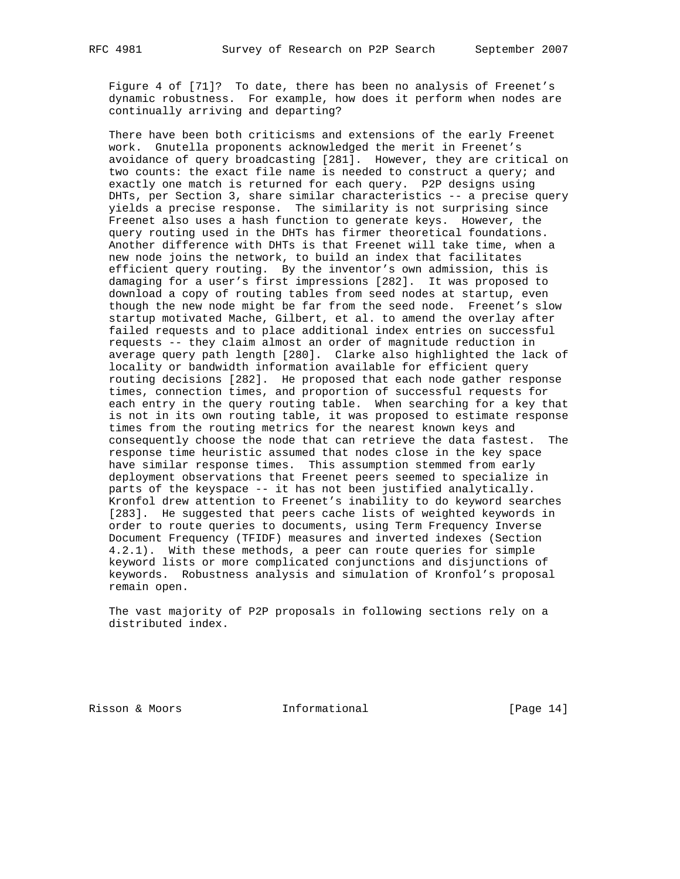Figure 4 of [71]? To date, there has been no analysis of Freenet's dynamic robustness. For example, how does it perform when nodes are continually arriving and departing?

 There have been both criticisms and extensions of the early Freenet work. Gnutella proponents acknowledged the merit in Freenet's avoidance of query broadcasting [281]. However, they are critical on two counts: the exact file name is needed to construct a query; and exactly one match is returned for each query. P2P designs using DHTs, per Section 3, share similar characteristics -- a precise query yields a precise response. The similarity is not surprising since Freenet also uses a hash function to generate keys. However, the query routing used in the DHTs has firmer theoretical foundations. Another difference with DHTs is that Freenet will take time, when a new node joins the network, to build an index that facilitates efficient query routing. By the inventor's own admission, this is damaging for a user's first impressions [282]. It was proposed to download a copy of routing tables from seed nodes at startup, even though the new node might be far from the seed node. Freenet's slow startup motivated Mache, Gilbert, et al. to amend the overlay after failed requests and to place additional index entries on successful requests -- they claim almost an order of magnitude reduction in average query path length [280]. Clarke also highlighted the lack of locality or bandwidth information available for efficient query routing decisions [282]. He proposed that each node gather response times, connection times, and proportion of successful requests for each entry in the query routing table. When searching for a key that is not in its own routing table, it was proposed to estimate response times from the routing metrics for the nearest known keys and consequently choose the node that can retrieve the data fastest. The response time heuristic assumed that nodes close in the key space have similar response times. This assumption stemmed from early deployment observations that Freenet peers seemed to specialize in parts of the keyspace -- it has not been justified analytically. Kronfol drew attention to Freenet's inability to do keyword searches [283]. He suggested that peers cache lists of weighted keywords in order to route queries to documents, using Term Frequency Inverse Document Frequency (TFIDF) measures and inverted indexes (Section 4.2.1). With these methods, a peer can route queries for simple keyword lists or more complicated conjunctions and disjunctions of keywords. Robustness analysis and simulation of Kronfol's proposal remain open.

 The vast majority of P2P proposals in following sections rely on a distributed index.

Risson & Moors **Informational** [Page 14]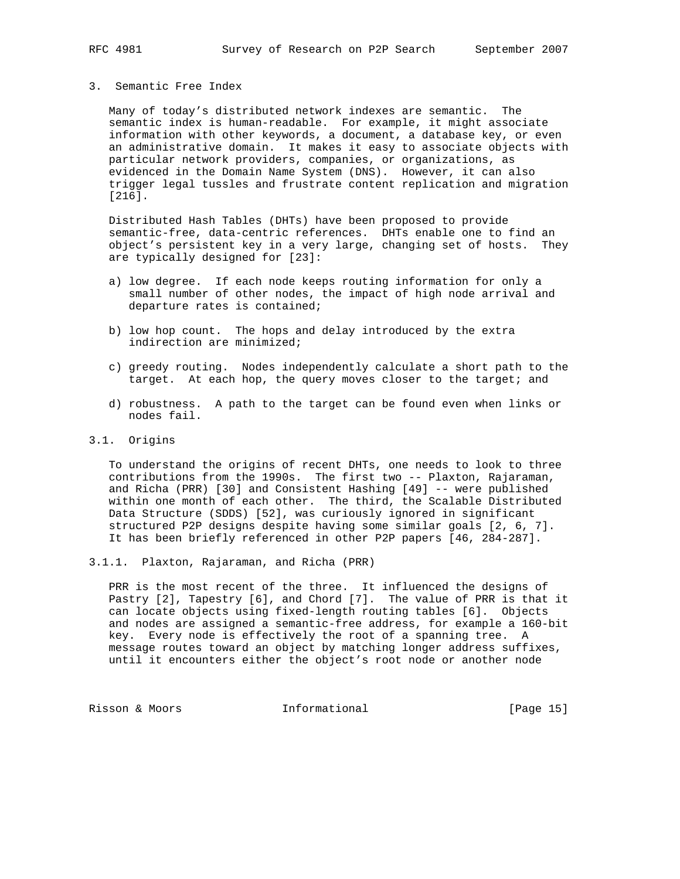## 3. Semantic Free Index

 Many of today's distributed network indexes are semantic. The semantic index is human-readable. For example, it might associate information with other keywords, a document, a database key, or even an administrative domain. It makes it easy to associate objects with particular network providers, companies, or organizations, as evidenced in the Domain Name System (DNS). However, it can also trigger legal tussles and frustrate content replication and migration [216].

 Distributed Hash Tables (DHTs) have been proposed to provide semantic-free, data-centric references. DHTs enable one to find an object's persistent key in a very large, changing set of hosts. They are typically designed for [23]:

- a) low degree. If each node keeps routing information for only a small number of other nodes, the impact of high node arrival and departure rates is contained;
- b) low hop count. The hops and delay introduced by the extra indirection are minimized;
- c) greedy routing. Nodes independently calculate a short path to the target. At each hop, the query moves closer to the target; and
- d) robustness. A path to the target can be found even when links or nodes fail.
- 3.1. Origins

 To understand the origins of recent DHTs, one needs to look to three contributions from the 1990s. The first two -- Plaxton, Rajaraman, and Richa (PRR) [30] and Consistent Hashing [49] -- were published within one month of each other. The third, the Scalable Distributed Data Structure (SDDS) [52], was curiously ignored in significant structured P2P designs despite having some similar goals [2, 6, 7]. It has been briefly referenced in other P2P papers [46, 284-287].

3.1.1. Plaxton, Rajaraman, and Richa (PRR)

 PRR is the most recent of the three. It influenced the designs of Pastry [2], Tapestry [6], and Chord [7]. The value of PRR is that it can locate objects using fixed-length routing tables [6]. Objects and nodes are assigned a semantic-free address, for example a 160-bit key. Every node is effectively the root of a spanning tree. A message routes toward an object by matching longer address suffixes, until it encounters either the object's root node or another node

Risson & Moors **Informational** [Page 15]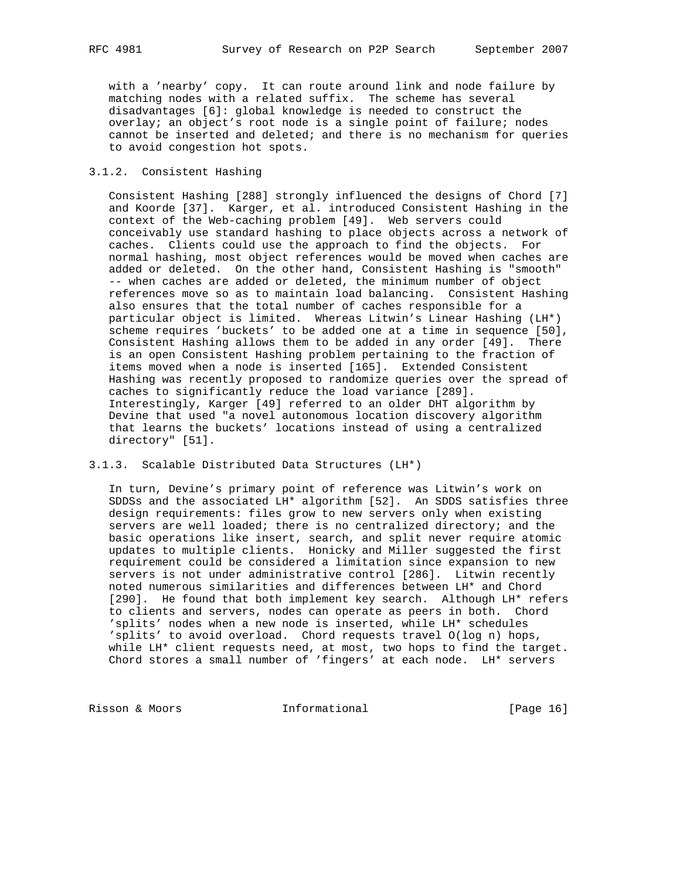with a 'nearby' copy. It can route around link and node failure by matching nodes with a related suffix. The scheme has several disadvantages [6]: global knowledge is needed to construct the overlay; an object's root node is a single point of failure; nodes cannot be inserted and deleted; and there is no mechanism for queries to avoid congestion hot spots.

## 3.1.2. Consistent Hashing

 Consistent Hashing [288] strongly influenced the designs of Chord [7] and Koorde [37]. Karger, et al. introduced Consistent Hashing in the context of the Web-caching problem [49]. Web servers could conceivably use standard hashing to place objects across a network of caches. Clients could use the approach to find the objects. For normal hashing, most object references would be moved when caches are added or deleted. On the other hand, Consistent Hashing is "smooth" -- when caches are added or deleted, the minimum number of object references move so as to maintain load balancing. Consistent Hashing also ensures that the total number of caches responsible for a particular object is limited. Whereas Litwin's Linear Hashing (LH\*) scheme requires 'buckets' to be added one at a time in sequence [50], Consistent Hashing allows them to be added in any order [49]. There is an open Consistent Hashing problem pertaining to the fraction of items moved when a node is inserted [165]. Extended Consistent Hashing was recently proposed to randomize queries over the spread of caches to significantly reduce the load variance [289]. Interestingly, Karger [49] referred to an older DHT algorithm by Devine that used "a novel autonomous location discovery algorithm that learns the buckets' locations instead of using a centralized directory" [51].

#### 3.1.3. Scalable Distributed Data Structures (LH\*)

 In turn, Devine's primary point of reference was Litwin's work on SDDSs and the associated LH\* algorithm [52]. An SDDS satisfies three design requirements: files grow to new servers only when existing servers are well loaded; there is no centralized directory; and the basic operations like insert, search, and split never require atomic updates to multiple clients. Honicky and Miller suggested the first requirement could be considered a limitation since expansion to new servers is not under administrative control [286]. Litwin recently noted numerous similarities and differences between LH\* and Chord [290]. He found that both implement key search. Although LH\* refers to clients and servers, nodes can operate as peers in both. Chord 'splits' nodes when a new node is inserted, while LH\* schedules 'splits' to avoid overload. Chord requests travel O(log n) hops, while LH\* client requests need, at most, two hops to find the target. Chord stores a small number of 'fingers' at each node. LH\* servers

Risson & Moors **Informational** [Page 16]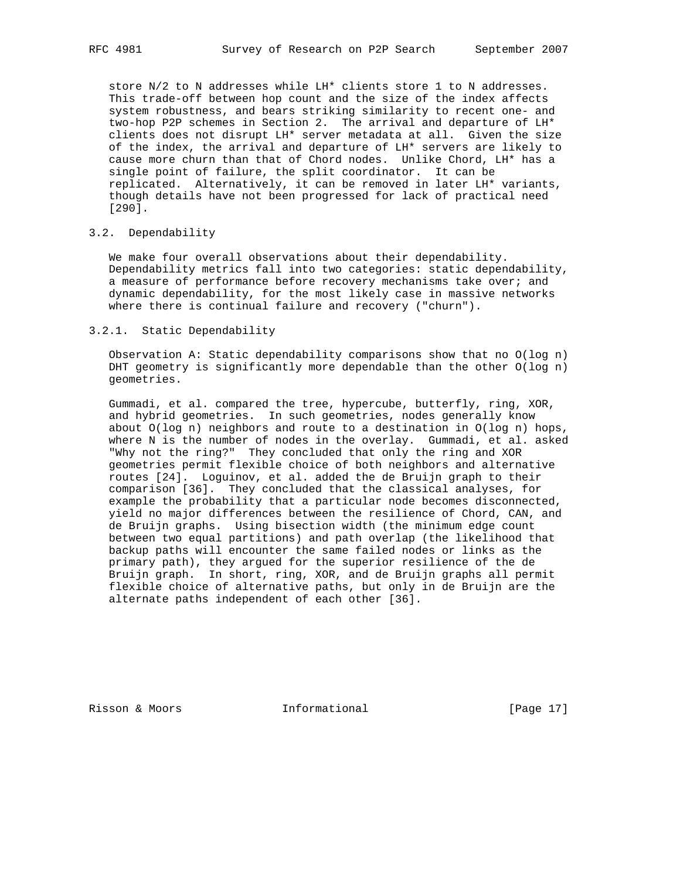store N/2 to N addresses while LH\* clients store 1 to N addresses. This trade-off between hop count and the size of the index affects system robustness, and bears striking similarity to recent one- and two-hop P2P schemes in Section 2. The arrival and departure of LH\* clients does not disrupt LH\* server metadata at all. Given the size of the index, the arrival and departure of LH\* servers are likely to cause more churn than that of Chord nodes. Unlike Chord, LH\* has a single point of failure, the split coordinator. It can be replicated. Alternatively, it can be removed in later LH\* variants, though details have not been progressed for lack of practical need [290].

## 3.2. Dependability

 We make four overall observations about their dependability. Dependability metrics fall into two categories: static dependability, a measure of performance before recovery mechanisms take over; and dynamic dependability, for the most likely case in massive networks where there is continual failure and recovery ("churn").

#### 3.2.1. Static Dependability

 Observation A: Static dependability comparisons show that no O(log n) DHT geometry is significantly more dependable than the other O(log n) geometries.

 Gummadi, et al. compared the tree, hypercube, butterfly, ring, XOR, and hybrid geometries. In such geometries, nodes generally know about O(log n) neighbors and route to a destination in O(log n) hops, where N is the number of nodes in the overlay. Gummadi, et al. asked "Why not the ring?" They concluded that only the ring and XOR geometries permit flexible choice of both neighbors and alternative routes [24]. Loguinov, et al. added the de Bruijn graph to their comparison [36]. They concluded that the classical analyses, for example the probability that a particular node becomes disconnected, yield no major differences between the resilience of Chord, CAN, and de Bruijn graphs. Using bisection width (the minimum edge count between two equal partitions) and path overlap (the likelihood that backup paths will encounter the same failed nodes or links as the primary path), they argued for the superior resilience of the de Bruijn graph. In short, ring, XOR, and de Bruijn graphs all permit flexible choice of alternative paths, but only in de Bruijn are the alternate paths independent of each other [36].

Risson & Moors **Informational** [Page 17]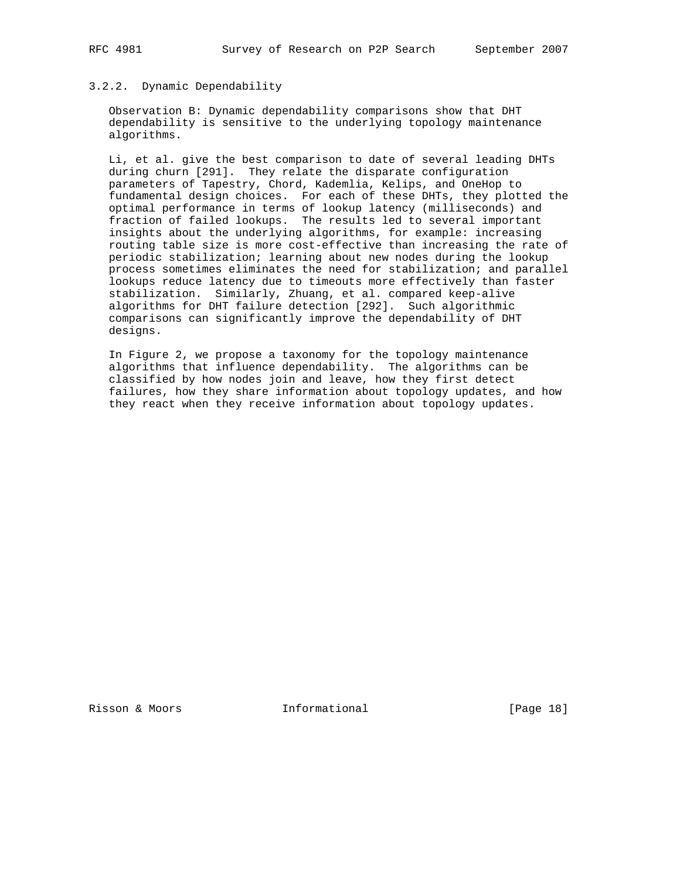## 3.2.2. Dynamic Dependability

 Observation B: Dynamic dependability comparisons show that DHT dependability is sensitive to the underlying topology maintenance algorithms.

 Li, et al. give the best comparison to date of several leading DHTs during churn [291]. They relate the disparate configuration parameters of Tapestry, Chord, Kademlia, Kelips, and OneHop to fundamental design choices. For each of these DHTs, they plotted the optimal performance in terms of lookup latency (milliseconds) and fraction of failed lookups. The results led to several important insights about the underlying algorithms, for example: increasing routing table size is more cost-effective than increasing the rate of periodic stabilization; learning about new nodes during the lookup process sometimes eliminates the need for stabilization; and parallel lookups reduce latency due to timeouts more effectively than faster stabilization. Similarly, Zhuang, et al. compared keep-alive algorithms for DHT failure detection [292]. Such algorithmic comparisons can significantly improve the dependability of DHT designs.

 In Figure 2, we propose a taxonomy for the topology maintenance algorithms that influence dependability. The algorithms can be classified by how nodes join and leave, how they first detect failures, how they share information about topology updates, and how they react when they receive information about topology updates.

Risson & Moors **Informational** [Page 18]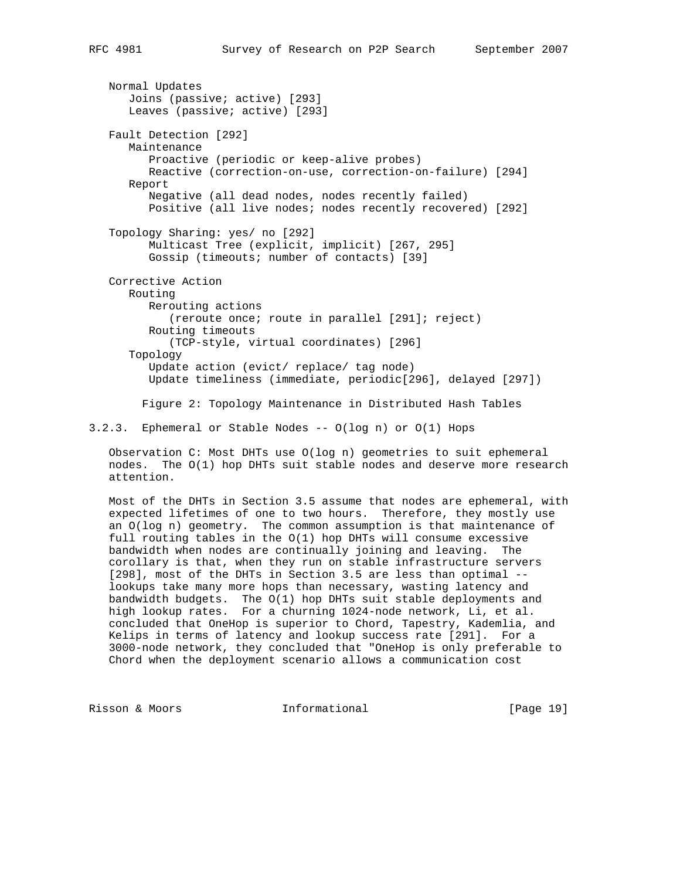Normal Updates Joins (passive; active) [293] Leaves (passive; active) [293] Fault Detection [292] Maintenance Proactive (periodic or keep-alive probes) Reactive (correction-on-use, correction-on-failure) [294] Report Negative (all dead nodes, nodes recently failed) Positive (all live nodes; nodes recently recovered) [292] Topology Sharing: yes/ no [292] Multicast Tree (explicit, implicit) [267, 295] Gossip (timeouts; number of contacts) [39] Corrective Action Routing Rerouting actions (reroute once; route in parallel [291]; reject) Routing timeouts (TCP-style, virtual coordinates) [296] Topology Update action (evict/ replace/ tag node) Update timeliness (immediate, periodic[296], delayed [297]) Figure 2: Topology Maintenance in Distributed Hash Tables

3.2.3. Ephemeral or Stable Nodes -- O(log n) or O(1) Hops

 Observation C: Most DHTs use O(log n) geometries to suit ephemeral nodes. The O(1) hop DHTs suit stable nodes and deserve more research attention.

 Most of the DHTs in Section 3.5 assume that nodes are ephemeral, with expected lifetimes of one to two hours. Therefore, they mostly use an O(log n) geometry. The common assumption is that maintenance of full routing tables in the O(1) hop DHTs will consume excessive bandwidth when nodes are continually joining and leaving. The corollary is that, when they run on stable infrastructure servers [298], most of the DHTs in Section 3.5 are less than optimal - lookups take many more hops than necessary, wasting latency and bandwidth budgets. The O(1) hop DHTs suit stable deployments and high lookup rates. For a churning 1024-node network, Li, et al. concluded that OneHop is superior to Chord, Tapestry, Kademlia, and Kelips in terms of latency and lookup success rate [291]. For a 3000-node network, they concluded that "OneHop is only preferable to Chord when the deployment scenario allows a communication cost

Risson & Moors **Informational** [Page 19]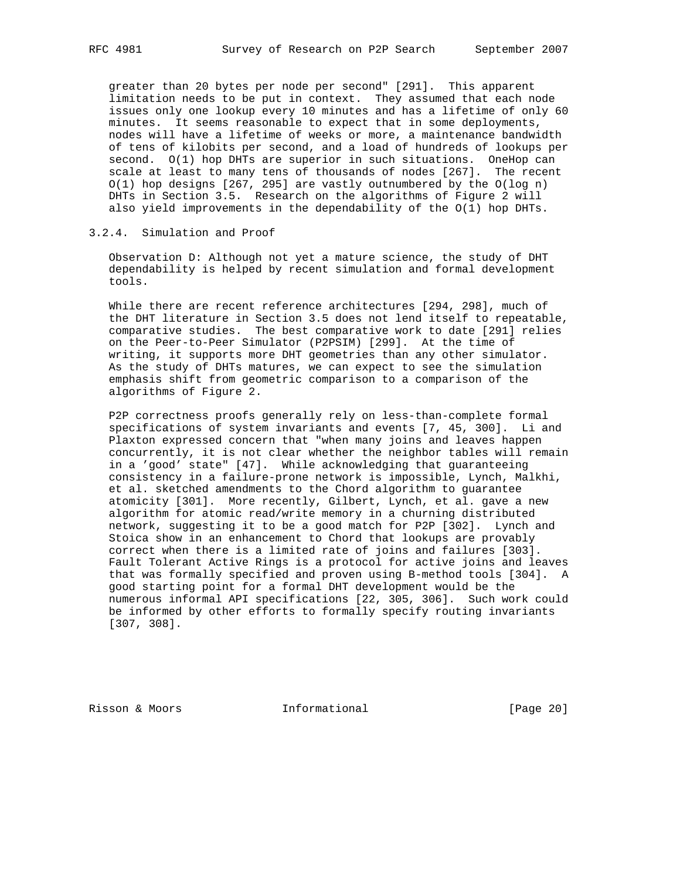greater than 20 bytes per node per second" [291]. This apparent limitation needs to be put in context. They assumed that each node issues only one lookup every 10 minutes and has a lifetime of only 60 minutes. It seems reasonable to expect that in some deployments, nodes will have a lifetime of weeks or more, a maintenance bandwidth of tens of kilobits per second, and a load of hundreds of lookups per second. O(1) hop DHTs are superior in such situations. OneHop can scale at least to many tens of thousands of nodes [267]. The recent  $O(1)$  hop designs [267, 295] are vastly outnumbered by the  $O(log n)$  DHTs in Section 3.5. Research on the algorithms of Figure 2 will also yield improvements in the dependability of the O(1) hop DHTs.

## 3.2.4. Simulation and Proof

 Observation D: Although not yet a mature science, the study of DHT dependability is helped by recent simulation and formal development tools.

 While there are recent reference architectures [294, 298], much of the DHT literature in Section 3.5 does not lend itself to repeatable, comparative studies. The best comparative work to date [291] relies on the Peer-to-Peer Simulator (P2PSIM) [299]. At the time of writing, it supports more DHT geometries than any other simulator. As the study of DHTs matures, we can expect to see the simulation emphasis shift from geometric comparison to a comparison of the algorithms of Figure 2.

 P2P correctness proofs generally rely on less-than-complete formal specifications of system invariants and events [7, 45, 300]. Li and Plaxton expressed concern that "when many joins and leaves happen concurrently, it is not clear whether the neighbor tables will remain in a 'good' state" [47]. While acknowledging that guaranteeing consistency in a failure-prone network is impossible, Lynch, Malkhi, et al. sketched amendments to the Chord algorithm to guarantee atomicity [301]. More recently, Gilbert, Lynch, et al. gave a new algorithm for atomic read/write memory in a churning distributed network, suggesting it to be a good match for P2P [302]. Lynch and Stoica show in an enhancement to Chord that lookups are provably correct when there is a limited rate of joins and failures [303]. Fault Tolerant Active Rings is a protocol for active joins and leaves that was formally specified and proven using B-method tools [304]. A good starting point for a formal DHT development would be the numerous informal API specifications [22, 305, 306]. Such work could be informed by other efforts to formally specify routing invariants [307, 308].

Risson & Moors **Informational** [Page 20]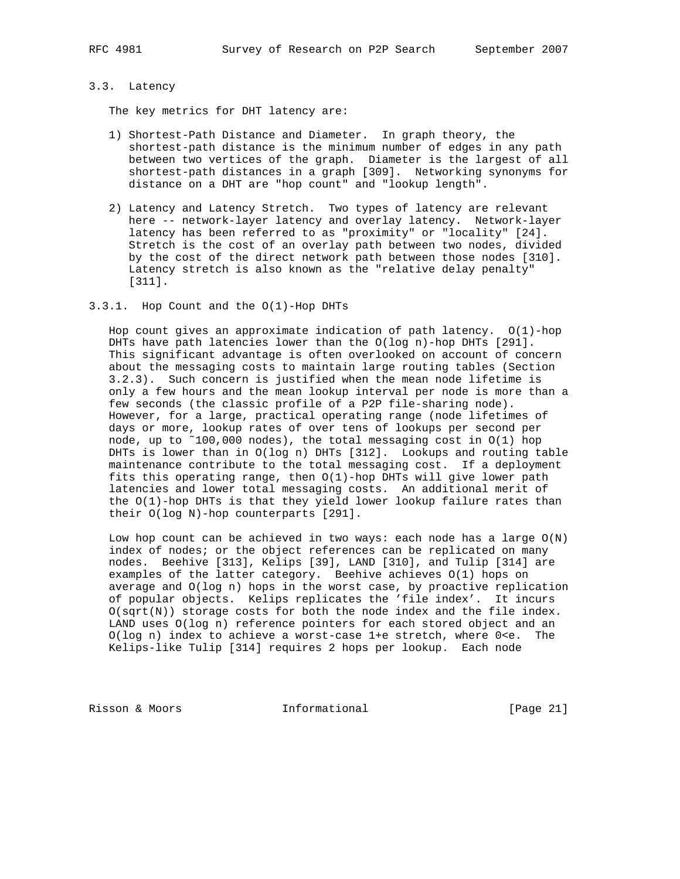## 3.3. Latency

The key metrics for DHT latency are:

- 1) Shortest-Path Distance and Diameter. In graph theory, the shortest-path distance is the minimum number of edges in any path between two vertices of the graph. Diameter is the largest of all shortest-path distances in a graph [309]. Networking synonyms for distance on a DHT are "hop count" and "lookup length".
- 2) Latency and Latency Stretch. Two types of latency are relevant here -- network-layer latency and overlay latency. Network-layer latency has been referred to as "proximity" or "locality" [24]. Stretch is the cost of an overlay path between two nodes, divided by the cost of the direct network path between those nodes [310]. Latency stretch is also known as the "relative delay penalty" [311].

## 3.3.1. Hop Count and the O(1)-Hop DHTs

 Hop count gives an approximate indication of path latency. O(1)-hop DHTs have path latencies lower than the O(log n)-hop DHTs [291]. This significant advantage is often overlooked on account of concern about the messaging costs to maintain large routing tables (Section 3.2.3). Such concern is justified when the mean node lifetime is only a few hours and the mean lookup interval per node is more than a few seconds (the classic profile of a P2P file-sharing node). However, for a large, practical operating range (node lifetimes of days or more, lookup rates of over tens of lookups per second per node, up to  $\tilde{100}$ , 000 nodes), the total messaging cost in  $O(1)$  hop DHTs is lower than in O(log n) DHTs [312]. Lookups and routing table maintenance contribute to the total messaging cost. If a deployment fits this operating range, then  $O(1)$ -hop DHTs will give lower path latencies and lower total messaging costs. An additional merit of the O(1)-hop DHTs is that they yield lower lookup failure rates than their O(log N)-hop counterparts [291].

Low hop count can be achieved in two ways: each node has a large  $O(N)$  index of nodes; or the object references can be replicated on many nodes. Beehive [313], Kelips [39], LAND [310], and Tulip [314] are examples of the latter category. Beehive achieves O(1) hops on average and O(log n) hops in the worst case, by proactive replication of popular objects. Kelips replicates the 'file index'. It incurs  $O(sqrt(N))$  storage costs for both the node index and the file index. LAND uses O(log n) reference pointers for each stored object and an O(log n) index to achieve a worst-case 1+e stretch, where 0<e. The Kelips-like Tulip [314] requires 2 hops per lookup. Each node

Risson & Moors **Informational** [Page 21]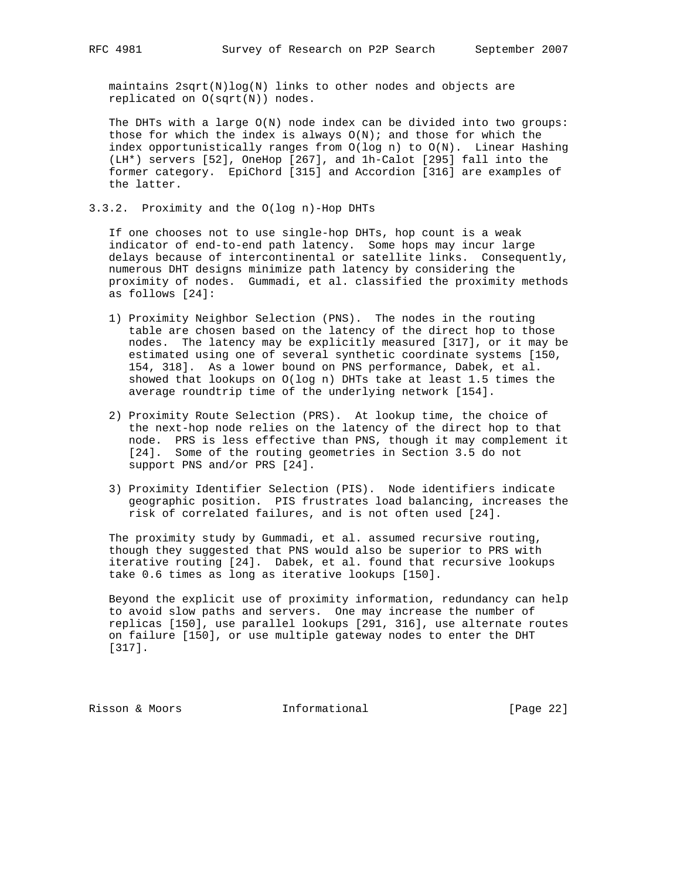maintains 2sqrt(N)log(N) links to other nodes and objects are replicated on O(sqrt(N)) nodes.

 The DHTs with a large O(N) node index can be divided into two groups: those for which the index is always  $O(N)$ ; and those for which the index opportunistically ranges from O(log n) to O(N). Linear Hashing (LH\*) servers [52], OneHop [267], and 1h-Calot [295] fall into the former category. EpiChord [315] and Accordion [316] are examples of the latter.

3.3.2. Proximity and the O(log n)-Hop DHTs

 If one chooses not to use single-hop DHTs, hop count is a weak indicator of end-to-end path latency. Some hops may incur large delays because of intercontinental or satellite links. Consequently, numerous DHT designs minimize path latency by considering the proximity of nodes. Gummadi, et al. classified the proximity methods as follows [24]:

- 1) Proximity Neighbor Selection (PNS). The nodes in the routing table are chosen based on the latency of the direct hop to those nodes. The latency may be explicitly measured [317], or it may be estimated using one of several synthetic coordinate systems [150, 154, 318]. As a lower bound on PNS performance, Dabek, et al. showed that lookups on O(log n) DHTs take at least 1.5 times the average roundtrip time of the underlying network [154].
- 2) Proximity Route Selection (PRS). At lookup time, the choice of the next-hop node relies on the latency of the direct hop to that node. PRS is less effective than PNS, though it may complement it [24]. Some of the routing geometries in Section 3.5 do not support PNS and/or PRS [24].
- 3) Proximity Identifier Selection (PIS). Node identifiers indicate geographic position. PIS frustrates load balancing, increases the risk of correlated failures, and is not often used [24].

 The proximity study by Gummadi, et al. assumed recursive routing, though they suggested that PNS would also be superior to PRS with iterative routing [24]. Dabek, et al. found that recursive lookups take 0.6 times as long as iterative lookups [150].

 Beyond the explicit use of proximity information, redundancy can help to avoid slow paths and servers. One may increase the number of replicas [150], use parallel lookups [291, 316], use alternate routes on failure [150], or use multiple gateway nodes to enter the DHT [317].

Risson & Moors **Informational** [Page 22]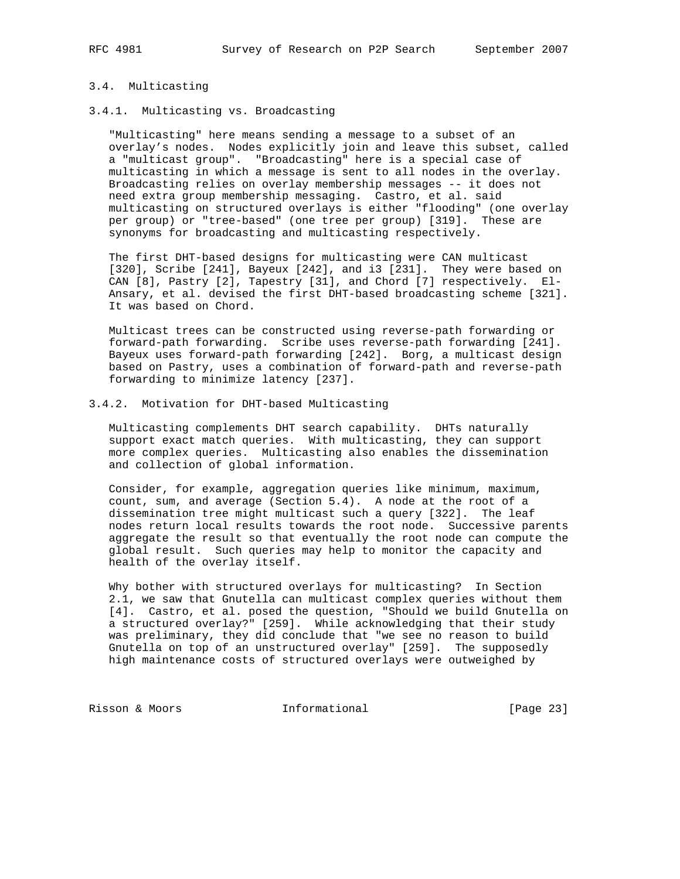## 3.4. Multicasting

3.4.1. Multicasting vs. Broadcasting

 "Multicasting" here means sending a message to a subset of an overlay's nodes. Nodes explicitly join and leave this subset, called a "multicast group". "Broadcasting" here is a special case of multicasting in which a message is sent to all nodes in the overlay. Broadcasting relies on overlay membership messages -- it does not need extra group membership messaging. Castro, et al. said multicasting on structured overlays is either "flooding" (one overlay per group) or "tree-based" (one tree per group) [319]. These are synonyms for broadcasting and multicasting respectively.

 The first DHT-based designs for multicasting were CAN multicast [320], Scribe [241], Bayeux [242], and i3 [231]. They were based on CAN [8], Pastry [2], Tapestry [31], and Chord [7] respectively. El- Ansary, et al. devised the first DHT-based broadcasting scheme [321]. It was based on Chord.

 Multicast trees can be constructed using reverse-path forwarding or forward-path forwarding. Scribe uses reverse-path forwarding [241]. Bayeux uses forward-path forwarding [242]. Borg, a multicast design based on Pastry, uses a combination of forward-path and reverse-path forwarding to minimize latency [237].

### 3.4.2. Motivation for DHT-based Multicasting

 Multicasting complements DHT search capability. DHTs naturally support exact match queries. With multicasting, they can support more complex queries. Multicasting also enables the dissemination and collection of global information.

 Consider, for example, aggregation queries like minimum, maximum, count, sum, and average (Section 5.4). A node at the root of a dissemination tree might multicast such a query [322]. The leaf nodes return local results towards the root node. Successive parents aggregate the result so that eventually the root node can compute the global result. Such queries may help to monitor the capacity and health of the overlay itself.

 Why bother with structured overlays for multicasting? In Section 2.1, we saw that Gnutella can multicast complex queries without them [4]. Castro, et al. posed the question, "Should we build Gnutella on a structured overlay?" [259]. While acknowledging that their study was preliminary, they did conclude that "we see no reason to build Gnutella on top of an unstructured overlay" [259]. The supposedly high maintenance costs of structured overlays were outweighed by

Risson & Moors **Informational** [Page 23]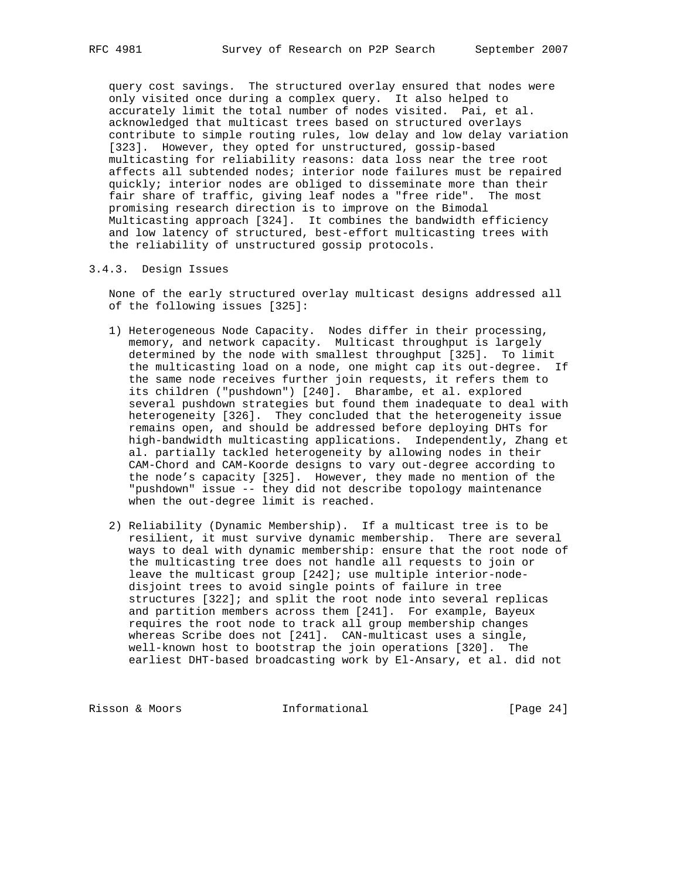query cost savings. The structured overlay ensured that nodes were only visited once during a complex query. It also helped to accurately limit the total number of nodes visited. Pai, et al. acknowledged that multicast trees based on structured overlays contribute to simple routing rules, low delay and low delay variation [323]. However, they opted for unstructured, gossip-based multicasting for reliability reasons: data loss near the tree root affects all subtended nodes; interior node failures must be repaired quickly; interior nodes are obliged to disseminate more than their fair share of traffic, giving leaf nodes a "free ride". The most promising research direction is to improve on the Bimodal Multicasting approach [324]. It combines the bandwidth efficiency and low latency of structured, best-effort multicasting trees with the reliability of unstructured gossip protocols.

## 3.4.3. Design Issues

 None of the early structured overlay multicast designs addressed all of the following issues [325]:

- 1) Heterogeneous Node Capacity. Nodes differ in their processing, memory, and network capacity. Multicast throughput is largely determined by the node with smallest throughput [325]. To limit the multicasting load on a node, one might cap its out-degree. If the same node receives further join requests, it refers them to its children ("pushdown") [240]. Bharambe, et al. explored several pushdown strategies but found them inadequate to deal with heterogeneity [326]. They concluded that the heterogeneity issue remains open, and should be addressed before deploying DHTs for high-bandwidth multicasting applications. Independently, Zhang et al. partially tackled heterogeneity by allowing nodes in their CAM-Chord and CAM-Koorde designs to vary out-degree according to the node's capacity [325]. However, they made no mention of the "pushdown" issue -- they did not describe topology maintenance when the out-degree limit is reached.
- 2) Reliability (Dynamic Membership). If a multicast tree is to be resilient, it must survive dynamic membership. There are several ways to deal with dynamic membership: ensure that the root node of the multicasting tree does not handle all requests to join or leave the multicast group [242]; use multiple interior-node disjoint trees to avoid single points of failure in tree structures [322]; and split the root node into several replicas and partition members across them [241]. For example, Bayeux requires the root node to track all group membership changes whereas Scribe does not [241]. CAN-multicast uses a single, well-known host to bootstrap the join operations [320]. The earliest DHT-based broadcasting work by El-Ansary, et al. did not

Risson & Moors **Informational** [Page 24]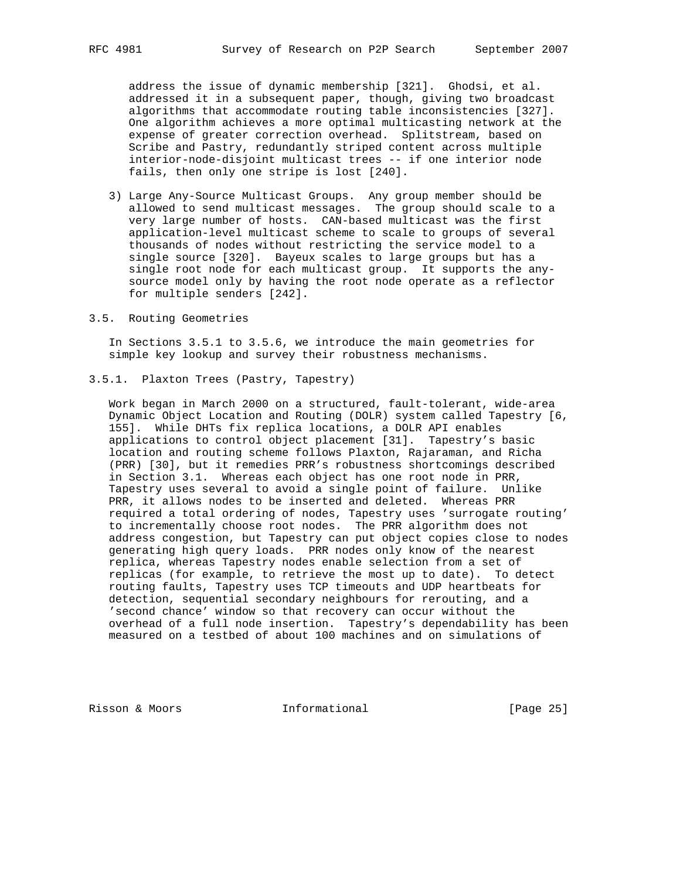address the issue of dynamic membership [321]. Ghodsi, et al. addressed it in a subsequent paper, though, giving two broadcast algorithms that accommodate routing table inconsistencies [327]. One algorithm achieves a more optimal multicasting network at the expense of greater correction overhead. Splitstream, based on Scribe and Pastry, redundantly striped content across multiple interior-node-disjoint multicast trees -- if one interior node fails, then only one stripe is lost [240].

- 3) Large Any-Source Multicast Groups. Any group member should be allowed to send multicast messages. The group should scale to a very large number of hosts. CAN-based multicast was the first application-level multicast scheme to scale to groups of several thousands of nodes without restricting the service model to a single source [320]. Bayeux scales to large groups but has a single root node for each multicast group. It supports the any source model only by having the root node operate as a reflector for multiple senders [242].
- 3.5. Routing Geometries

 In Sections 3.5.1 to 3.5.6, we introduce the main geometries for simple key lookup and survey their robustness mechanisms.

3.5.1. Plaxton Trees (Pastry, Tapestry)

 Work began in March 2000 on a structured, fault-tolerant, wide-area Dynamic Object Location and Routing (DOLR) system called Tapestry [6, 155]. While DHTs fix replica locations, a DOLR API enables applications to control object placement [31]. Tapestry's basic location and routing scheme follows Plaxton, Rajaraman, and Richa (PRR) [30], but it remedies PRR's robustness shortcomings described in Section 3.1. Whereas each object has one root node in PRR, Tapestry uses several to avoid a single point of failure. Unlike PRR, it allows nodes to be inserted and deleted. Whereas PRR required a total ordering of nodes, Tapestry uses 'surrogate routing' to incrementally choose root nodes. The PRR algorithm does not address congestion, but Tapestry can put object copies close to nodes generating high query loads. PRR nodes only know of the nearest replica, whereas Tapestry nodes enable selection from a set of replicas (for example, to retrieve the most up to date). To detect routing faults, Tapestry uses TCP timeouts and UDP heartbeats for detection, sequential secondary neighbours for rerouting, and a 'second chance' window so that recovery can occur without the overhead of a full node insertion. Tapestry's dependability has been measured on a testbed of about 100 machines and on simulations of

Risson & Moors **Informational** [Page 25]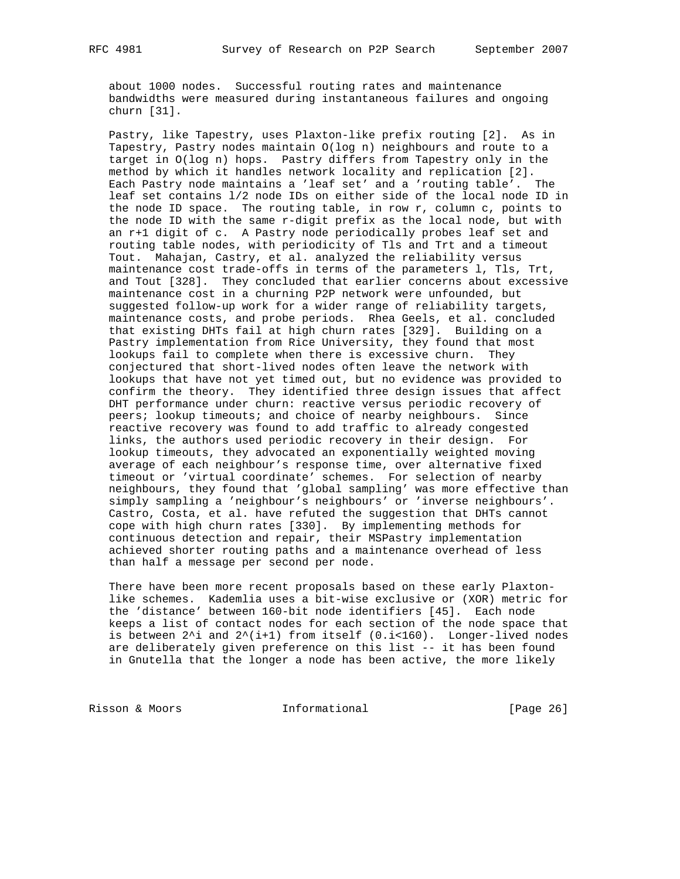about 1000 nodes. Successful routing rates and maintenance bandwidths were measured during instantaneous failures and ongoing churn [31].

 Pastry, like Tapestry, uses Plaxton-like prefix routing [2]. As in Tapestry, Pastry nodes maintain O(log n) neighbours and route to a target in O(log n) hops. Pastry differs from Tapestry only in the method by which it handles network locality and replication [2]. Each Pastry node maintains a 'leaf set' and a 'routing table'. The leaf set contains l/2 node IDs on either side of the local node ID in the node ID space. The routing table, in row r, column c, points to the node ID with the same r-digit prefix as the local node, but with an r+1 digit of c. A Pastry node periodically probes leaf set and routing table nodes, with periodicity of Tls and Trt and a timeout Tout. Mahajan, Castry, et al. analyzed the reliability versus maintenance cost trade-offs in terms of the parameters l, Tls, Trt, and Tout [328]. They concluded that earlier concerns about excessive maintenance cost in a churning P2P network were unfounded, but suggested follow-up work for a wider range of reliability targets, maintenance costs, and probe periods. Rhea Geels, et al. concluded that existing DHTs fail at high churn rates [329]. Building on a Pastry implementation from Rice University, they found that most lookups fail to complete when there is excessive churn. They conjectured that short-lived nodes often leave the network with lookups that have not yet timed out, but no evidence was provided to confirm the theory. They identified three design issues that affect DHT performance under churn: reactive versus periodic recovery of peers; lookup timeouts; and choice of nearby neighbours. Since reactive recovery was found to add traffic to already congested links, the authors used periodic recovery in their design. For lookup timeouts, they advocated an exponentially weighted moving average of each neighbour's response time, over alternative fixed timeout or 'virtual coordinate' schemes. For selection of nearby neighbours, they found that 'global sampling' was more effective than simply sampling a 'neighbour's neighbours' or 'inverse neighbours'. Castro, Costa, et al. have refuted the suggestion that DHTs cannot cope with high churn rates [330]. By implementing methods for continuous detection and repair, their MSPastry implementation achieved shorter routing paths and a maintenance overhead of less than half a message per second per node.

 There have been more recent proposals based on these early Plaxton like schemes. Kademlia uses a bit-wise exclusive or (XOR) metric for the 'distance' between 160-bit node identifiers [45]. Each node keeps a list of contact nodes for each section of the node space that is between  $2^i$  and  $2^i(i+1)$  from itself  $(0.i<160)$ . Longer-lived nodes are deliberately given preference on this list -- it has been found in Gnutella that the longer a node has been active, the more likely

Risson & Moors **Informational** [Page 26]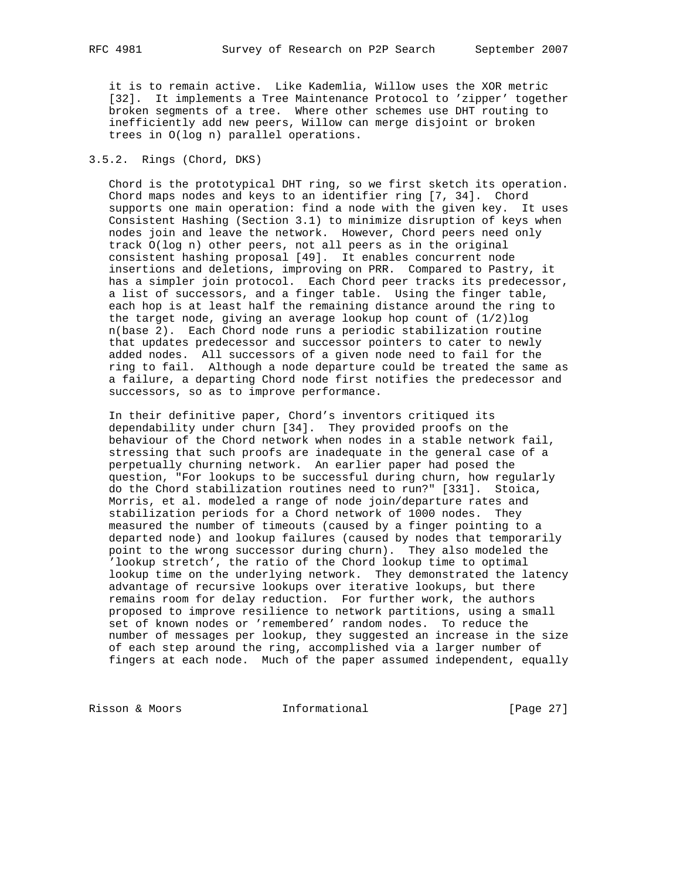it is to remain active. Like Kademlia, Willow uses the XOR metric [32]. It implements a Tree Maintenance Protocol to 'zipper' together broken segments of a tree. Where other schemes use DHT routing to inefficiently add new peers, Willow can merge disjoint or broken trees in O(log n) parallel operations.

### 3.5.2. Rings (Chord, DKS)

 Chord is the prototypical DHT ring, so we first sketch its operation. Chord maps nodes and keys to an identifier ring [7, 34]. Chord supports one main operation: find a node with the given key. It uses Consistent Hashing (Section 3.1) to minimize disruption of keys when nodes join and leave the network. However, Chord peers need only track O(log n) other peers, not all peers as in the original consistent hashing proposal [49]. It enables concurrent node insertions and deletions, improving on PRR. Compared to Pastry, it has a simpler join protocol. Each Chord peer tracks its predecessor, a list of successors, and a finger table. Using the finger table, each hop is at least half the remaining distance around the ring to the target node, giving an average lookup hop count of  $(1/2)$ log n(base 2). Each Chord node runs a periodic stabilization routine that updates predecessor and successor pointers to cater to newly added nodes. All successors of a given node need to fail for the ring to fail. Although a node departure could be treated the same as a failure, a departing Chord node first notifies the predecessor and successors, so as to improve performance.

 In their definitive paper, Chord's inventors critiqued its dependability under churn [34]. They provided proofs on the behaviour of the Chord network when nodes in a stable network fail, stressing that such proofs are inadequate in the general case of a perpetually churning network. An earlier paper had posed the question, "For lookups to be successful during churn, how regularly do the Chord stabilization routines need to run?" [331]. Stoica, Morris, et al. modeled a range of node join/departure rates and stabilization periods for a Chord network of 1000 nodes. They measured the number of timeouts (caused by a finger pointing to a departed node) and lookup failures (caused by nodes that temporarily point to the wrong successor during churn). They also modeled the 'lookup stretch', the ratio of the Chord lookup time to optimal lookup time on the underlying network. They demonstrated the latency advantage of recursive lookups over iterative lookups, but there remains room for delay reduction. For further work, the authors proposed to improve resilience to network partitions, using a small set of known nodes or 'remembered' random nodes. To reduce the number of messages per lookup, they suggested an increase in the size of each step around the ring, accomplished via a larger number of fingers at each node. Much of the paper assumed independent, equally

Risson & Moors **Informational** [Page 27]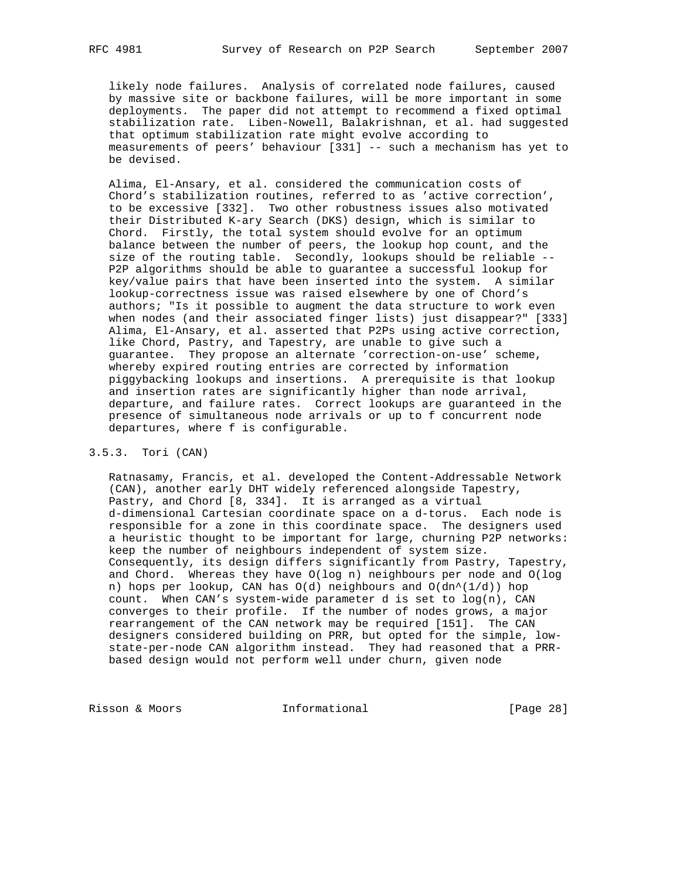likely node failures. Analysis of correlated node failures, caused by massive site or backbone failures, will be more important in some deployments. The paper did not attempt to recommend a fixed optimal stabilization rate. Liben-Nowell, Balakrishnan, et al. had suggested that optimum stabilization rate might evolve according to measurements of peers' behaviour [331] -- such a mechanism has yet to be devised.

 Alima, El-Ansary, et al. considered the communication costs of Chord's stabilization routines, referred to as 'active correction', to be excessive [332]. Two other robustness issues also motivated their Distributed K-ary Search (DKS) design, which is similar to Chord. Firstly, the total system should evolve for an optimum balance between the number of peers, the lookup hop count, and the size of the routing table. Secondly, lookups should be reliable -- P2P algorithms should be able to guarantee a successful lookup for key/value pairs that have been inserted into the system. A similar lookup-correctness issue was raised elsewhere by one of Chord's authors; "Is it possible to augment the data structure to work even when nodes (and their associated finger lists) just disappear?" [333] Alima, El-Ansary, et al. asserted that P2Ps using active correction, like Chord, Pastry, and Tapestry, are unable to give such a guarantee. They propose an alternate 'correction-on-use' scheme, whereby expired routing entries are corrected by information piggybacking lookups and insertions. A prerequisite is that lookup and insertion rates are significantly higher than node arrival, departure, and failure rates. Correct lookups are guaranteed in the presence of simultaneous node arrivals or up to f concurrent node departures, where f is configurable.

## 3.5.3. Tori (CAN)

 Ratnasamy, Francis, et al. developed the Content-Addressable Network (CAN), another early DHT widely referenced alongside Tapestry, Pastry, and Chord [8, 334]. It is arranged as a virtual d-dimensional Cartesian coordinate space on a d-torus. Each node is responsible for a zone in this coordinate space. The designers used a heuristic thought to be important for large, churning P2P networks: keep the number of neighbours independent of system size. Consequently, its design differs significantly from Pastry, Tapestry, and Chord. Whereas they have O(log n) neighbours per node and O(log n) hops per lookup, CAN has  $O(d)$  neighbours and  $O(dn^{(1/d)})$  hop count. When CAN's system-wide parameter d is set to log(n), CAN converges to their profile. If the number of nodes grows, a major rearrangement of the CAN network may be required [151]. The CAN designers considered building on PRR, but opted for the simple, low state-per-node CAN algorithm instead. They had reasoned that a PRR based design would not perform well under churn, given node

Risson & Moors **Informational** [Page 28]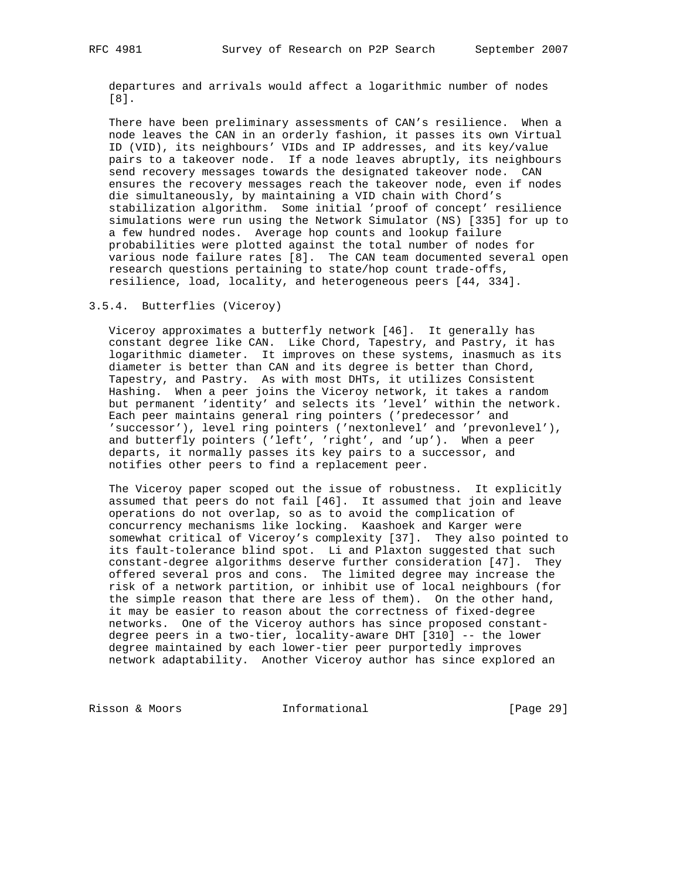departures and arrivals would affect a logarithmic number of nodes [8].

 There have been preliminary assessments of CAN's resilience. When a node leaves the CAN in an orderly fashion, it passes its own Virtual ID (VID), its neighbours' VIDs and IP addresses, and its key/value pairs to a takeover node. If a node leaves abruptly, its neighbours send recovery messages towards the designated takeover node. CAN ensures the recovery messages reach the takeover node, even if nodes die simultaneously, by maintaining a VID chain with Chord's stabilization algorithm. Some initial 'proof of concept' resilience simulations were run using the Network Simulator (NS) [335] for up to a few hundred nodes. Average hop counts and lookup failure probabilities were plotted against the total number of nodes for various node failure rates [8]. The CAN team documented several open research questions pertaining to state/hop count trade-offs, resilience, load, locality, and heterogeneous peers [44, 334].

3.5.4. Butterflies (Viceroy)

 Viceroy approximates a butterfly network [46]. It generally has constant degree like CAN. Like Chord, Tapestry, and Pastry, it has logarithmic diameter. It improves on these systems, inasmuch as its diameter is better than CAN and its degree is better than Chord, Tapestry, and Pastry. As with most DHTs, it utilizes Consistent Hashing. When a peer joins the Viceroy network, it takes a random but permanent 'identity' and selects its 'level' within the network. Each peer maintains general ring pointers ('predecessor' and 'successor'), level ring pointers ('nextonlevel' and 'prevonlevel'), and butterfly pointers ('left', 'right', and 'up'). When a peer departs, it normally passes its key pairs to a successor, and notifies other peers to find a replacement peer.

 The Viceroy paper scoped out the issue of robustness. It explicitly assumed that peers do not fail [46]. It assumed that join and leave operations do not overlap, so as to avoid the complication of concurrency mechanisms like locking. Kaashoek and Karger were somewhat critical of Viceroy's complexity [37]. They also pointed to its fault-tolerance blind spot. Li and Plaxton suggested that such constant-degree algorithms deserve further consideration [47]. They offered several pros and cons. The limited degree may increase the risk of a network partition, or inhibit use of local neighbours (for the simple reason that there are less of them). On the other hand, it may be easier to reason about the correctness of fixed-degree networks. One of the Viceroy authors has since proposed constant degree peers in a two-tier, locality-aware DHT [310] -- the lower degree maintained by each lower-tier peer purportedly improves network adaptability. Another Viceroy author has since explored an

Risson & Moors **Informational** [Page 29]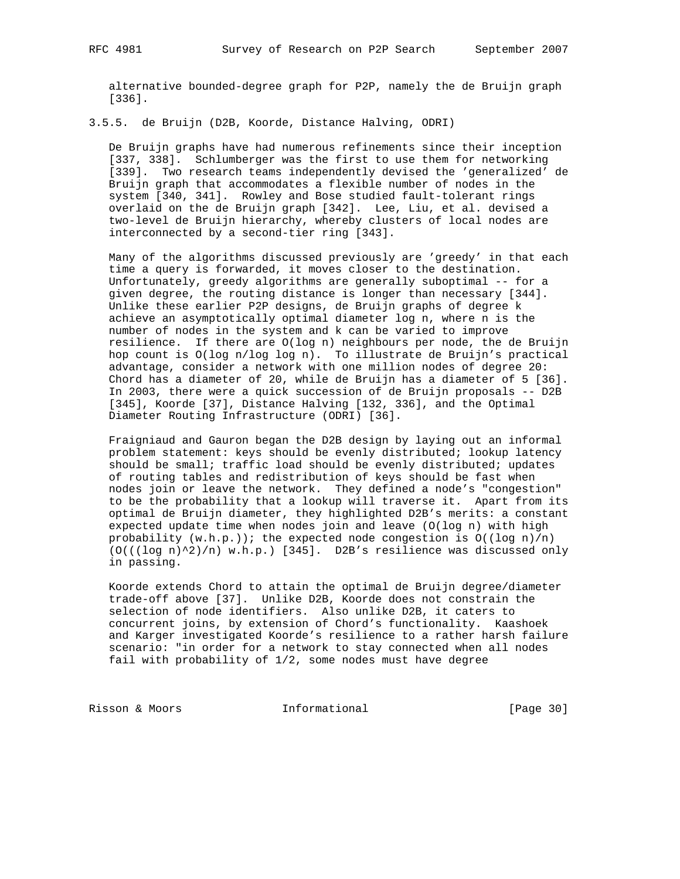alternative bounded-degree graph for P2P, namely the de Bruijn graph [336].

3.5.5. de Bruijn (D2B, Koorde, Distance Halving, ODRI)

 De Bruijn graphs have had numerous refinements since their inception [337, 338]. Schlumberger was the first to use them for networking [339]. Two research teams independently devised the 'generalized' de Bruijn graph that accommodates a flexible number of nodes in the system [340, 341]. Rowley and Bose studied fault-tolerant rings overlaid on the de Bruijn graph [342]. Lee, Liu, et al. devised a two-level de Bruijn hierarchy, whereby clusters of local nodes are interconnected by a second-tier ring [343].

 Many of the algorithms discussed previously are 'greedy' in that each time a query is forwarded, it moves closer to the destination. Unfortunately, greedy algorithms are generally suboptimal -- for a given degree, the routing distance is longer than necessary [344]. Unlike these earlier P2P designs, de Bruijn graphs of degree k achieve an asymptotically optimal diameter log n, where n is the number of nodes in the system and k can be varied to improve resilience. If there are O(log n) neighbours per node, the de Bruijn hop count is O(log n/log log n). To illustrate de Bruijn's practical advantage, consider a network with one million nodes of degree 20: Chord has a diameter of 20, while de Bruijn has a diameter of 5 [36]. In 2003, there were a quick succession of de Bruijn proposals -- D2B [345], Koorde [37], Distance Halving [132, 336], and the Optimal Diameter Routing Infrastructure (ODRI) [36].

 Fraigniaud and Gauron began the D2B design by laying out an informal problem statement: keys should be evenly distributed; lookup latency should be small; traffic load should be evenly distributed; updates of routing tables and redistribution of keys should be fast when nodes join or leave the network. They defined a node's "congestion" to be the probability that a lookup will traverse it. Apart from its optimal de Bruijn diameter, they highlighted D2B's merits: a constant expected update time when nodes join and leave (O(log n) with high probability  $(w.h.p.))$ ; the expected node congestion is  $O((\log n)/n)$  $(0(((\log n)^{2})/n)$  w.h.p.) [345]. D2B's resilience was discussed only in passing.

 Koorde extends Chord to attain the optimal de Bruijn degree/diameter trade-off above [37]. Unlike D2B, Koorde does not constrain the selection of node identifiers. Also unlike D2B, it caters to concurrent joins, by extension of Chord's functionality. Kaashoek and Karger investigated Koorde's resilience to a rather harsh failure scenario: "in order for a network to stay connected when all nodes fail with probability of 1/2, some nodes must have degree

Risson & Moors **Informational** [Page 30]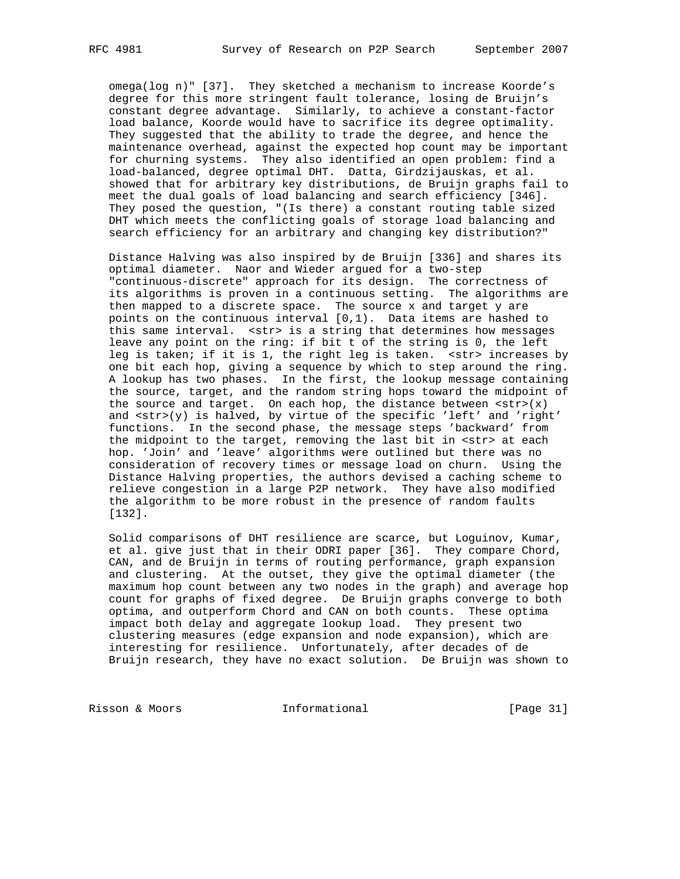omega(log n)" [37]. They sketched a mechanism to increase Koorde's degree for this more stringent fault tolerance, losing de Bruijn's constant degree advantage. Similarly, to achieve a constant-factor load balance, Koorde would have to sacrifice its degree optimality. They suggested that the ability to trade the degree, and hence the maintenance overhead, against the expected hop count may be important for churning systems. They also identified an open problem: find a load-balanced, degree optimal DHT. Datta, Girdzijauskas, et al. showed that for arbitrary key distributions, de Bruijn graphs fail to meet the dual goals of load balancing and search efficiency [346]. They posed the question, "(Is there) a constant routing table sized DHT which meets the conflicting goals of storage load balancing and search efficiency for an arbitrary and changing key distribution?"

 Distance Halving was also inspired by de Bruijn [336] and shares its optimal diameter. Naor and Wieder argued for a two-step "continuous-discrete" approach for its design. The correctness of its algorithms is proven in a continuous setting. The algorithms are then mapped to a discrete space. The source x and target y are points on the continuous interval [0,1). Data items are hashed to this same interval. < str> is a string that determines how messages leave any point on the ring: if bit t of the string is 0, the left leg is taken; if it is 1, the right leg is taken. < str> increases by one bit each hop, giving a sequence by which to step around the ring. A lookup has two phases. In the first, the lookup message containing the source, target, and the random string hops toward the midpoint of the source and target. On each hop, the distance between  $\textrm{str}$ > $(x)$ and  $str>(y)$  is halved, by virtue of the specific 'left' and 'right' functions. In the second phase, the message steps 'backward' from the midpoint to the target, removing the last bit in <str> at each hop. 'Join' and 'leave' algorithms were outlined but there was no consideration of recovery times or message load on churn. Using the Distance Halving properties, the authors devised a caching scheme to relieve congestion in a large P2P network. They have also modified the algorithm to be more robust in the presence of random faults [132].

 Solid comparisons of DHT resilience are scarce, but Loguinov, Kumar, et al. give just that in their ODRI paper [36]. They compare Chord, CAN, and de Bruijn in terms of routing performance, graph expansion and clustering. At the outset, they give the optimal diameter (the maximum hop count between any two nodes in the graph) and average hop count for graphs of fixed degree. De Bruijn graphs converge to both optima, and outperform Chord and CAN on both counts. These optima impact both delay and aggregate lookup load. They present two clustering measures (edge expansion and node expansion), which are interesting for resilience. Unfortunately, after decades of de Bruijn research, they have no exact solution. De Bruijn was shown to

Risson & Moors **Informational** [Page 31]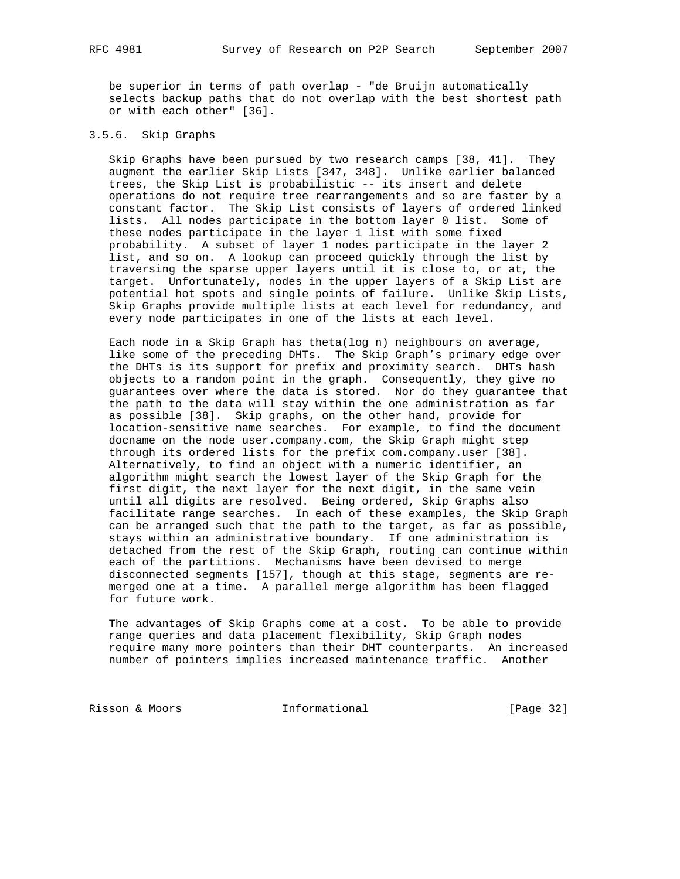be superior in terms of path overlap - "de Bruijn automatically selects backup paths that do not overlap with the best shortest path or with each other" [36].

## 3.5.6. Skip Graphs

 Skip Graphs have been pursued by two research camps [38, 41]. They augment the earlier Skip Lists [347, 348]. Unlike earlier balanced trees, the Skip List is probabilistic -- its insert and delete operations do not require tree rearrangements and so are faster by a constant factor. The Skip List consists of layers of ordered linked lists. All nodes participate in the bottom layer 0 list. Some of these nodes participate in the layer 1 list with some fixed probability. A subset of layer 1 nodes participate in the layer 2 list, and so on. A lookup can proceed quickly through the list by traversing the sparse upper layers until it is close to, or at, the target. Unfortunately, nodes in the upper layers of a Skip List are potential hot spots and single points of failure. Unlike Skip Lists, Skip Graphs provide multiple lists at each level for redundancy, and every node participates in one of the lists at each level.

 Each node in a Skip Graph has theta(log n) neighbours on average, like some of the preceding DHTs. The Skip Graph's primary edge over the DHTs is its support for prefix and proximity search. DHTs hash objects to a random point in the graph. Consequently, they give no guarantees over where the data is stored. Nor do they guarantee that the path to the data will stay within the one administration as far as possible [38]. Skip graphs, on the other hand, provide for location-sensitive name searches. For example, to find the document docname on the node user.company.com, the Skip Graph might step through its ordered lists for the prefix com.company.user [38]. Alternatively, to find an object with a numeric identifier, an algorithm might search the lowest layer of the Skip Graph for the first digit, the next layer for the next digit, in the same vein until all digits are resolved. Being ordered, Skip Graphs also facilitate range searches. In each of these examples, the Skip Graph can be arranged such that the path to the target, as far as possible, stays within an administrative boundary. If one administration is detached from the rest of the Skip Graph, routing can continue within each of the partitions. Mechanisms have been devised to merge disconnected segments [157], though at this stage, segments are re merged one at a time. A parallel merge algorithm has been flagged for future work.

 The advantages of Skip Graphs come at a cost. To be able to provide range queries and data placement flexibility, Skip Graph nodes require many more pointers than their DHT counterparts. An increased number of pointers implies increased maintenance traffic. Another

Risson & Moors **Informational** [Page 32]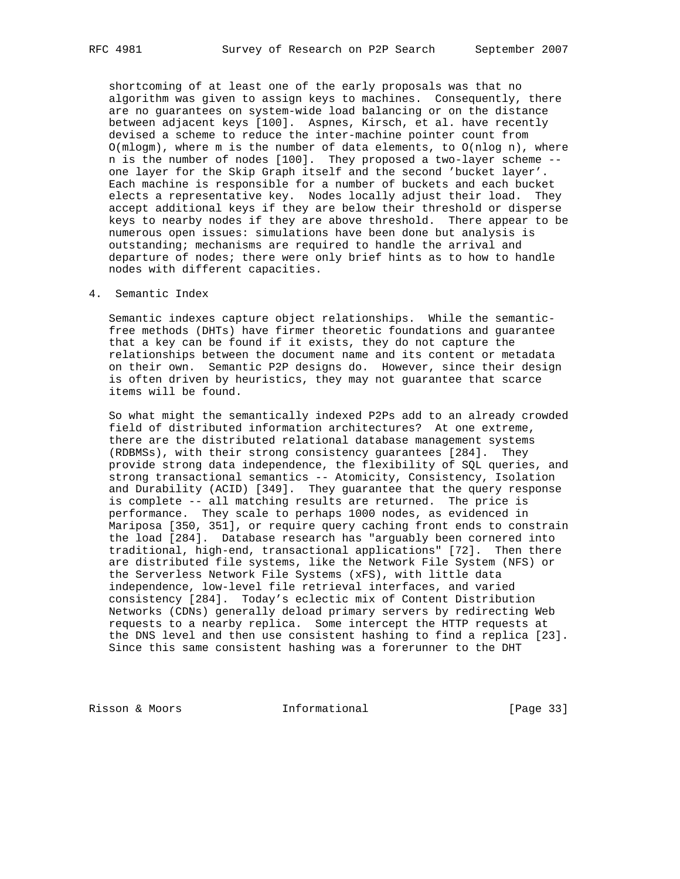shortcoming of at least one of the early proposals was that no algorithm was given to assign keys to machines. Consequently, there are no guarantees on system-wide load balancing or on the distance between adjacent keys [100]. Aspnes, Kirsch, et al. have recently devised a scheme to reduce the inter-machine pointer count from  $O(mlogm)$ , where m is the number of data elements, to  $O(nlog n)$ , where n is the number of nodes [100]. They proposed a two-layer scheme - one layer for the Skip Graph itself and the second 'bucket layer'. Each machine is responsible for a number of buckets and each bucket elects a representative key. Nodes locally adjust their load. They accept additional keys if they are below their threshold or disperse keys to nearby nodes if they are above threshold. There appear to be numerous open issues: simulations have been done but analysis is outstanding; mechanisms are required to handle the arrival and departure of nodes; there were only brief hints as to how to handle nodes with different capacities.

## 4. Semantic Index

 Semantic indexes capture object relationships. While the semantic free methods (DHTs) have firmer theoretic foundations and guarantee that a key can be found if it exists, they do not capture the relationships between the document name and its content or metadata on their own. Semantic P2P designs do. However, since their design is often driven by heuristics, they may not guarantee that scarce items will be found.

 So what might the semantically indexed P2Ps add to an already crowded field of distributed information architectures? At one extreme, there are the distributed relational database management systems (RDBMSs), with their strong consistency guarantees [284]. They provide strong data independence, the flexibility of SQL queries, and strong transactional semantics -- Atomicity, Consistency, Isolation and Durability (ACID) [349]. They guarantee that the query response is complete -- all matching results are returned. The price is performance. They scale to perhaps 1000 nodes, as evidenced in Mariposa [350, 351], or require query caching front ends to constrain the load [284]. Database research has "arguably been cornered into traditional, high-end, transactional applications" [72]. Then there are distributed file systems, like the Network File System (NFS) or the Serverless Network File Systems (xFS), with little data independence, low-level file retrieval interfaces, and varied consistency [284]. Today's eclectic mix of Content Distribution Networks (CDNs) generally deload primary servers by redirecting Web requests to a nearby replica. Some intercept the HTTP requests at the DNS level and then use consistent hashing to find a replica [23]. Since this same consistent hashing was a forerunner to the DHT

Risson & Moors **Informational** [Page 33]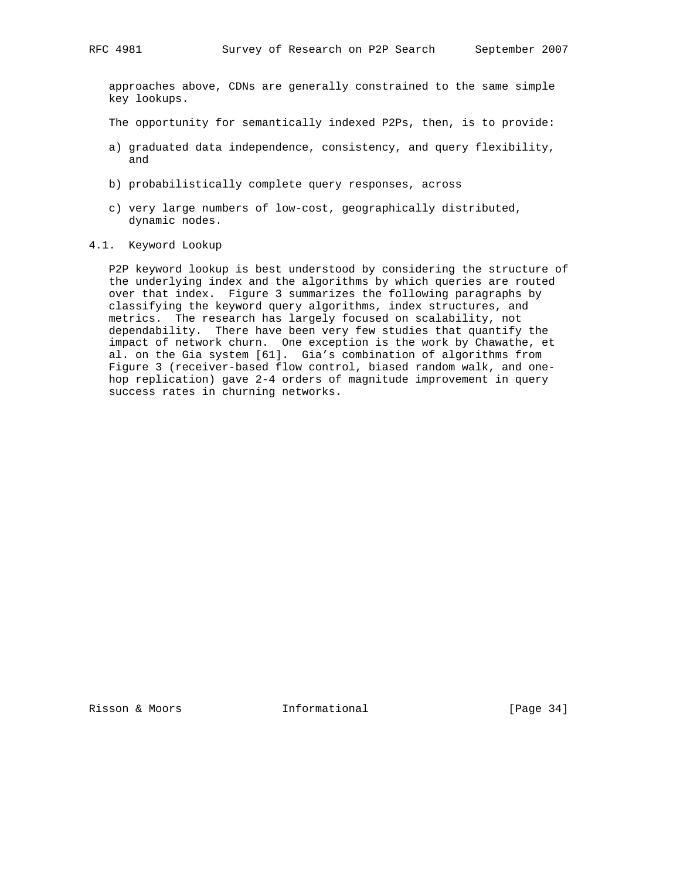approaches above, CDNs are generally constrained to the same simple key lookups.

The opportunity for semantically indexed P2Ps, then, is to provide:

- a) graduated data independence, consistency, and query flexibility, and
- b) probabilistically complete query responses, across
- c) very large numbers of low-cost, geographically distributed, dynamic nodes.
- 4.1. Keyword Lookup

 P2P keyword lookup is best understood by considering the structure of the underlying index and the algorithms by which queries are routed over that index. Figure 3 summarizes the following paragraphs by classifying the keyword query algorithms, index structures, and metrics. The research has largely focused on scalability, not dependability. There have been very few studies that quantify the impact of network churn. One exception is the work by Chawathe, et al. on the Gia system [61]. Gia's combination of algorithms from Figure 3 (receiver-based flow control, biased random walk, and one hop replication) gave 2-4 orders of magnitude improvement in query success rates in churning networks.

Risson & Moors **Informational** [Page 34]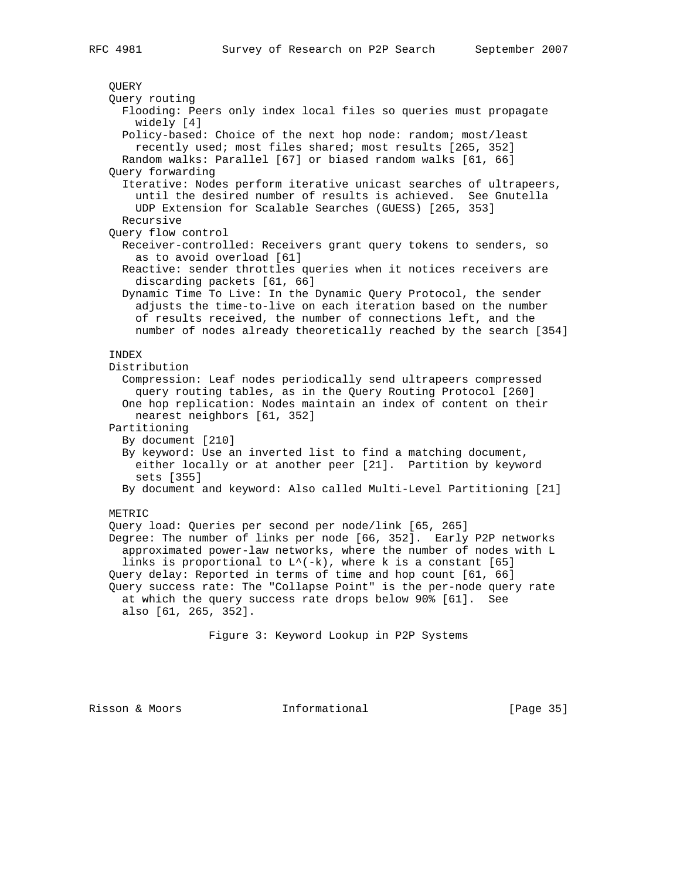QUERY Query routing Flooding: Peers only index local files so queries must propagate widely [4] Policy-based: Choice of the next hop node: random; most/least recently used; most files shared; most results [265, 352] Random walks: Parallel [67] or biased random walks [61, 66] Query forwarding Iterative: Nodes perform iterative unicast searches of ultrapeers, until the desired number of results is achieved. See Gnutella UDP Extension for Scalable Searches (GUESS) [265, 353] Recursive Query flow control Receiver-controlled: Receivers grant query tokens to senders, so as to avoid overload [61] Reactive: sender throttles queries when it notices receivers are discarding packets [61, 66] Dynamic Time To Live: In the Dynamic Query Protocol, the sender adjusts the time-to-live on each iteration based on the number of results received, the number of connections left, and the number of nodes already theoretically reached by the search [354] INDEX Distribution Compression: Leaf nodes periodically send ultrapeers compressed query routing tables, as in the Query Routing Protocol [260] One hop replication: Nodes maintain an index of content on their nearest neighbors [61, 352] Partitioning By document [210] By keyword: Use an inverted list to find a matching document, either locally or at another peer [21]. Partition by keyword sets [355] By document and keyword: Also called Multi-Level Partitioning [21] METR<sub>IC</sub> Query load: Queries per second per node/link [65, 265] Degree: The number of links per node [66, 352]. Early P2P networks approximated power-law networks, where the number of nodes with L links is proportional to  $L^{\wedge}(-k)$ , where k is a constant [65] Query delay: Reported in terms of time and hop count [61, 66] Query success rate: The "Collapse Point" is the per-node query rate at which the query success rate drops below 90% [61]. See also [61, 265, 352]. Figure 3: Keyword Lookup in P2P Systems

Risson & Moors **Informational** [Page 35]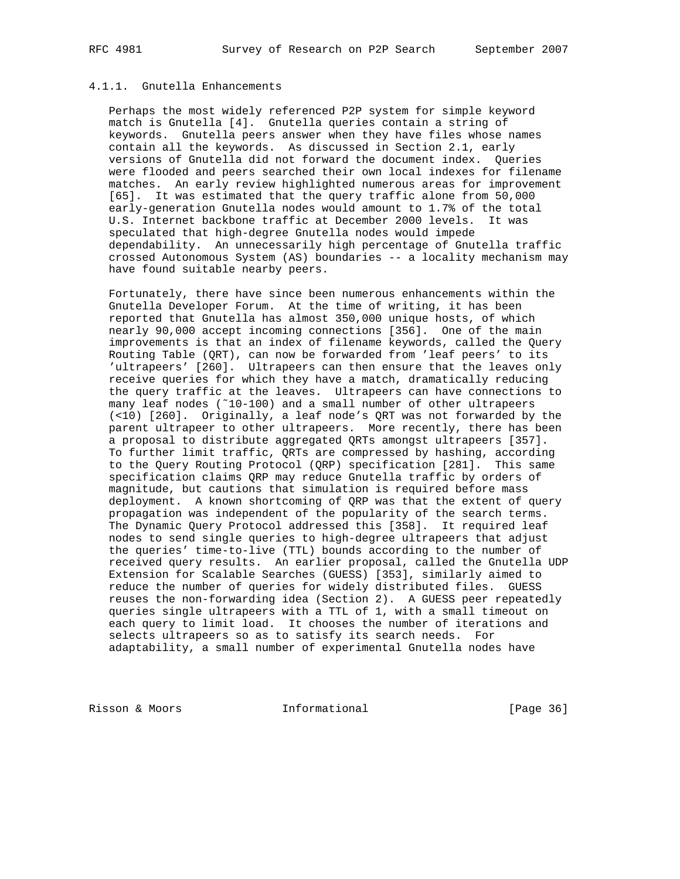## 4.1.1. Gnutella Enhancements

 Perhaps the most widely referenced P2P system for simple keyword match is Gnutella [4]. Gnutella queries contain a string of keywords. Gnutella peers answer when they have files whose names contain all the keywords. As discussed in Section 2.1, early versions of Gnutella did not forward the document index. Queries were flooded and peers searched their own local indexes for filename matches. An early review highlighted numerous areas for improvement [65]. It was estimated that the query traffic alone from 50,000 early-generation Gnutella nodes would amount to 1.7% of the total U.S. Internet backbone traffic at December 2000 levels. It was speculated that high-degree Gnutella nodes would impede dependability. An unnecessarily high percentage of Gnutella traffic crossed Autonomous System (AS) boundaries -- a locality mechanism may have found suitable nearby peers.

 Fortunately, there have since been numerous enhancements within the Gnutella Developer Forum. At the time of writing, it has been reported that Gnutella has almost 350,000 unique hosts, of which nearly 90,000 accept incoming connections [356]. One of the main improvements is that an index of filename keywords, called the Query Routing Table (QRT), can now be forwarded from 'leaf peers' to its 'ultrapeers' [260]. Ultrapeers can then ensure that the leaves only receive queries for which they have a match, dramatically reducing the query traffic at the leaves. Ultrapeers can have connections to many leaf nodes (~10-100) and a small number of other ultrapeers (<10) [260]. Originally, a leaf node's QRT was not forwarded by the parent ultrapeer to other ultrapeers. More recently, there has been a proposal to distribute aggregated QRTs amongst ultrapeers [357]. To further limit traffic, QRTs are compressed by hashing, according to the Query Routing Protocol (QRP) specification [281]. This same specification claims QRP may reduce Gnutella traffic by orders of magnitude, but cautions that simulation is required before mass deployment. A known shortcoming of QRP was that the extent of query propagation was independent of the popularity of the search terms. The Dynamic Query Protocol addressed this [358]. It required leaf nodes to send single queries to high-degree ultrapeers that adjust the queries' time-to-live (TTL) bounds according to the number of received query results. An earlier proposal, called the Gnutella UDP Extension for Scalable Searches (GUESS) [353], similarly aimed to reduce the number of queries for widely distributed files. GUESS reuses the non-forwarding idea (Section 2). A GUESS peer repeatedly queries single ultrapeers with a TTL of 1, with a small timeout on each query to limit load. It chooses the number of iterations and selects ultrapeers so as to satisfy its search needs. For adaptability, a small number of experimental Gnutella nodes have

Risson & Moors **Informational** [Page 36]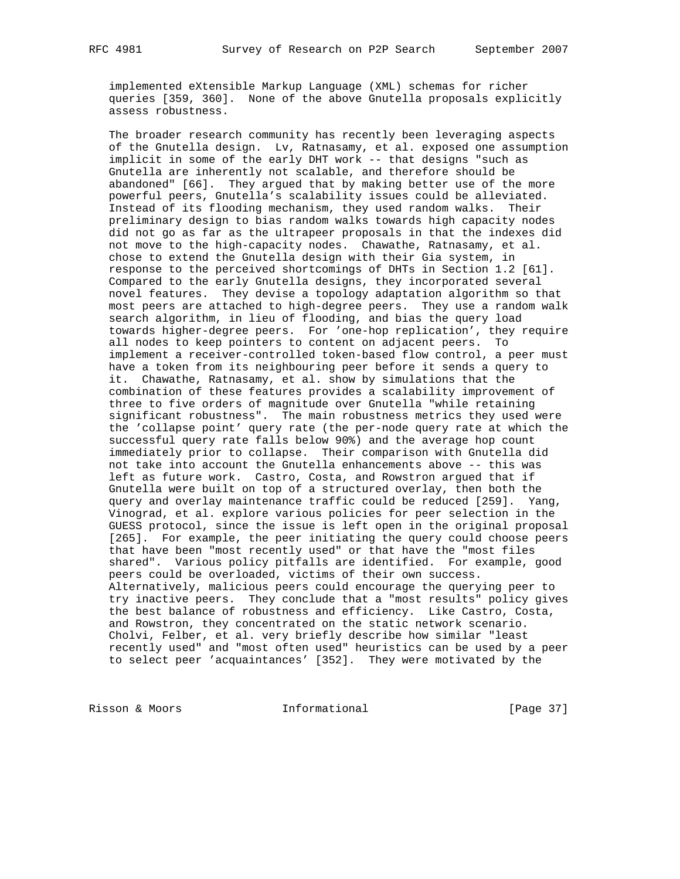implemented eXtensible Markup Language (XML) schemas for richer queries [359, 360]. None of the above Gnutella proposals explicitly assess robustness.

 The broader research community has recently been leveraging aspects of the Gnutella design. Lv, Ratnasamy, et al. exposed one assumption implicit in some of the early DHT work -- that designs "such as Gnutella are inherently not scalable, and therefore should be abandoned" [66]. They argued that by making better use of the more powerful peers, Gnutella's scalability issues could be alleviated. Instead of its flooding mechanism, they used random walks. Their preliminary design to bias random walks towards high capacity nodes did not go as far as the ultrapeer proposals in that the indexes did not move to the high-capacity nodes. Chawathe, Ratnasamy, et al. chose to extend the Gnutella design with their Gia system, in response to the perceived shortcomings of DHTs in Section 1.2 [61]. Compared to the early Gnutella designs, they incorporated several novel features. They devise a topology adaptation algorithm so that most peers are attached to high-degree peers. They use a random walk search algorithm, in lieu of flooding, and bias the query load towards higher-degree peers. For 'one-hop replication', they require all nodes to keep pointers to content on adjacent peers. To implement a receiver-controlled token-based flow control, a peer must have a token from its neighbouring peer before it sends a query to it. Chawathe, Ratnasamy, et al. show by simulations that the combination of these features provides a scalability improvement of three to five orders of magnitude over Gnutella "while retaining significant robustness". The main robustness metrics they used were the 'collapse point' query rate (the per-node query rate at which the successful query rate falls below 90%) and the average hop count immediately prior to collapse. Their comparison with Gnutella did not take into account the Gnutella enhancements above -- this was left as future work. Castro, Costa, and Rowstron argued that if Gnutella were built on top of a structured overlay, then both the query and overlay maintenance traffic could be reduced [259]. Yang, Vinograd, et al. explore various policies for peer selection in the GUESS protocol, since the issue is left open in the original proposal [265]. For example, the peer initiating the query could choose peers that have been "most recently used" or that have the "most files shared". Various policy pitfalls are identified. For example, good peers could be overloaded, victims of their own success. Alternatively, malicious peers could encourage the querying peer to try inactive peers. They conclude that a "most results" policy gives the best balance of robustness and efficiency. Like Castro, Costa, and Rowstron, they concentrated on the static network scenario. Cholvi, Felber, et al. very briefly describe how similar "least recently used" and "most often used" heuristics can be used by a peer to select peer 'acquaintances' [352]. They were motivated by the

Risson & Moors **Informational** [Page 37]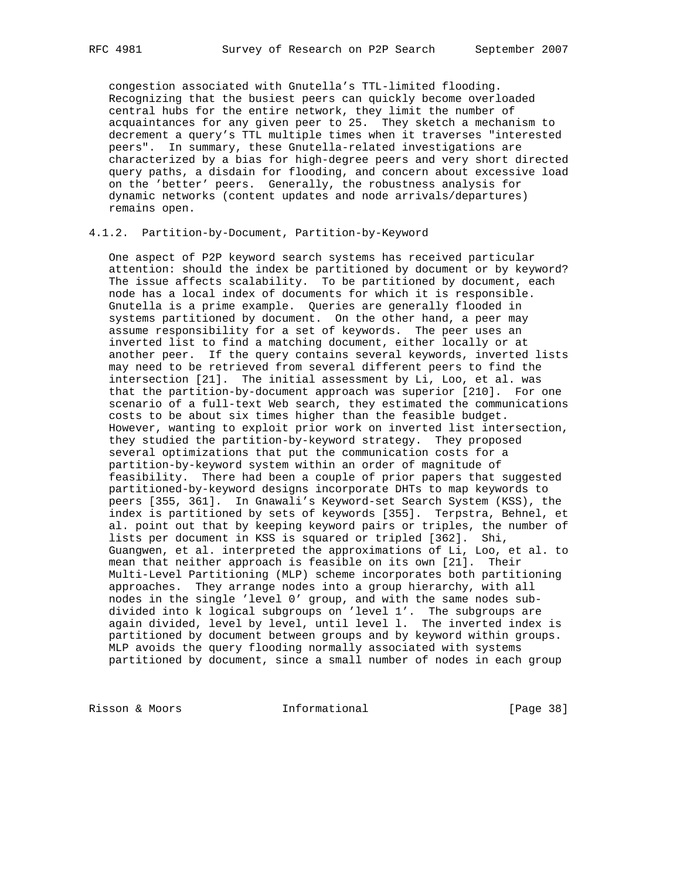congestion associated with Gnutella's TTL-limited flooding. Recognizing that the busiest peers can quickly become overloaded central hubs for the entire network, they limit the number of acquaintances for any given peer to 25. They sketch a mechanism to decrement a query's TTL multiple times when it traverses "interested peers". In summary, these Gnutella-related investigations are characterized by a bias for high-degree peers and very short directed query paths, a disdain for flooding, and concern about excessive load on the 'better' peers. Generally, the robustness analysis for dynamic networks (content updates and node arrivals/departures) remains open.

# 4.1.2. Partition-by-Document, Partition-by-Keyword

 One aspect of P2P keyword search systems has received particular attention: should the index be partitioned by document or by keyword? The issue affects scalability. To be partitioned by document, each node has a local index of documents for which it is responsible. Gnutella is a prime example. Queries are generally flooded in systems partitioned by document. On the other hand, a peer may assume responsibility for a set of keywords. The peer uses an inverted list to find a matching document, either locally or at another peer. If the query contains several keywords, inverted lists may need to be retrieved from several different peers to find the intersection [21]. The initial assessment by Li, Loo, et al. was that the partition-by-document approach was superior [210]. For one scenario of a full-text Web search, they estimated the communications costs to be about six times higher than the feasible budget. However, wanting to exploit prior work on inverted list intersection, they studied the partition-by-keyword strategy. They proposed several optimizations that put the communication costs for a partition-by-keyword system within an order of magnitude of feasibility. There had been a couple of prior papers that suggested partitioned-by-keyword designs incorporate DHTs to map keywords to peers [355, 361]. In Gnawali's Keyword-set Search System (KSS), the index is partitioned by sets of keywords [355]. Terpstra, Behnel, et al. point out that by keeping keyword pairs or triples, the number of lists per document in KSS is squared or tripled [362]. Shi, Guangwen, et al. interpreted the approximations of Li, Loo, et al. to mean that neither approach is feasible on its own [21]. Their Multi-Level Partitioning (MLP) scheme incorporates both partitioning approaches. They arrange nodes into a group hierarchy, with all nodes in the single 'level 0' group, and with the same nodes sub divided into k logical subgroups on 'level 1'. The subgroups are again divided, level by level, until level l. The inverted index is partitioned by document between groups and by keyword within groups. MLP avoids the query flooding normally associated with systems partitioned by document, since a small number of nodes in each group

Risson & Moors **Informational** [Page 38]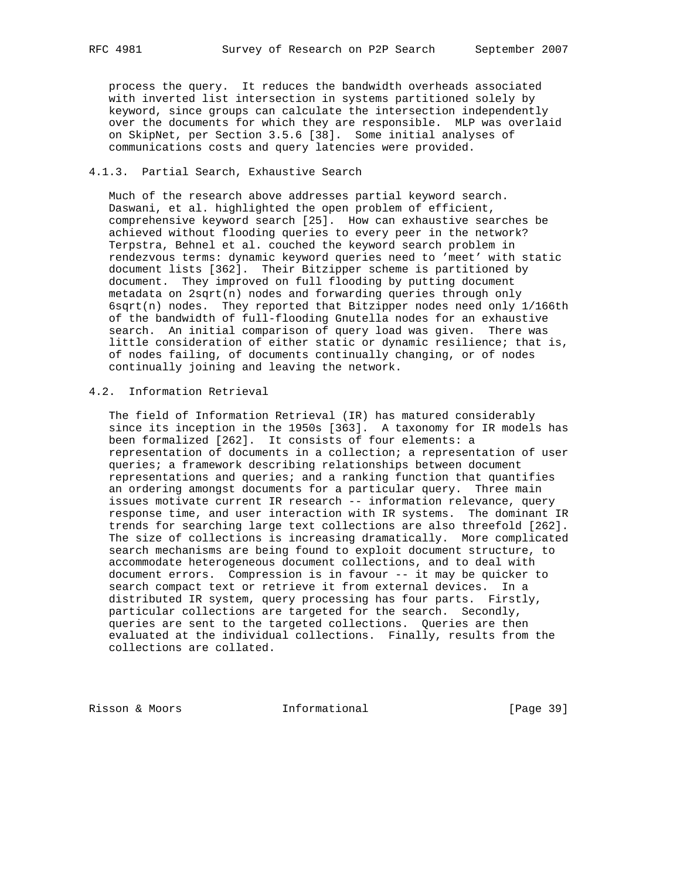process the query. It reduces the bandwidth overheads associated with inverted list intersection in systems partitioned solely by keyword, since groups can calculate the intersection independently over the documents for which they are responsible. MLP was overlaid on SkipNet, per Section 3.5.6 [38]. Some initial analyses of communications costs and query latencies were provided.

# 4.1.3. Partial Search, Exhaustive Search

 Much of the research above addresses partial keyword search. Daswani, et al. highlighted the open problem of efficient, comprehensive keyword search [25]. How can exhaustive searches be achieved without flooding queries to every peer in the network? Terpstra, Behnel et al. couched the keyword search problem in rendezvous terms: dynamic keyword queries need to 'meet' with static document lists [362]. Their Bitzipper scheme is partitioned by document. They improved on full flooding by putting document metadata on 2sqrt(n) nodes and forwarding queries through only 6sqrt(n) nodes. They reported that Bitzipper nodes need only 1/166th of the bandwidth of full-flooding Gnutella nodes for an exhaustive search. An initial comparison of query load was given. There was little consideration of either static or dynamic resilience; that is, of nodes failing, of documents continually changing, or of nodes continually joining and leaving the network.

# 4.2. Information Retrieval

 The field of Information Retrieval (IR) has matured considerably since its inception in the 1950s [363]. A taxonomy for IR models has been formalized [262]. It consists of four elements: a representation of documents in a collection; a representation of user queries; a framework describing relationships between document representations and queries; and a ranking function that quantifies an ordering amongst documents for a particular query. Three main issues motivate current IR research -- information relevance, query response time, and user interaction with IR systems. The dominant IR trends for searching large text collections are also threefold [262]. The size of collections is increasing dramatically. More complicated search mechanisms are being found to exploit document structure, to accommodate heterogeneous document collections, and to deal with document errors. Compression is in favour -- it may be quicker to search compact text or retrieve it from external devices. In a distributed IR system, query processing has four parts. Firstly, particular collections are targeted for the search. Secondly, queries are sent to the targeted collections. Queries are then evaluated at the individual collections. Finally, results from the collections are collated.

Risson & Moors **Informational** [Page 39]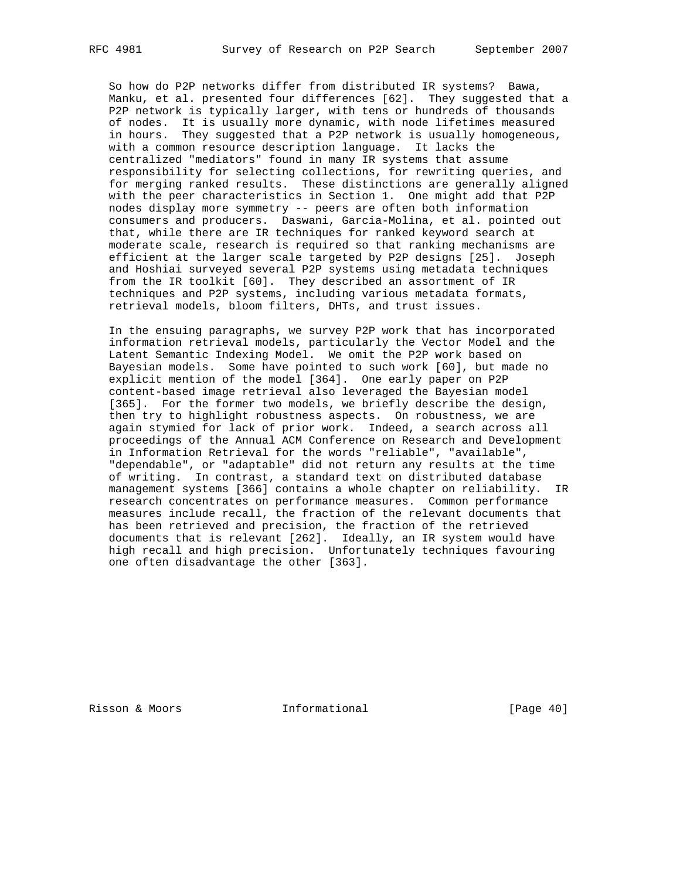So how do P2P networks differ from distributed IR systems? Bawa, Manku, et al. presented four differences [62]. They suggested that a P2P network is typically larger, with tens or hundreds of thousands of nodes. It is usually more dynamic, with node lifetimes measured in hours. They suggested that a P2P network is usually homogeneous, with a common resource description language. It lacks the centralized "mediators" found in many IR systems that assume responsibility for selecting collections, for rewriting queries, and for merging ranked results. These distinctions are generally aligned with the peer characteristics in Section 1. One might add that P2P nodes display more symmetry -- peers are often both information consumers and producers. Daswani, Garcia-Molina, et al. pointed out that, while there are IR techniques for ranked keyword search at moderate scale, research is required so that ranking mechanisms are efficient at the larger scale targeted by P2P designs [25]. Joseph and Hoshiai surveyed several P2P systems using metadata techniques from the IR toolkit [60]. They described an assortment of IR techniques and P2P systems, including various metadata formats, retrieval models, bloom filters, DHTs, and trust issues.

 In the ensuing paragraphs, we survey P2P work that has incorporated information retrieval models, particularly the Vector Model and the Latent Semantic Indexing Model. We omit the P2P work based on Bayesian models. Some have pointed to such work [60], but made no explicit mention of the model [364]. One early paper on P2P content-based image retrieval also leveraged the Bayesian model [365]. For the former two models, we briefly describe the design, then try to highlight robustness aspects. On robustness, we are again stymied for lack of prior work. Indeed, a search across all proceedings of the Annual ACM Conference on Research and Development in Information Retrieval for the words "reliable", "available", "dependable", or "adaptable" did not return any results at the time of writing. In contrast, a standard text on distributed database management systems [366] contains a whole chapter on reliability. IR research concentrates on performance measures. Common performance measures include recall, the fraction of the relevant documents that has been retrieved and precision, the fraction of the retrieved documents that is relevant [262]. Ideally, an IR system would have high recall and high precision. Unfortunately techniques favouring one often disadvantage the other [363].

Risson & Moors **Informational** [Page 40]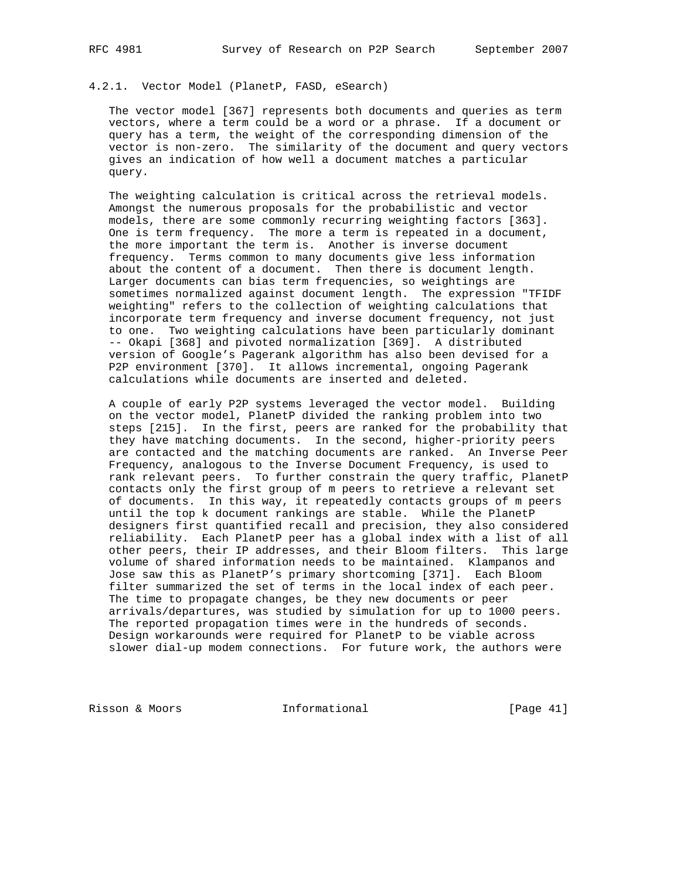#### 4.2.1. Vector Model (PlanetP, FASD, eSearch)

 The vector model [367] represents both documents and queries as term vectors, where a term could be a word or a phrase. If a document or query has a term, the weight of the corresponding dimension of the vector is non-zero. The similarity of the document and query vectors gives an indication of how well a document matches a particular query.

 The weighting calculation is critical across the retrieval models. Amongst the numerous proposals for the probabilistic and vector models, there are some commonly recurring weighting factors [363]. One is term frequency. The more a term is repeated in a document, the more important the term is. Another is inverse document frequency. Terms common to many documents give less information about the content of a document. Then there is document length. Larger documents can bias term frequencies, so weightings are sometimes normalized against document length. The expression "TFIDF weighting" refers to the collection of weighting calculations that incorporate term frequency and inverse document frequency, not just to one. Two weighting calculations have been particularly dominant -- Okapi [368] and pivoted normalization [369]. A distributed version of Google's Pagerank algorithm has also been devised for a P2P environment [370]. It allows incremental, ongoing Pagerank calculations while documents are inserted and deleted.

 A couple of early P2P systems leveraged the vector model. Building on the vector model, PlanetP divided the ranking problem into two steps [215]. In the first, peers are ranked for the probability that they have matching documents. In the second, higher-priority peers are contacted and the matching documents are ranked. An Inverse Peer Frequency, analogous to the Inverse Document Frequency, is used to rank relevant peers. To further constrain the query traffic, PlanetP contacts only the first group of m peers to retrieve a relevant set of documents. In this way, it repeatedly contacts groups of m peers until the top k document rankings are stable. While the PlanetP designers first quantified recall and precision, they also considered reliability. Each PlanetP peer has a global index with a list of all other peers, their IP addresses, and their Bloom filters. This large volume of shared information needs to be maintained. Klampanos and Jose saw this as PlanetP's primary shortcoming [371]. Each Bloom filter summarized the set of terms in the local index of each peer. The time to propagate changes, be they new documents or peer arrivals/departures, was studied by simulation for up to 1000 peers. The reported propagation times were in the hundreds of seconds. Design workarounds were required for PlanetP to be viable across slower dial-up modem connections. For future work, the authors were

Risson & Moors **Informational** [Page 41]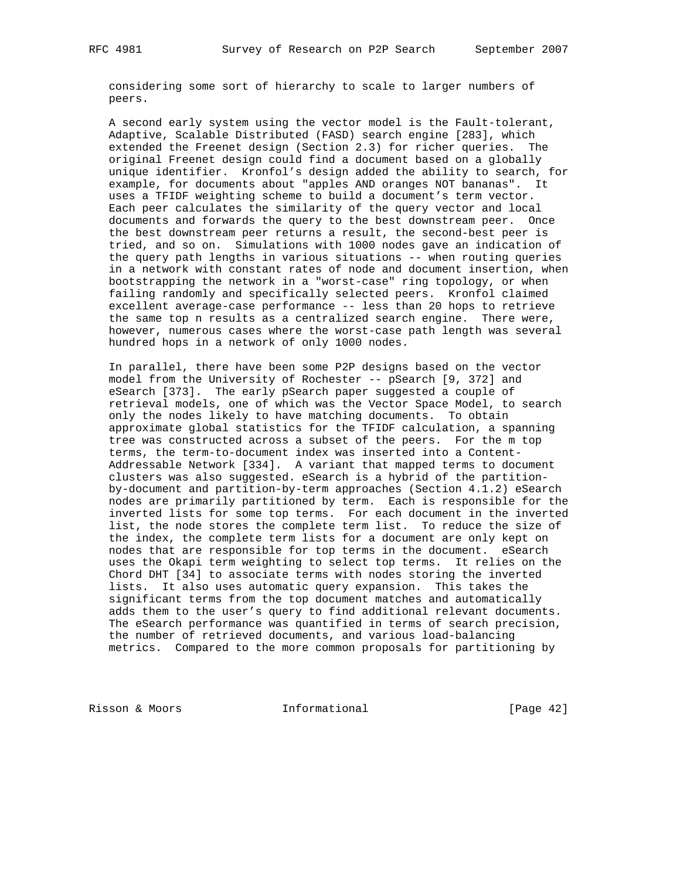considering some sort of hierarchy to scale to larger numbers of peers.

 A second early system using the vector model is the Fault-tolerant, Adaptive, Scalable Distributed (FASD) search engine [283], which extended the Freenet design (Section 2.3) for richer queries. The original Freenet design could find a document based on a globally unique identifier. Kronfol's design added the ability to search, for example, for documents about "apples AND oranges NOT bananas". It uses a TFIDF weighting scheme to build a document's term vector. Each peer calculates the similarity of the query vector and local documents and forwards the query to the best downstream peer. Once the best downstream peer returns a result, the second-best peer is tried, and so on. Simulations with 1000 nodes gave an indication of the query path lengths in various situations -- when routing queries in a network with constant rates of node and document insertion, when bootstrapping the network in a "worst-case" ring topology, or when failing randomly and specifically selected peers. Kronfol claimed excellent average-case performance -- less than 20 hops to retrieve the same top n results as a centralized search engine. There were, however, numerous cases where the worst-case path length was several hundred hops in a network of only 1000 nodes.

 In parallel, there have been some P2P designs based on the vector model from the University of Rochester -- pSearch [9, 372] and eSearch [373]. The early pSearch paper suggested a couple of retrieval models, one of which was the Vector Space Model, to search only the nodes likely to have matching documents. To obtain approximate global statistics for the TFIDF calculation, a spanning tree was constructed across a subset of the peers. For the m top terms, the term-to-document index was inserted into a Content- Addressable Network [334]. A variant that mapped terms to document clusters was also suggested. eSearch is a hybrid of the partition by-document and partition-by-term approaches (Section 4.1.2) eSearch nodes are primarily partitioned by term. Each is responsible for the inverted lists for some top terms. For each document in the inverted list, the node stores the complete term list. To reduce the size of the index, the complete term lists for a document are only kept on nodes that are responsible for top terms in the document. eSearch uses the Okapi term weighting to select top terms. It relies on the Chord DHT [34] to associate terms with nodes storing the inverted lists. It also uses automatic query expansion. This takes the significant terms from the top document matches and automatically adds them to the user's query to find additional relevant documents. The eSearch performance was quantified in terms of search precision, the number of retrieved documents, and various load-balancing metrics. Compared to the more common proposals for partitioning by

Risson & Moors **Informational** [Page 42]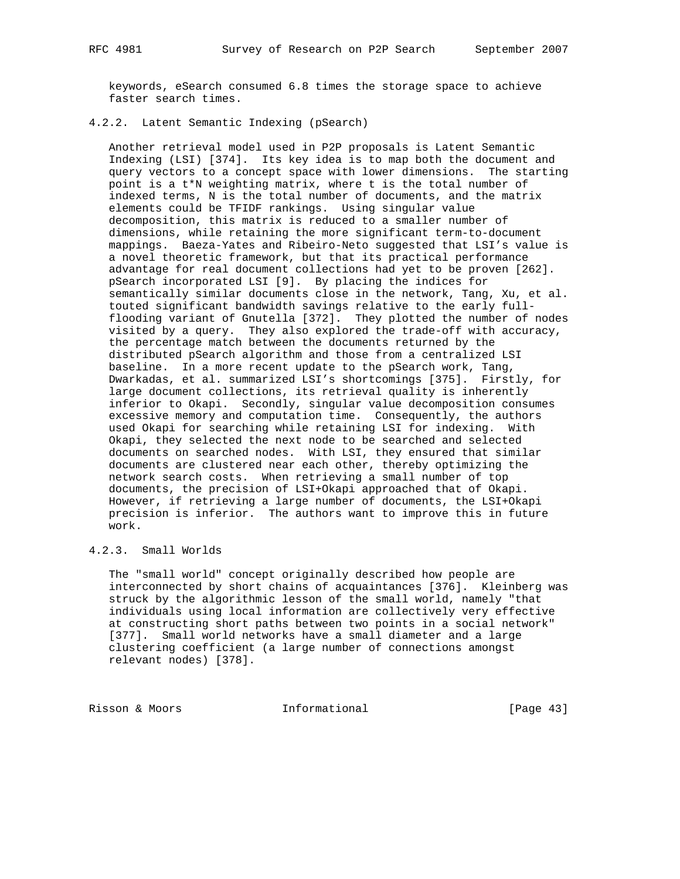keywords, eSearch consumed 6.8 times the storage space to achieve faster search times.

## 4.2.2. Latent Semantic Indexing (pSearch)

 Another retrieval model used in P2P proposals is Latent Semantic Indexing (LSI) [374]. Its key idea is to map both the document and query vectors to a concept space with lower dimensions. The starting point is a t\*N weighting matrix, where t is the total number of indexed terms, N is the total number of documents, and the matrix elements could be TFIDF rankings. Using singular value decomposition, this matrix is reduced to a smaller number of dimensions, while retaining the more significant term-to-document mappings. Baeza-Yates and Ribeiro-Neto suggested that LSI's value is a novel theoretic framework, but that its practical performance advantage for real document collections had yet to be proven [262]. pSearch incorporated LSI [9]. By placing the indices for semantically similar documents close in the network, Tang, Xu, et al. touted significant bandwidth savings relative to the early full flooding variant of Gnutella [372]. They plotted the number of nodes visited by a query. They also explored the trade-off with accuracy, the percentage match between the documents returned by the distributed pSearch algorithm and those from a centralized LSI baseline. In a more recent update to the pSearch work, Tang, Dwarkadas, et al. summarized LSI's shortcomings [375]. Firstly, for large document collections, its retrieval quality is inherently inferior to Okapi. Secondly, singular value decomposition consumes excessive memory and computation time. Consequently, the authors used Okapi for searching while retaining LSI for indexing. With Okapi, they selected the next node to be searched and selected documents on searched nodes. With LSI, they ensured that similar documents are clustered near each other, thereby optimizing the network search costs. When retrieving a small number of top documents, the precision of LSI+Okapi approached that of Okapi. However, if retrieving a large number of documents, the LSI+Okapi precision is inferior. The authors want to improve this in future work.

# 4.2.3. Small Worlds

 The "small world" concept originally described how people are interconnected by short chains of acquaintances [376]. Kleinberg was struck by the algorithmic lesson of the small world, namely "that individuals using local information are collectively very effective at constructing short paths between two points in a social network" [377]. Small world networks have a small diameter and a large clustering coefficient (a large number of connections amongst relevant nodes) [378].

Risson & Moors **Informational** [Page 43]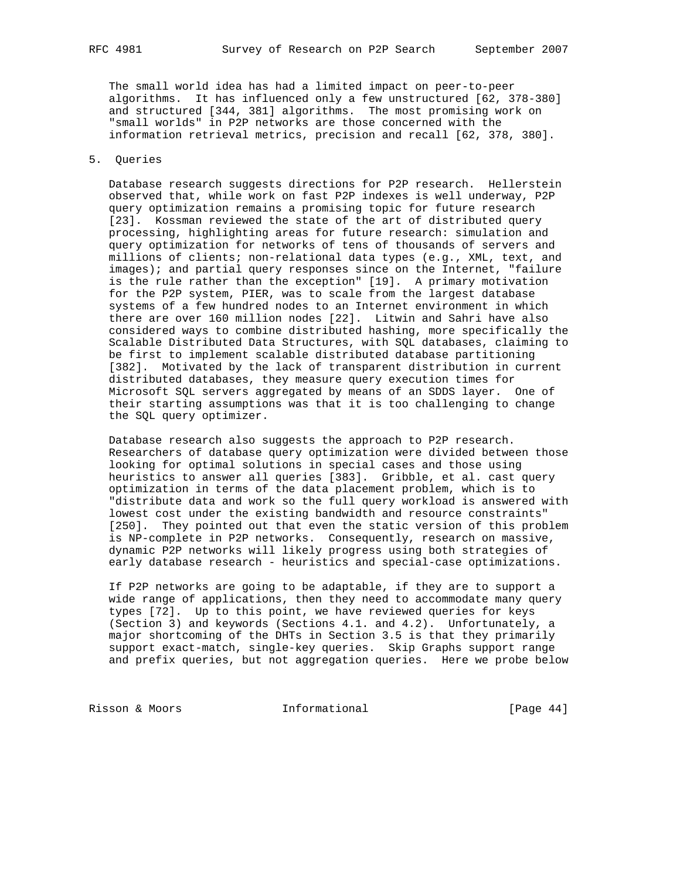The small world idea has had a limited impact on peer-to-peer algorithms. It has influenced only a few unstructured [62, 378-380] and structured [344, 381] algorithms. The most promising work on "small worlds" in P2P networks are those concerned with the information retrieval metrics, precision and recall [62, 378, 380].

### 5. Queries

 Database research suggests directions for P2P research. Hellerstein observed that, while work on fast P2P indexes is well underway, P2P query optimization remains a promising topic for future research [23]. Kossman reviewed the state of the art of distributed query processing, highlighting areas for future research: simulation and query optimization for networks of tens of thousands of servers and millions of clients; non-relational data types (e.g., XML, text, and images); and partial query responses since on the Internet, "failure is the rule rather than the exception" [19]. A primary motivation for the P2P system, PIER, was to scale from the largest database systems of a few hundred nodes to an Internet environment in which there are over 160 million nodes [22]. Litwin and Sahri have also considered ways to combine distributed hashing, more specifically the Scalable Distributed Data Structures, with SQL databases, claiming to be first to implement scalable distributed database partitioning [382]. Motivated by the lack of transparent distribution in current distributed databases, they measure query execution times for Microsoft SQL servers aggregated by means of an SDDS layer. One of their starting assumptions was that it is too challenging to change the SQL query optimizer.

 Database research also suggests the approach to P2P research. Researchers of database query optimization were divided between those looking for optimal solutions in special cases and those using heuristics to answer all queries [383]. Gribble, et al. cast query optimization in terms of the data placement problem, which is to "distribute data and work so the full query workload is answered with lowest cost under the existing bandwidth and resource constraints" [250]. They pointed out that even the static version of this problem is NP-complete in P2P networks. Consequently, research on massive, dynamic P2P networks will likely progress using both strategies of early database research - heuristics and special-case optimizations.

 If P2P networks are going to be adaptable, if they are to support a wide range of applications, then they need to accommodate many query types [72]. Up to this point, we have reviewed queries for keys (Section 3) and keywords (Sections 4.1. and 4.2). Unfortunately, a major shortcoming of the DHTs in Section 3.5 is that they primarily support exact-match, single-key queries. Skip Graphs support range and prefix queries, but not aggregation queries. Here we probe below

Risson & Moors **Informational** [Page 44]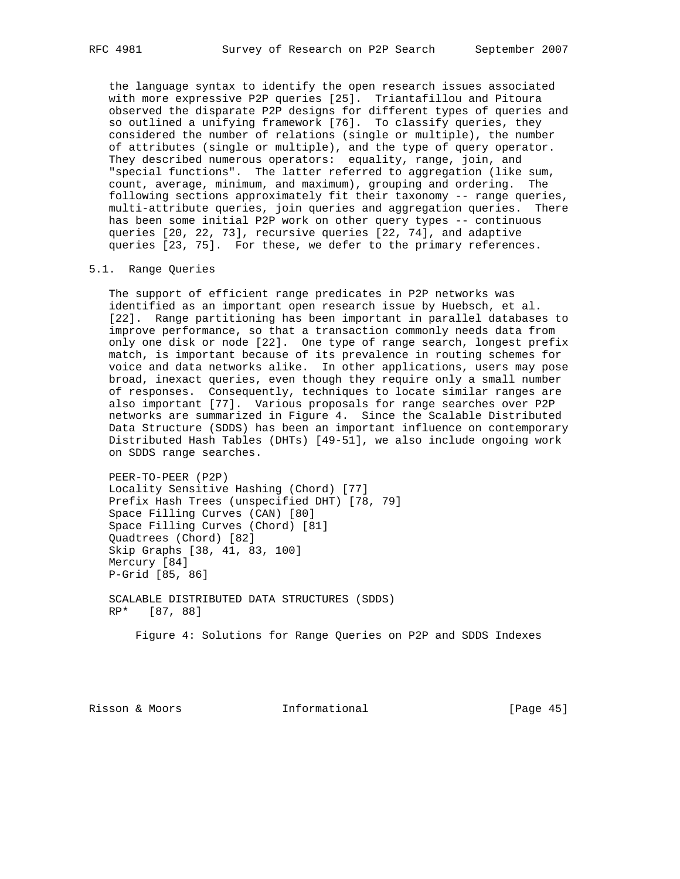the language syntax to identify the open research issues associated with more expressive P2P queries [25]. Triantafillou and Pitoura observed the disparate P2P designs for different types of queries and so outlined a unifying framework [76]. To classify queries, they considered the number of relations (single or multiple), the number of attributes (single or multiple), and the type of query operator. They described numerous operators: equality, range, join, and "special functions". The latter referred to aggregation (like sum, count, average, minimum, and maximum), grouping and ordering. The following sections approximately fit their taxonomy -- range queries, multi-attribute queries, join queries and aggregation queries. There has been some initial P2P work on other query types -- continuous queries [20, 22, 73], recursive queries [22, 74], and adaptive queries [23, 75]. For these, we defer to the primary references.

#### 5.1. Range Queries

 The support of efficient range predicates in P2P networks was identified as an important open research issue by Huebsch, et al. [22]. Range partitioning has been important in parallel databases to improve performance, so that a transaction commonly needs data from only one disk or node [22]. One type of range search, longest prefix match, is important because of its prevalence in routing schemes for voice and data networks alike. In other applications, users may pose broad, inexact queries, even though they require only a small number of responses. Consequently, techniques to locate similar ranges are also important [77]. Various proposals for range searches over P2P networks are summarized in Figure 4. Since the Scalable Distributed Data Structure (SDDS) has been an important influence on contemporary Distributed Hash Tables (DHTs) [49-51], we also include ongoing work on SDDS range searches.

 PEER-TO-PEER (P2P) Locality Sensitive Hashing (Chord) [77] Prefix Hash Trees (unspecified DHT) [78, 79] Space Filling Curves (CAN) [80] Space Filling Curves (Chord) [81] Quadtrees (Chord) [82] Skip Graphs [38, 41, 83, 100] Mercury [84] P-Grid [85, 86]

 SCALABLE DISTRIBUTED DATA STRUCTURES (SDDS) RP\* [87, 88]

Figure 4: Solutions for Range Queries on P2P and SDDS Indexes

Risson & Moors **Informational** [Page 45]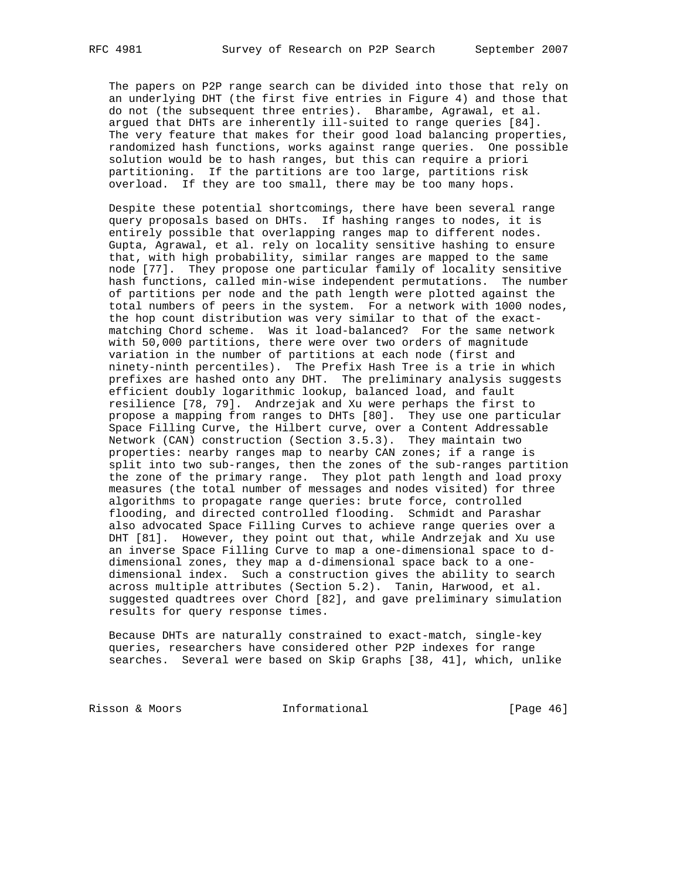The papers on P2P range search can be divided into those that rely on an underlying DHT (the first five entries in Figure 4) and those that do not (the subsequent three entries). Bharambe, Agrawal, et al. argued that DHTs are inherently ill-suited to range queries [84]. The very feature that makes for their good load balancing properties, randomized hash functions, works against range queries. One possible solution would be to hash ranges, but this can require a priori partitioning. If the partitions are too large, partitions risk overload. If they are too small, there may be too many hops.

 Despite these potential shortcomings, there have been several range query proposals based on DHTs. If hashing ranges to nodes, it is entirely possible that overlapping ranges map to different nodes. Gupta, Agrawal, et al. rely on locality sensitive hashing to ensure that, with high probability, similar ranges are mapped to the same node [77]. They propose one particular family of locality sensitive hash functions, called min-wise independent permutations. The number of partitions per node and the path length were plotted against the total numbers of peers in the system. For a network with 1000 nodes, the hop count distribution was very similar to that of the exact matching Chord scheme. Was it load-balanced? For the same network with 50,000 partitions, there were over two orders of magnitude variation in the number of partitions at each node (first and ninety-ninth percentiles). The Prefix Hash Tree is a trie in which prefixes are hashed onto any DHT. The preliminary analysis suggests efficient doubly logarithmic lookup, balanced load, and fault resilience [78, 79]. Andrzejak and Xu were perhaps the first to propose a mapping from ranges to DHTs [80]. They use one particular Space Filling Curve, the Hilbert curve, over a Content Addressable Network (CAN) construction (Section 3.5.3). They maintain two properties: nearby ranges map to nearby CAN zones; if a range is split into two sub-ranges, then the zones of the sub-ranges partition the zone of the primary range. They plot path length and load proxy measures (the total number of messages and nodes visited) for three algorithms to propagate range queries: brute force, controlled flooding, and directed controlled flooding. Schmidt and Parashar also advocated Space Filling Curves to achieve range queries over a DHT [81]. However, they point out that, while Andrzejak and Xu use an inverse Space Filling Curve to map a one-dimensional space to d dimensional zones, they map a d-dimensional space back to a one dimensional index. Such a construction gives the ability to search across multiple attributes (Section 5.2). Tanin, Harwood, et al. suggested quadtrees over Chord [82], and gave preliminary simulation results for query response times.

 Because DHTs are naturally constrained to exact-match, single-key queries, researchers have considered other P2P indexes for range searches. Several were based on Skip Graphs [38, 41], which, unlike

Risson & Moors **Informational** [Page 46]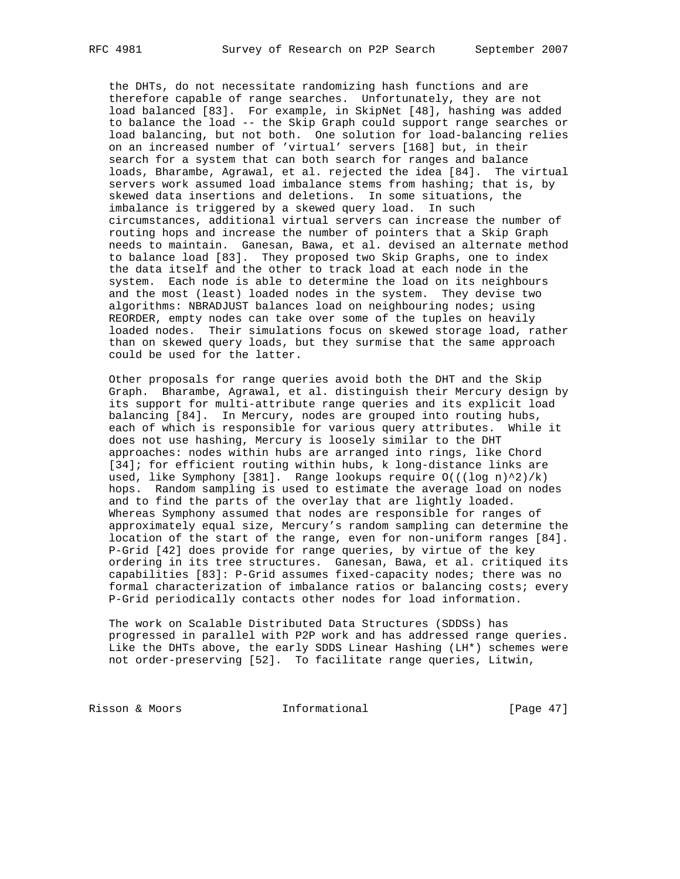the DHTs, do not necessitate randomizing hash functions and are therefore capable of range searches. Unfortunately, they are not load balanced [83]. For example, in SkipNet [48], hashing was added to balance the load -- the Skip Graph could support range searches or load balancing, but not both. One solution for load-balancing relies on an increased number of 'virtual' servers [168] but, in their search for a system that can both search for ranges and balance loads, Bharambe, Agrawal, et al. rejected the idea [84]. The virtual servers work assumed load imbalance stems from hashing; that is, by skewed data insertions and deletions. In some situations, the imbalance is triggered by a skewed query load. In such circumstances, additional virtual servers can increase the number of routing hops and increase the number of pointers that a Skip Graph needs to maintain. Ganesan, Bawa, et al. devised an alternate method to balance load [83]. They proposed two Skip Graphs, one to index the data itself and the other to track load at each node in the system. Each node is able to determine the load on its neighbours and the most (least) loaded nodes in the system. They devise two algorithms: NBRADJUST balances load on neighbouring nodes; using REORDER, empty nodes can take over some of the tuples on heavily loaded nodes. Their simulations focus on skewed storage load, rather than on skewed query loads, but they surmise that the same approach could be used for the latter.

 Other proposals for range queries avoid both the DHT and the Skip Graph. Bharambe, Agrawal, et al. distinguish their Mercury design by its support for multi-attribute range queries and its explicit load balancing [84]. In Mercury, nodes are grouped into routing hubs, each of which is responsible for various query attributes. While it does not use hashing, Mercury is loosely similar to the DHT approaches: nodes within hubs are arranged into rings, like Chord [34]; for efficient routing within hubs, k long-distance links are used, like Symphony [381]. Range lookups require  $O((\log n)^2)/k)$  hops. Random sampling is used to estimate the average load on nodes and to find the parts of the overlay that are lightly loaded. Whereas Symphony assumed that nodes are responsible for ranges of approximately equal size, Mercury's random sampling can determine the location of the start of the range, even for non-uniform ranges [84]. P-Grid [42] does provide for range queries, by virtue of the key ordering in its tree structures. Ganesan, Bawa, et al. critiqued its capabilities [83]: P-Grid assumes fixed-capacity nodes; there was no formal characterization of imbalance ratios or balancing costs; every P-Grid periodically contacts other nodes for load information.

 The work on Scalable Distributed Data Structures (SDDSs) has progressed in parallel with P2P work and has addressed range queries. Like the DHTs above, the early SDDS Linear Hashing (LH\*) schemes were not order-preserving [52]. To facilitate range queries, Litwin,

Risson & Moors **Informational** [Page 47]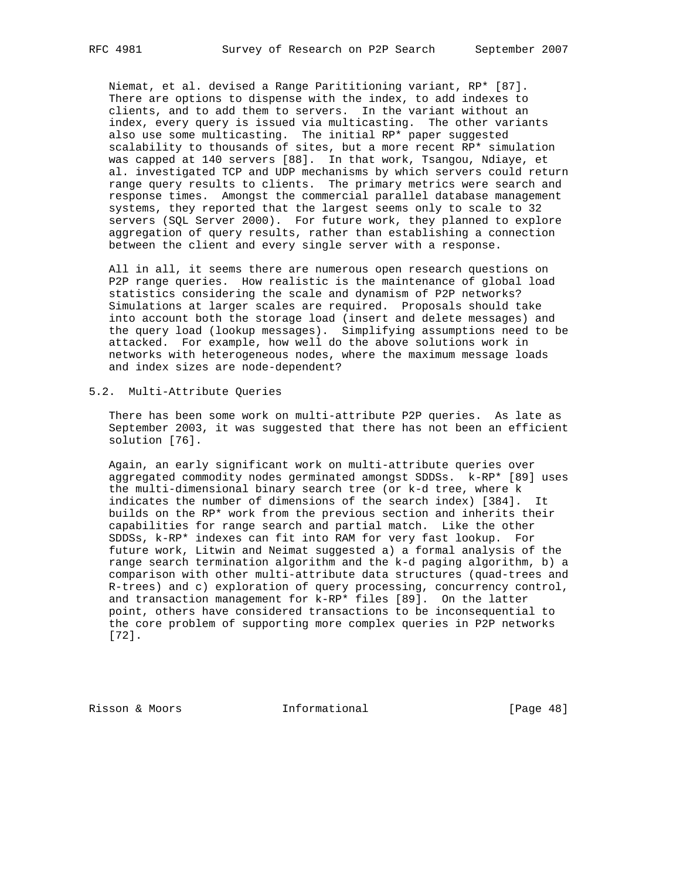Niemat, et al. devised a Range Parititioning variant, RP\* [87]. There are options to dispense with the index, to add indexes to clients, and to add them to servers. In the variant without an index, every query is issued via multicasting. The other variants also use some multicasting. The initial RP\* paper suggested scalability to thousands of sites, but a more recent RP\* simulation was capped at 140 servers [88]. In that work, Tsangou, Ndiaye, et al. investigated TCP and UDP mechanisms by which servers could return range query results to clients. The primary metrics were search and response times. Amongst the commercial parallel database management systems, they reported that the largest seems only to scale to 32 servers (SQL Server 2000). For future work, they planned to explore aggregation of query results, rather than establishing a connection between the client and every single server with a response.

 All in all, it seems there are numerous open research questions on P2P range queries. How realistic is the maintenance of global load statistics considering the scale and dynamism of P2P networks? Simulations at larger scales are required. Proposals should take into account both the storage load (insert and delete messages) and the query load (lookup messages). Simplifying assumptions need to be attacked. For example, how well do the above solutions work in networks with heterogeneous nodes, where the maximum message loads and index sizes are node-dependent?

### 5.2. Multi-Attribute Queries

 There has been some work on multi-attribute P2P queries. As late as September 2003, it was suggested that there has not been an efficient solution [76].

 Again, an early significant work on multi-attribute queries over aggregated commodity nodes germinated amongst SDDSs. k-RP\* [89] uses the multi-dimensional binary search tree (or k-d tree, where k indicates the number of dimensions of the search index) [384]. It builds on the RP\* work from the previous section and inherits their capabilities for range search and partial match. Like the other SDDSs, k-RP\* indexes can fit into RAM for very fast lookup. For future work, Litwin and Neimat suggested a) a formal analysis of the range search termination algorithm and the k-d paging algorithm, b) a comparison with other multi-attribute data structures (quad-trees and R-trees) and c) exploration of query processing, concurrency control, and transaction management for k-RP\* files [89]. On the latter point, others have considered transactions to be inconsequential to the core problem of supporting more complex queries in P2P networks [72].

Risson & Moors **Informational** [Page 48]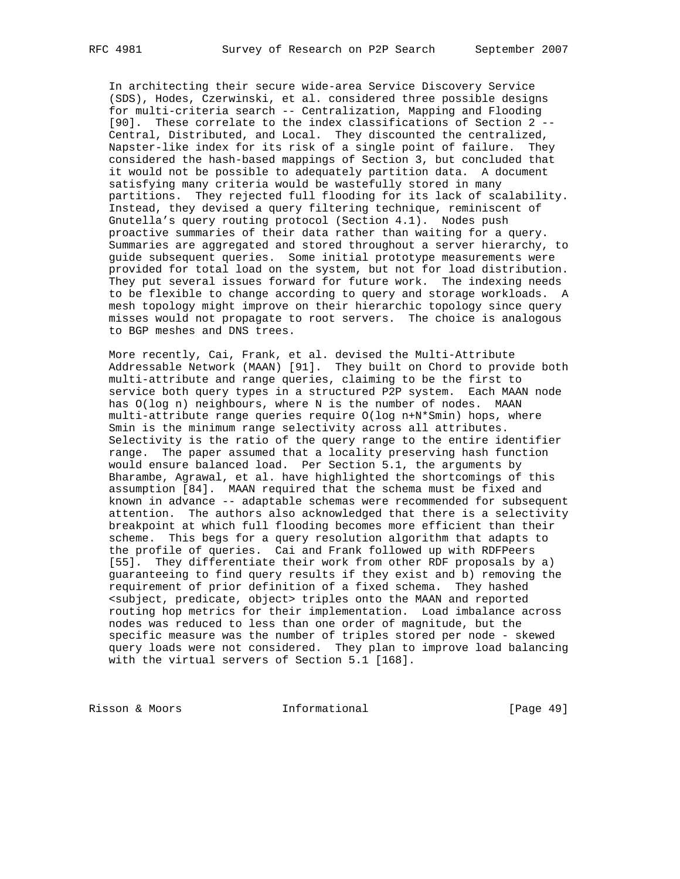In architecting their secure wide-area Service Discovery Service (SDS), Hodes, Czerwinski, et al. considered three possible designs for multi-criteria search -- Centralization, Mapping and Flooding [90]. These correlate to the index classifications of Section 2 -- Central, Distributed, and Local. They discounted the centralized, Napster-like index for its risk of a single point of failure. They considered the hash-based mappings of Section 3, but concluded that it would not be possible to adequately partition data. A document satisfying many criteria would be wastefully stored in many partitions. They rejected full flooding for its lack of scalability. Instead, they devised a query filtering technique, reminiscent of Gnutella's query routing protocol (Section 4.1). Nodes push proactive summaries of their data rather than waiting for a query. Summaries are aggregated and stored throughout a server hierarchy, to guide subsequent queries. Some initial prototype measurements were provided for total load on the system, but not for load distribution. They put several issues forward for future work. The indexing needs to be flexible to change according to query and storage workloads. A mesh topology might improve on their hierarchic topology since query misses would not propagate to root servers. The choice is analogous to BGP meshes and DNS trees.

 More recently, Cai, Frank, et al. devised the Multi-Attribute Addressable Network (MAAN) [91]. They built on Chord to provide both multi-attribute and range queries, claiming to be the first to service both query types in a structured P2P system. Each MAAN node has O(log n) neighbours, where N is the number of nodes. MAAN multi-attribute range queries require O(log n+N\*Smin) hops, where Smin is the minimum range selectivity across all attributes. Selectivity is the ratio of the query range to the entire identifier range. The paper assumed that a locality preserving hash function would ensure balanced load. Per Section 5.1, the arguments by Bharambe, Agrawal, et al. have highlighted the shortcomings of this assumption [84]. MAAN required that the schema must be fixed and known in advance -- adaptable schemas were recommended for subsequent attention. The authors also acknowledged that there is a selectivity breakpoint at which full flooding becomes more efficient than their scheme. This begs for a query resolution algorithm that adapts to the profile of queries. Cai and Frank followed up with RDFPeers [55]. They differentiate their work from other RDF proposals by a) guaranteeing to find query results if they exist and b) removing the requirement of prior definition of a fixed schema. They hashed <subject, predicate, object> triples onto the MAAN and reported routing hop metrics for their implementation. Load imbalance across nodes was reduced to less than one order of magnitude, but the specific measure was the number of triples stored per node - skewed query loads were not considered. They plan to improve load balancing with the virtual servers of Section 5.1 [168].

Risson & Moors **Informational** [Page 49]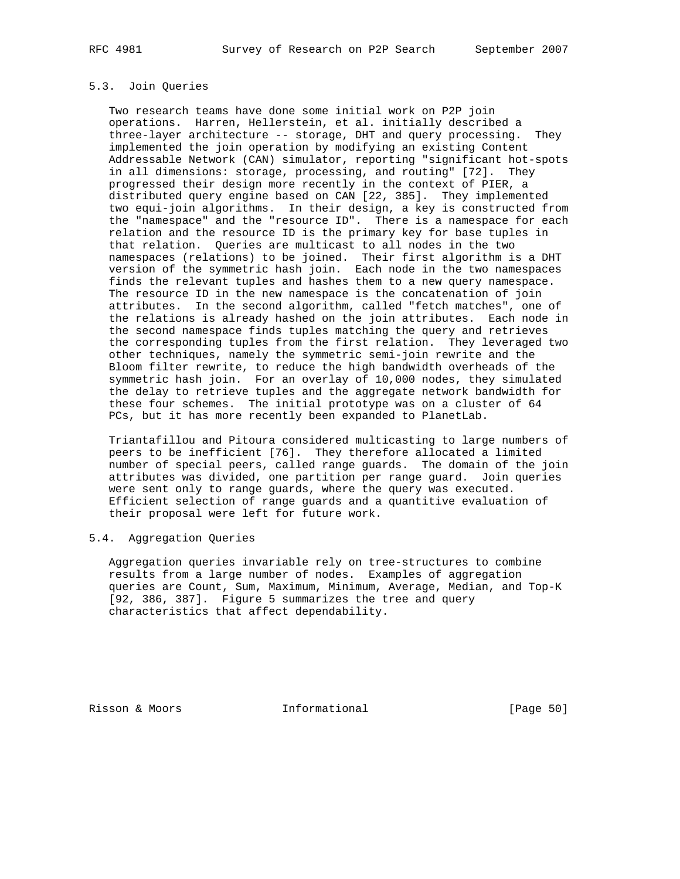### 5.3. Join Queries

 Two research teams have done some initial work on P2P join operations. Harren, Hellerstein, et al. initially described a three-layer architecture -- storage, DHT and query processing. They implemented the join operation by modifying an existing Content Addressable Network (CAN) simulator, reporting "significant hot-spots in all dimensions: storage, processing, and routing" [72]. They progressed their design more recently in the context of PIER, a distributed query engine based on CAN [22, 385]. They implemented two equi-join algorithms. In their design, a key is constructed from the "namespace" and the "resource ID". There is a namespace for each relation and the resource ID is the primary key for base tuples in that relation. Queries are multicast to all nodes in the two namespaces (relations) to be joined. Their first algorithm is a DHT version of the symmetric hash join. Each node in the two namespaces finds the relevant tuples and hashes them to a new query namespace. The resource ID in the new namespace is the concatenation of join attributes. In the second algorithm, called "fetch matches", one of the relations is already hashed on the join attributes. Each node in the second namespace finds tuples matching the query and retrieves the corresponding tuples from the first relation. They leveraged two other techniques, namely the symmetric semi-join rewrite and the Bloom filter rewrite, to reduce the high bandwidth overheads of the symmetric hash join. For an overlay of 10,000 nodes, they simulated the delay to retrieve tuples and the aggregate network bandwidth for these four schemes. The initial prototype was on a cluster of 64 PCs, but it has more recently been expanded to PlanetLab.

 Triantafillou and Pitoura considered multicasting to large numbers of peers to be inefficient [76]. They therefore allocated a limited number of special peers, called range guards. The domain of the join attributes was divided, one partition per range guard. Join queries were sent only to range guards, where the query was executed. Efficient selection of range guards and a quantitive evaluation of their proposal were left for future work.

## 5.4. Aggregation Queries

 Aggregation queries invariable rely on tree-structures to combine results from a large number of nodes. Examples of aggregation queries are Count, Sum, Maximum, Minimum, Average, Median, and Top-K [92, 386, 387]. Figure 5 summarizes the tree and query characteristics that affect dependability.

Risson & Moors **Informational** [Page 50]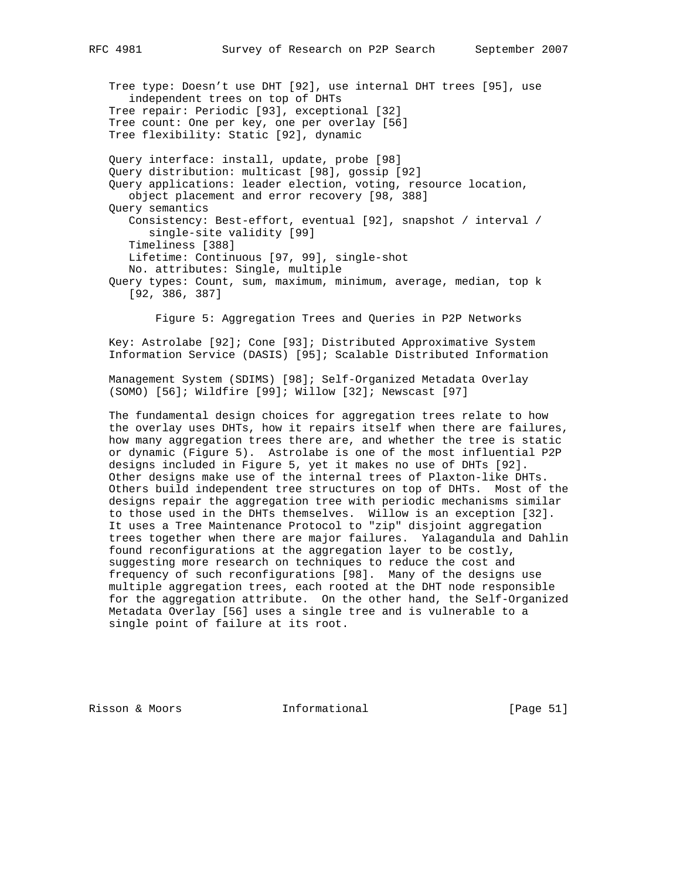Tree type: Doesn't use DHT [92], use internal DHT trees [95], use independent trees on top of DHTs Tree repair: Periodic [93], exceptional [32] Tree count: One per key, one per overlay [56] Tree flexibility: Static [92], dynamic Query interface: install, update, probe [98] Query distribution: multicast [98], gossip [92] Query applications: leader election, voting, resource location, object placement and error recovery [98, 388] Query semantics Consistency: Best-effort, eventual [92], snapshot / interval / single-site validity [99]

 Timeliness [388] Lifetime: Continuous [97, 99], single-shot

- No. attributes: Single, multiple
- Query types: Count, sum, maximum, minimum, average, median, top k [92, 386, 387]

Figure 5: Aggregation Trees and Queries in P2P Networks

 Key: Astrolabe [92]; Cone [93]; Distributed Approximative System Information Service (DASIS) [95]; Scalable Distributed Information

 Management System (SDIMS) [98]; Self-Organized Metadata Overlay (SOMO) [56]; Wildfire [99]; Willow [32]; Newscast [97]

 The fundamental design choices for aggregation trees relate to how the overlay uses DHTs, how it repairs itself when there are failures, how many aggregation trees there are, and whether the tree is static or dynamic (Figure 5). Astrolabe is one of the most influential P2P designs included in Figure 5, yet it makes no use of DHTs [92]. Other designs make use of the internal trees of Plaxton-like DHTs. Others build independent tree structures on top of DHTs. Most of the designs repair the aggregation tree with periodic mechanisms similar to those used in the DHTs themselves. Willow is an exception [32]. It uses a Tree Maintenance Protocol to "zip" disjoint aggregation trees together when there are major failures. Yalagandula and Dahlin found reconfigurations at the aggregation layer to be costly, suggesting more research on techniques to reduce the cost and frequency of such reconfigurations [98]. Many of the designs use multiple aggregation trees, each rooted at the DHT node responsible for the aggregation attribute. On the other hand, the Self-Organized Metadata Overlay [56] uses a single tree and is vulnerable to a single point of failure at its root.

Risson & Moors **Informational** [Page 51]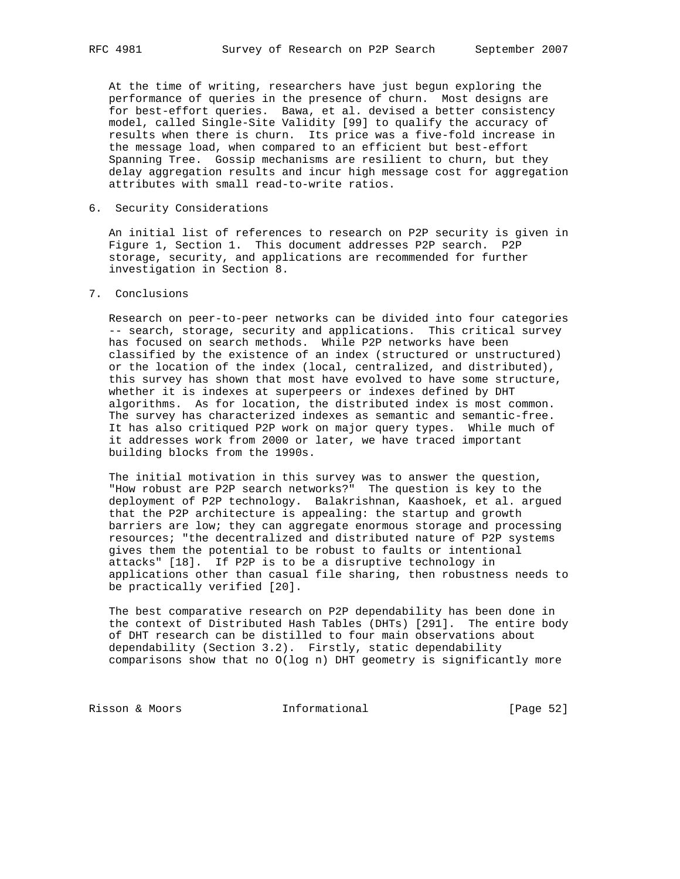At the time of writing, researchers have just begun exploring the performance of queries in the presence of churn. Most designs are for best-effort queries. Bawa, et al. devised a better consistency model, called Single-Site Validity [99] to qualify the accuracy of results when there is churn. Its price was a five-fold increase in the message load, when compared to an efficient but best-effort Spanning Tree. Gossip mechanisms are resilient to churn, but they delay aggregation results and incur high message cost for aggregation attributes with small read-to-write ratios.

6. Security Considerations

 An initial list of references to research on P2P security is given in Figure 1, Section 1. This document addresses P2P search. P2P storage, security, and applications are recommended for further investigation in Section 8.

# 7. Conclusions

 Research on peer-to-peer networks can be divided into four categories -- search, storage, security and applications. This critical survey has focused on search methods. While P2P networks have been classified by the existence of an index (structured or unstructured) or the location of the index (local, centralized, and distributed), this survey has shown that most have evolved to have some structure, whether it is indexes at superpeers or indexes defined by DHT algorithms. As for location, the distributed index is most common. The survey has characterized indexes as semantic and semantic-free. It has also critiqued P2P work on major query types. While much of it addresses work from 2000 or later, we have traced important building blocks from the 1990s.

 The initial motivation in this survey was to answer the question, "How robust are P2P search networks?" The question is key to the deployment of P2P technology. Balakrishnan, Kaashoek, et al. argued that the P2P architecture is appealing: the startup and growth barriers are low; they can aggregate enormous storage and processing resources; "the decentralized and distributed nature of P2P systems gives them the potential to be robust to faults or intentional attacks" [18]. If P2P is to be a disruptive technology in applications other than casual file sharing, then robustness needs to be practically verified [20].

 The best comparative research on P2P dependability has been done in the context of Distributed Hash Tables (DHTs) [291]. The entire body of DHT research can be distilled to four main observations about dependability (Section 3.2). Firstly, static dependability comparisons show that no O(log n) DHT geometry is significantly more

Risson & Moors **Informational** [Page 52]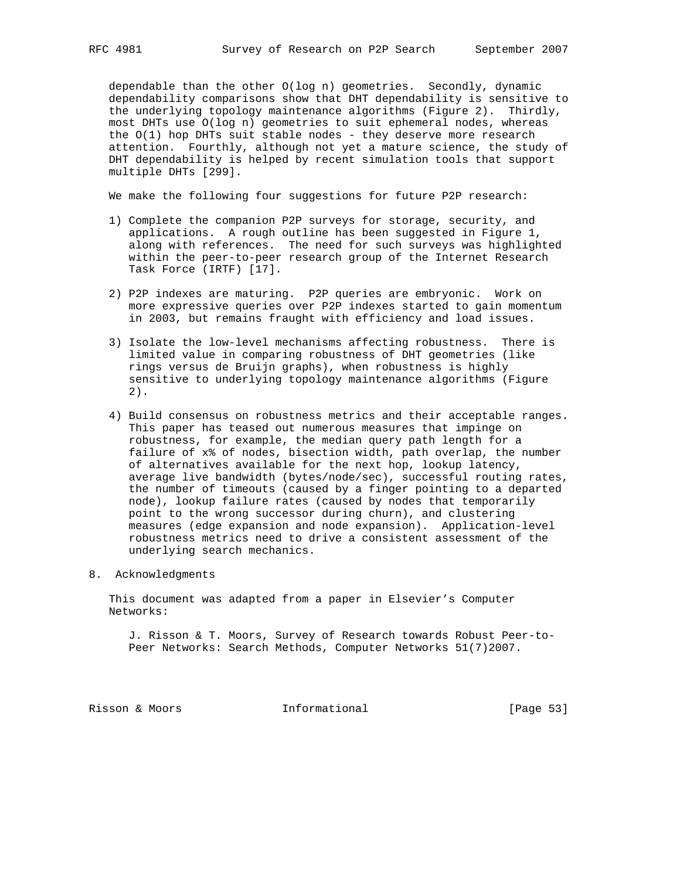dependable than the other O(log n) geometries. Secondly, dynamic dependability comparisons show that DHT dependability is sensitive to the underlying topology maintenance algorithms (Figure 2). Thirdly, most DHTs use O(log n) geometries to suit ephemeral nodes, whereas the O(1) hop DHTs suit stable nodes - they deserve more research attention. Fourthly, although not yet a mature science, the study of DHT dependability is helped by recent simulation tools that support multiple DHTs [299].

We make the following four suggestions for future P2P research:

- 1) Complete the companion P2P surveys for storage, security, and applications. A rough outline has been suggested in Figure 1, along with references. The need for such surveys was highlighted within the peer-to-peer research group of the Internet Research Task Force (IRTF) [17].
- 2) P2P indexes are maturing. P2P queries are embryonic. Work on more expressive queries over P2P indexes started to gain momentum in 2003, but remains fraught with efficiency and load issues.
- 3) Isolate the low-level mechanisms affecting robustness. There is limited value in comparing robustness of DHT geometries (like rings versus de Bruijn graphs), when robustness is highly sensitive to underlying topology maintenance algorithms (Figure 2).
- 4) Build consensus on robustness metrics and their acceptable ranges. This paper has teased out numerous measures that impinge on robustness, for example, the median query path length for a failure of x% of nodes, bisection width, path overlap, the number of alternatives available for the next hop, lookup latency, average live bandwidth (bytes/node/sec), successful routing rates, the number of timeouts (caused by a finger pointing to a departed node), lookup failure rates (caused by nodes that temporarily point to the wrong successor during churn), and clustering measures (edge expansion and node expansion). Application-level robustness metrics need to drive a consistent assessment of the underlying search mechanics.
- 8. Acknowledgments

 This document was adapted from a paper in Elsevier's Computer Networks:

 J. Risson & T. Moors, Survey of Research towards Robust Peer-to- Peer Networks: Search Methods, Computer Networks 51(7)2007.

Risson & Moors **Informational** [Page 53]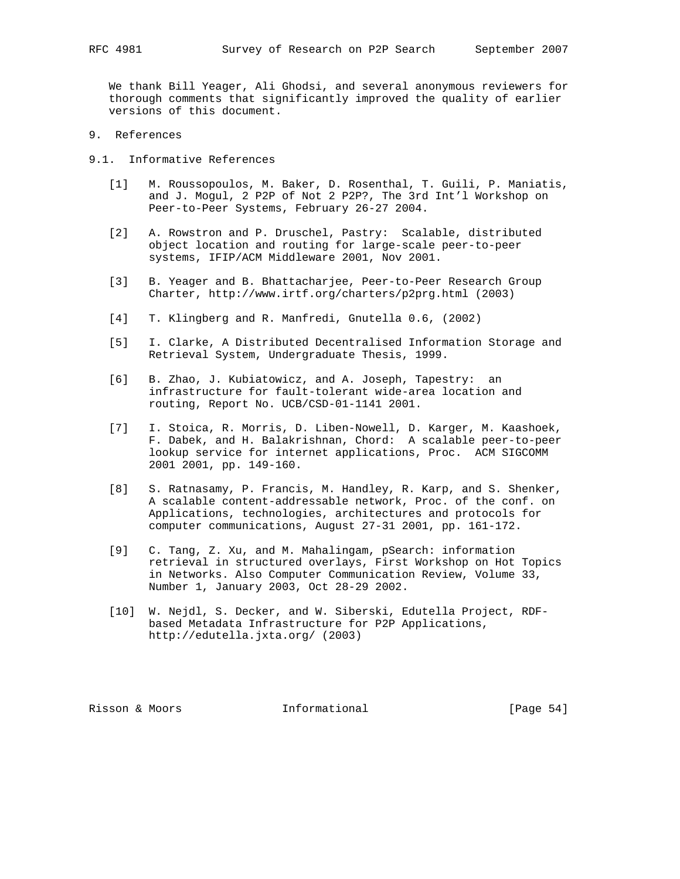We thank Bill Yeager, Ali Ghodsi, and several anonymous reviewers for thorough comments that significantly improved the quality of earlier versions of this document.

- 9. References
- 9.1. Informative References
	- [1] M. Roussopoulos, M. Baker, D. Rosenthal, T. Guili, P. Maniatis, and J. Mogul, 2 P2P of Not 2 P2P?, The 3rd Int'l Workshop on Peer-to-Peer Systems, February 26-27 2004.
	- [2] A. Rowstron and P. Druschel, Pastry: Scalable, distributed object location and routing for large-scale peer-to-peer systems, IFIP/ACM Middleware 2001, Nov 2001.
	- [3] B. Yeager and B. Bhattacharjee, Peer-to-Peer Research Group Charter, http://www.irtf.org/charters/p2prg.html (2003)
	- [4] T. Klingberg and R. Manfredi, Gnutella 0.6, (2002)
	- [5] I. Clarke, A Distributed Decentralised Information Storage and Retrieval System, Undergraduate Thesis, 1999.
	- [6] B. Zhao, J. Kubiatowicz, and A. Joseph, Tapestry: an infrastructure for fault-tolerant wide-area location and routing, Report No. UCB/CSD-01-1141 2001.
	- [7] I. Stoica, R. Morris, D. Liben-Nowell, D. Karger, M. Kaashoek, F. Dabek, and H. Balakrishnan, Chord: A scalable peer-to-peer lookup service for internet applications, Proc. ACM SIGCOMM 2001 2001, pp. 149-160.
	- [8] S. Ratnasamy, P. Francis, M. Handley, R. Karp, and S. Shenker, A scalable content-addressable network, Proc. of the conf. on Applications, technologies, architectures and protocols for computer communications, August 27-31 2001, pp. 161-172.
	- [9] C. Tang, Z. Xu, and M. Mahalingam, pSearch: information retrieval in structured overlays, First Workshop on Hot Topics in Networks. Also Computer Communication Review, Volume 33, Number 1, January 2003, Oct 28-29 2002.
	- [10] W. Nejdl, S. Decker, and W. Siberski, Edutella Project, RDF based Metadata Infrastructure for P2P Applications, http://edutella.jxta.org/ (2003)

Risson & Moors **Informational** [Page 54]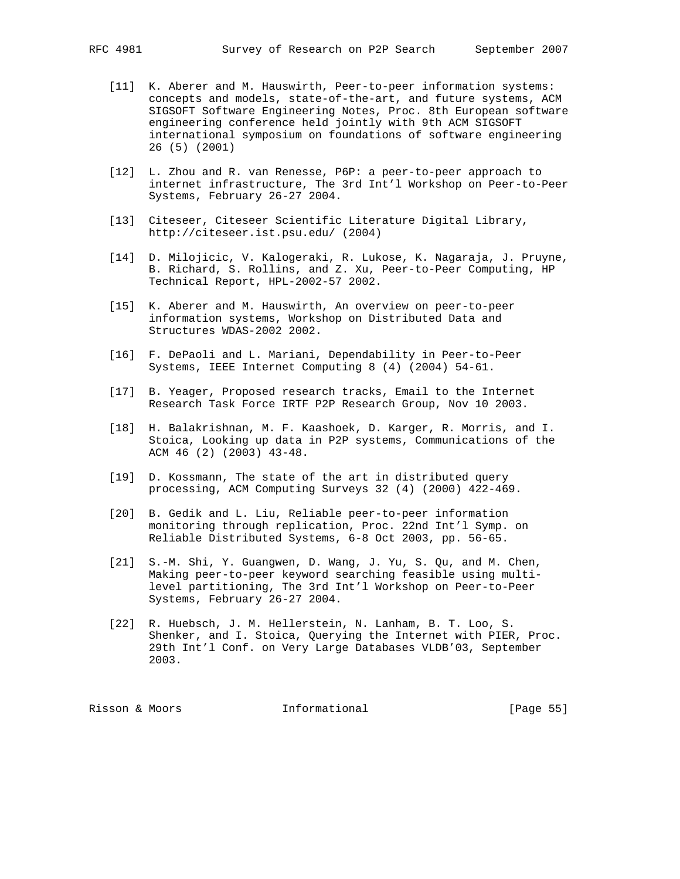- [11] K. Aberer and M. Hauswirth, Peer-to-peer information systems: concepts and models, state-of-the-art, and future systems, ACM SIGSOFT Software Engineering Notes, Proc. 8th European software engineering conference held jointly with 9th ACM SIGSOFT international symposium on foundations of software engineering 26 (5) (2001)
- [12] L. Zhou and R. van Renesse, P6P: a peer-to-peer approach to internet infrastructure, The 3rd Int'l Workshop on Peer-to-Peer Systems, February 26-27 2004.
- [13] Citeseer, Citeseer Scientific Literature Digital Library, http://citeseer.ist.psu.edu/ (2004)
- [14] D. Milojicic, V. Kalogeraki, R. Lukose, K. Nagaraja, J. Pruyne, B. Richard, S. Rollins, and Z. Xu, Peer-to-Peer Computing, HP Technical Report, HPL-2002-57 2002.
- [15] K. Aberer and M. Hauswirth, An overview on peer-to-peer information systems, Workshop on Distributed Data and Structures WDAS-2002 2002.
- [16] F. DePaoli and L. Mariani, Dependability in Peer-to-Peer Systems, IEEE Internet Computing 8 (4) (2004) 54-61.
- [17] B. Yeager, Proposed research tracks, Email to the Internet Research Task Force IRTF P2P Research Group, Nov 10 2003.
- [18] H. Balakrishnan, M. F. Kaashoek, D. Karger, R. Morris, and I. Stoica, Looking up data in P2P systems, Communications of the ACM 46 (2) (2003) 43-48.
- [19] D. Kossmann, The state of the art in distributed query processing, ACM Computing Surveys 32 (4) (2000) 422-469.
- [20] B. Gedik and L. Liu, Reliable peer-to-peer information monitoring through replication, Proc. 22nd Int'l Symp. on Reliable Distributed Systems, 6-8 Oct 2003, pp. 56-65.
- [21] S.-M. Shi, Y. Guangwen, D. Wang, J. Yu, S. Qu, and M. Chen, Making peer-to-peer keyword searching feasible using multi level partitioning, The 3rd Int'l Workshop on Peer-to-Peer Systems, February 26-27 2004.
- [22] R. Huebsch, J. M. Hellerstein, N. Lanham, B. T. Loo, S. Shenker, and I. Stoica, Querying the Internet with PIER, Proc. 29th Int'l Conf. on Very Large Databases VLDB'03, September 2003.

Risson & Moors **Informational** [Page 55]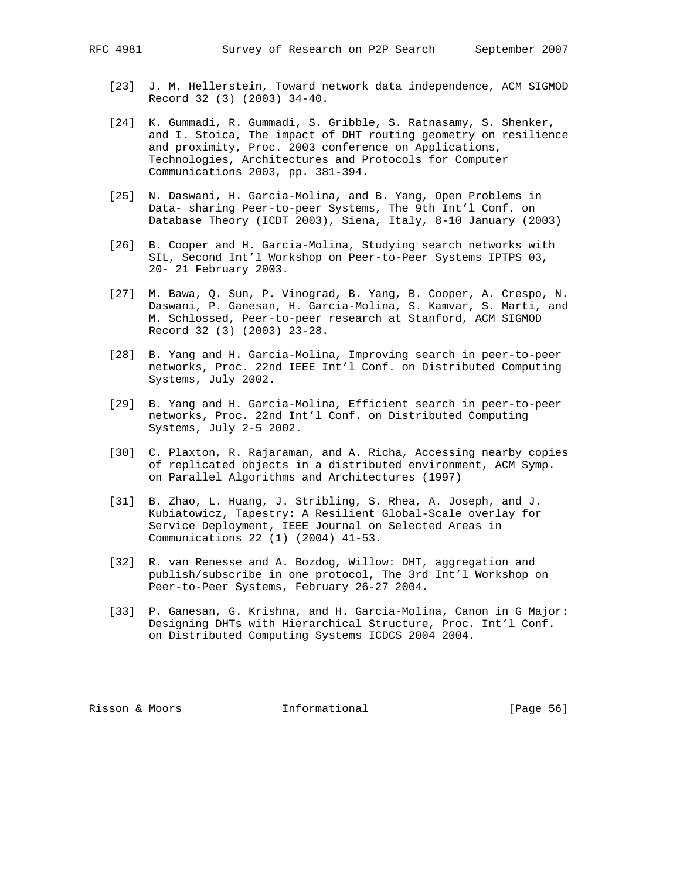- [23] J. M. Hellerstein, Toward network data independence, ACM SIGMOD Record 32 (3) (2003) 34-40.
- [24] K. Gummadi, R. Gummadi, S. Gribble, S. Ratnasamy, S. Shenker, and I. Stoica, The impact of DHT routing geometry on resilience and proximity, Proc. 2003 conference on Applications, Technologies, Architectures and Protocols for Computer Communications 2003, pp. 381-394.
- [25] N. Daswani, H. Garcia-Molina, and B. Yang, Open Problems in Data- sharing Peer-to-peer Systems, The 9th Int'l Conf. on Database Theory (ICDT 2003), Siena, Italy, 8-10 January (2003)
- [26] B. Cooper and H. Garcia-Molina, Studying search networks with SIL, Second Int'l Workshop on Peer-to-Peer Systems IPTPS 03, 20- 21 February 2003.
- [27] M. Bawa, Q. Sun, P. Vinograd, B. Yang, B. Cooper, A. Crespo, N. Daswani, P. Ganesan, H. Garcia-Molina, S. Kamvar, S. Marti, and M. Schlossed, Peer-to-peer research at Stanford, ACM SIGMOD Record 32 (3) (2003) 23-28.
- [28] B. Yang and H. Garcia-Molina, Improving search in peer-to-peer networks, Proc. 22nd IEEE Int'l Conf. on Distributed Computing Systems, July 2002.
- [29] B. Yang and H. Garcia-Molina, Efficient search in peer-to-peer networks, Proc. 22nd Int'l Conf. on Distributed Computing Systems, July 2-5 2002.
- [30] C. Plaxton, R. Rajaraman, and A. Richa, Accessing nearby copies of replicated objects in a distributed environment, ACM Symp. on Parallel Algorithms and Architectures (1997)
- [31] B. Zhao, L. Huang, J. Stribling, S. Rhea, A. Joseph, and J. Kubiatowicz, Tapestry: A Resilient Global-Scale overlay for Service Deployment, IEEE Journal on Selected Areas in Communications 22 (1) (2004) 41-53.
- [32] R. van Renesse and A. Bozdog, Willow: DHT, aggregation and publish/subscribe in one protocol, The 3rd Int'l Workshop on Peer-to-Peer Systems, February 26-27 2004.
- [33] P. Ganesan, G. Krishna, and H. Garcia-Molina, Canon in G Major: Designing DHTs with Hierarchical Structure, Proc. Int'l Conf. on Distributed Computing Systems ICDCS 2004 2004.

Risson & Moors **Informational Example 1** Page 56]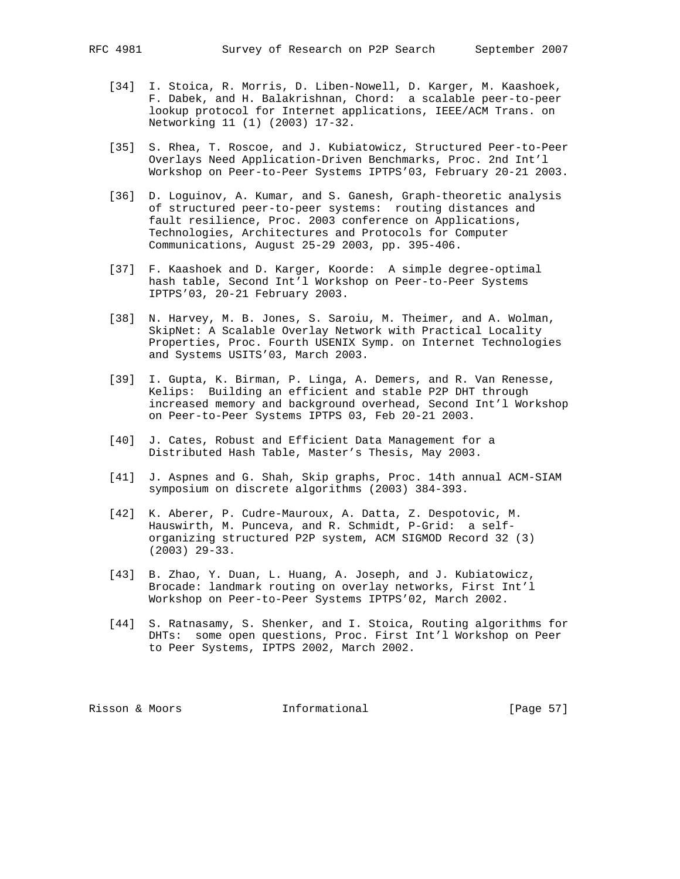- [34] I. Stoica, R. Morris, D. Liben-Nowell, D. Karger, M. Kaashoek, F. Dabek, and H. Balakrishnan, Chord: a scalable peer-to-peer lookup protocol for Internet applications, IEEE/ACM Trans. on Networking 11 (1) (2003) 17-32.
- [35] S. Rhea, T. Roscoe, and J. Kubiatowicz, Structured Peer-to-Peer Overlays Need Application-Driven Benchmarks, Proc. 2nd Int'l Workshop on Peer-to-Peer Systems IPTPS'03, February 20-21 2003.
- [36] D. Loguinov, A. Kumar, and S. Ganesh, Graph-theoretic analysis of structured peer-to-peer systems: routing distances and fault resilience, Proc. 2003 conference on Applications, Technologies, Architectures and Protocols for Computer Communications, August 25-29 2003, pp. 395-406.
- [37] F. Kaashoek and D. Karger, Koorde: A simple degree-optimal hash table, Second Int'l Workshop on Peer-to-Peer Systems IPTPS'03, 20-21 February 2003.
- [38] N. Harvey, M. B. Jones, S. Saroiu, M. Theimer, and A. Wolman, SkipNet: A Scalable Overlay Network with Practical Locality Properties, Proc. Fourth USENIX Symp. on Internet Technologies and Systems USITS'03, March 2003.
- [39] I. Gupta, K. Birman, P. Linga, A. Demers, and R. Van Renesse, Kelips: Building an efficient and stable P2P DHT through increased memory and background overhead, Second Int'l Workshop on Peer-to-Peer Systems IPTPS 03, Feb 20-21 2003.
- [40] J. Cates, Robust and Efficient Data Management for a Distributed Hash Table, Master's Thesis, May 2003.
- [41] J. Aspnes and G. Shah, Skip graphs, Proc. 14th annual ACM-SIAM symposium on discrete algorithms (2003) 384-393.
- [42] K. Aberer, P. Cudre-Mauroux, A. Datta, Z. Despotovic, M. Hauswirth, M. Punceva, and R. Schmidt, P-Grid: a self organizing structured P2P system, ACM SIGMOD Record 32 (3) (2003) 29-33.
- [43] B. Zhao, Y. Duan, L. Huang, A. Joseph, and J. Kubiatowicz, Brocade: landmark routing on overlay networks, First Int'l Workshop on Peer-to-Peer Systems IPTPS'02, March 2002.
- [44] S. Ratnasamy, S. Shenker, and I. Stoica, Routing algorithms for DHTs: some open questions, Proc. First Int'l Workshop on Peer to Peer Systems, IPTPS 2002, March 2002.

Risson & Moors **Informational** [Page 57]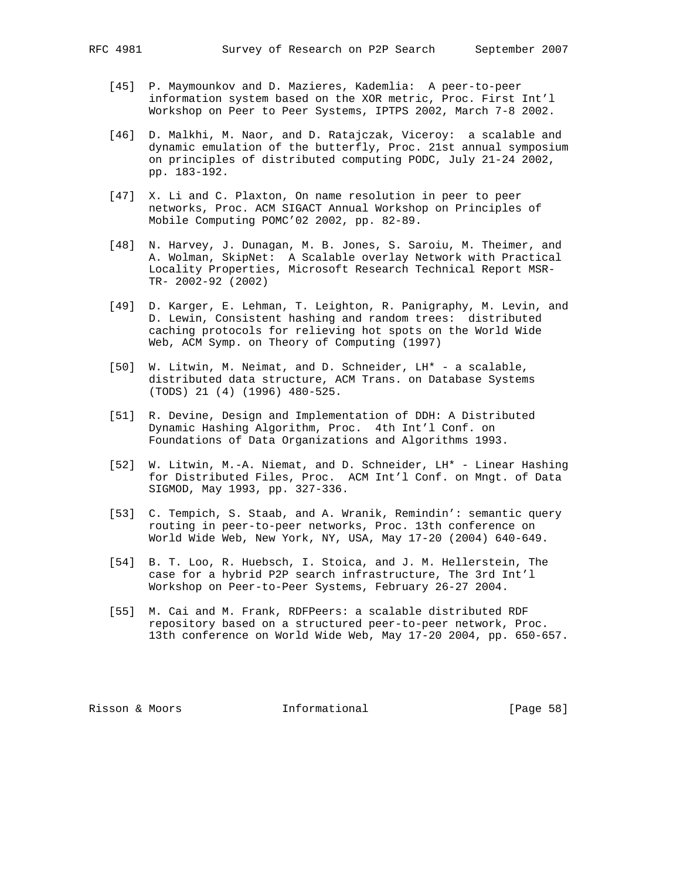- [45] P. Maymounkov and D. Mazieres, Kademlia: A peer-to-peer information system based on the XOR metric, Proc. First Int'l Workshop on Peer to Peer Systems, IPTPS 2002, March 7-8 2002.
- [46] D. Malkhi, M. Naor, and D. Ratajczak, Viceroy: a scalable and dynamic emulation of the butterfly, Proc. 21st annual symposium on principles of distributed computing PODC, July 21-24 2002, pp. 183-192.
- [47] X. Li and C. Plaxton, On name resolution in peer to peer networks, Proc. ACM SIGACT Annual Workshop on Principles of Mobile Computing POMC'02 2002, pp. 82-89.
- [48] N. Harvey, J. Dunagan, M. B. Jones, S. Saroiu, M. Theimer, and A. Wolman, SkipNet: A Scalable overlay Network with Practical Locality Properties, Microsoft Research Technical Report MSR- TR- 2002-92 (2002)
	- [49] D. Karger, E. Lehman, T. Leighton, R. Panigraphy, M. Levin, and D. Lewin, Consistent hashing and random trees: distributed caching protocols for relieving hot spots on the World Wide Web, ACM Symp. on Theory of Computing (1997)
	- [50] W. Litwin, M. Neimat, and D. Schneider, LH\* a scalable, distributed data structure, ACM Trans. on Database Systems (TODS) 21 (4) (1996) 480-525.
	- [51] R. Devine, Design and Implementation of DDH: A Distributed Dynamic Hashing Algorithm, Proc. 4th Int'l Conf. on Foundations of Data Organizations and Algorithms 1993.
	- [52] W. Litwin, M.-A. Niemat, and D. Schneider, LH\* Linear Hashing for Distributed Files, Proc. ACM Int'l Conf. on Mngt. of Data SIGMOD, May 1993, pp. 327-336.
	- [53] C. Tempich, S. Staab, and A. Wranik, Remindin': semantic query routing in peer-to-peer networks, Proc. 13th conference on World Wide Web, New York, NY, USA, May 17-20 (2004) 640-649.
	- [54] B. T. Loo, R. Huebsch, I. Stoica, and J. M. Hellerstein, The case for a hybrid P2P search infrastructure, The 3rd Int'l Workshop on Peer-to-Peer Systems, February 26-27 2004.
	- [55] M. Cai and M. Frank, RDFPeers: a scalable distributed RDF repository based on a structured peer-to-peer network, Proc. 13th conference on World Wide Web, May 17-20 2004, pp. 650-657.

Risson & Moors **Informational** [Page 58]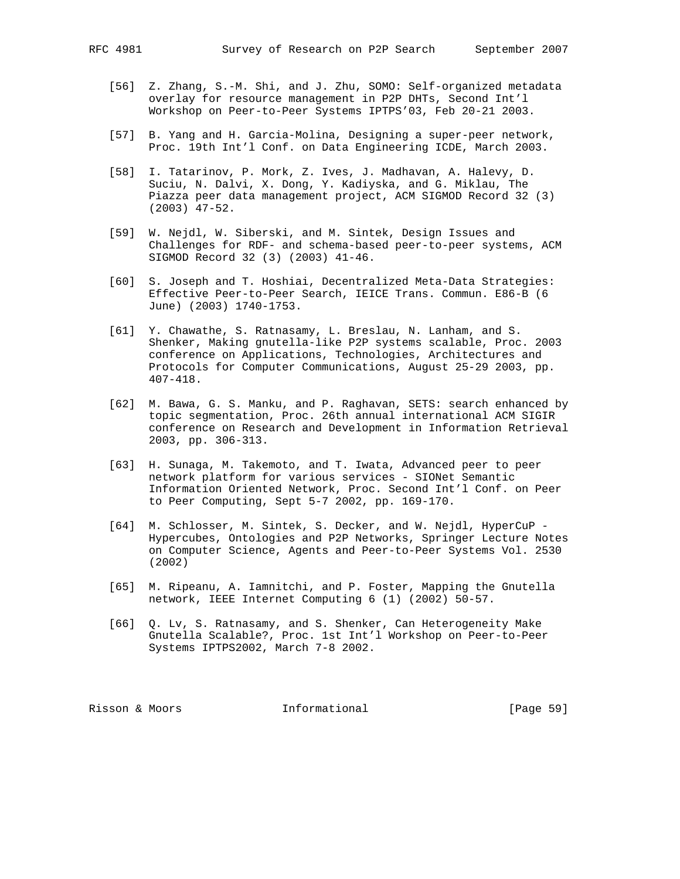- [56] Z. Zhang, S.-M. Shi, and J. Zhu, SOMO: Self-organized metadata overlay for resource management in P2P DHTs, Second Int'l Workshop on Peer-to-Peer Systems IPTPS'03, Feb 20-21 2003.
- [57] B. Yang and H. Garcia-Molina, Designing a super-peer network, Proc. 19th Int'l Conf. on Data Engineering ICDE, March 2003.
- [58] I. Tatarinov, P. Mork, Z. Ives, J. Madhavan, A. Halevy, D. Suciu, N. Dalvi, X. Dong, Y. Kadiyska, and G. Miklau, The Piazza peer data management project, ACM SIGMOD Record 32 (3) (2003) 47-52.
- [59] W. Nejdl, W. Siberski, and M. Sintek, Design Issues and Challenges for RDF- and schema-based peer-to-peer systems, ACM SIGMOD Record 32 (3) (2003) 41-46.
- [60] S. Joseph and T. Hoshiai, Decentralized Meta-Data Strategies: Effective Peer-to-Peer Search, IEICE Trans. Commun. E86-B (6 June) (2003) 1740-1753.
- [61] Y. Chawathe, S. Ratnasamy, L. Breslau, N. Lanham, and S. Shenker, Making gnutella-like P2P systems scalable, Proc. 2003 conference on Applications, Technologies, Architectures and Protocols for Computer Communications, August 25-29 2003, pp. 407-418.
- [62] M. Bawa, G. S. Manku, and P. Raghavan, SETS: search enhanced by topic segmentation, Proc. 26th annual international ACM SIGIR conference on Research and Development in Information Retrieval 2003, pp. 306-313.
- [63] H. Sunaga, M. Takemoto, and T. Iwata, Advanced peer to peer network platform for various services - SIONet Semantic Information Oriented Network, Proc. Second Int'l Conf. on Peer to Peer Computing, Sept 5-7 2002, pp. 169-170.
- [64] M. Schlosser, M. Sintek, S. Decker, and W. Nejdl, HyperCuP Hypercubes, Ontologies and P2P Networks, Springer Lecture Notes on Computer Science, Agents and Peer-to-Peer Systems Vol. 2530 (2002)
- [65] M. Ripeanu, A. Iamnitchi, and P. Foster, Mapping the Gnutella network, IEEE Internet Computing 6 (1) (2002) 50-57.
- [66] Q. Lv, S. Ratnasamy, and S. Shenker, Can Heterogeneity Make Gnutella Scalable?, Proc. 1st Int'l Workshop on Peer-to-Peer Systems IPTPS2002, March 7-8 2002.

Risson & Moors **Informational** [Page 59]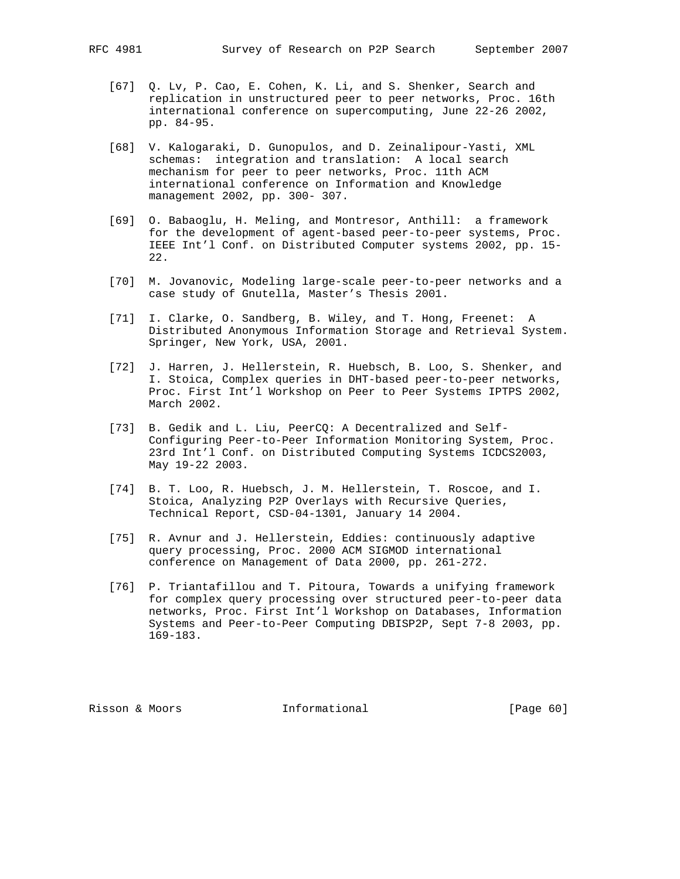- [67] Q. Lv, P. Cao, E. Cohen, K. Li, and S. Shenker, Search and replication in unstructured peer to peer networks, Proc. 16th international conference on supercomputing, June 22-26 2002, pp. 84-95.
- [68] V. Kalogaraki, D. Gunopulos, and D. Zeinalipour-Yasti, XML schemas: integration and translation: A local search mechanism for peer to peer networks, Proc. 11th ACM international conference on Information and Knowledge management 2002, pp. 300- 307.
- [69] O. Babaoglu, H. Meling, and Montresor, Anthill: a framework for the development of agent-based peer-to-peer systems, Proc. IEEE Int'l Conf. on Distributed Computer systems 2002, pp. 15- 22.
- [70] M. Jovanovic, Modeling large-scale peer-to-peer networks and a case study of Gnutella, Master's Thesis 2001.
- [71] I. Clarke, O. Sandberg, B. Wiley, and T. Hong, Freenet: A Distributed Anonymous Information Storage and Retrieval System. Springer, New York, USA, 2001.
- [72] J. Harren, J. Hellerstein, R. Huebsch, B. Loo, S. Shenker, and I. Stoica, Complex queries in DHT-based peer-to-peer networks, Proc. First Int'l Workshop on Peer to Peer Systems IPTPS 2002, March 2002.
- [73] B. Gedik and L. Liu, PeerCQ: A Decentralized and Self- Configuring Peer-to-Peer Information Monitoring System, Proc. 23rd Int'l Conf. on Distributed Computing Systems ICDCS2003, May 19-22 2003.
- [74] B. T. Loo, R. Huebsch, J. M. Hellerstein, T. Roscoe, and I. Stoica, Analyzing P2P Overlays with Recursive Queries, Technical Report, CSD-04-1301, January 14 2004.
- [75] R. Avnur and J. Hellerstein, Eddies: continuously adaptive query processing, Proc. 2000 ACM SIGMOD international conference on Management of Data 2000, pp. 261-272.
- [76] P. Triantafillou and T. Pitoura, Towards a unifying framework for complex query processing over structured peer-to-peer data networks, Proc. First Int'l Workshop on Databases, Information Systems and Peer-to-Peer Computing DBISP2P, Sept 7-8 2003, pp. 169-183.

Risson & Moors **Informational** [Page 60]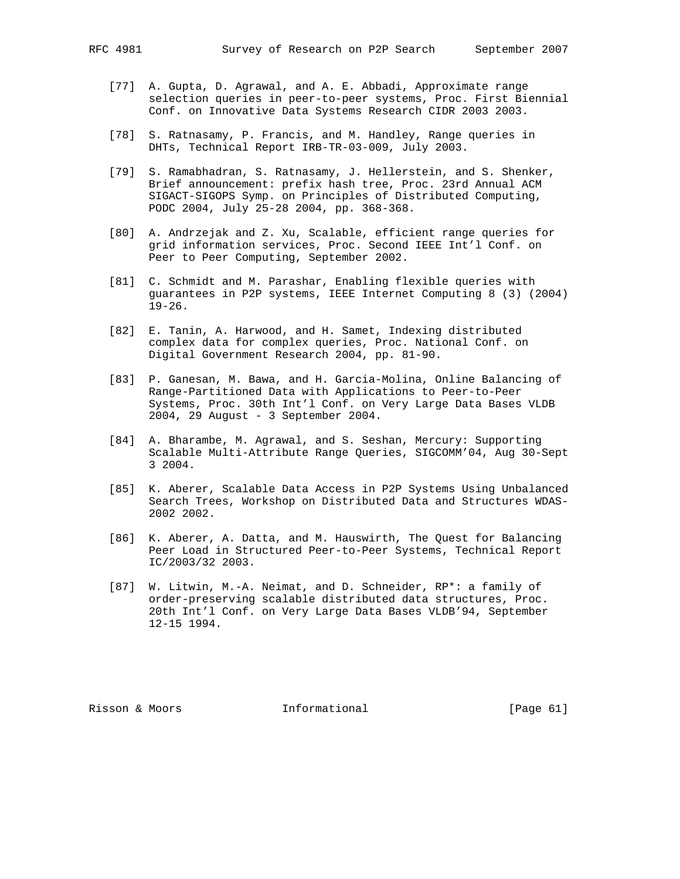- - [77] A. Gupta, D. Agrawal, and A. E. Abbadi, Approximate range selection queries in peer-to-peer systems, Proc. First Biennial Conf. on Innovative Data Systems Research CIDR 2003 2003.
	- [78] S. Ratnasamy, P. Francis, and M. Handley, Range queries in DHTs, Technical Report IRB-TR-03-009, July 2003.
	- [79] S. Ramabhadran, S. Ratnasamy, J. Hellerstein, and S. Shenker, Brief announcement: prefix hash tree, Proc. 23rd Annual ACM SIGACT-SIGOPS Symp. on Principles of Distributed Computing, PODC 2004, July 25-28 2004, pp. 368-368.
	- [80] A. Andrzejak and Z. Xu, Scalable, efficient range queries for grid information services, Proc. Second IEEE Int'l Conf. on Peer to Peer Computing, September 2002.
	- [81] C. Schmidt and M. Parashar, Enabling flexible queries with guarantees in P2P systems, IEEE Internet Computing 8 (3) (2004) 19-26.
	- [82] E. Tanin, A. Harwood, and H. Samet, Indexing distributed complex data for complex queries, Proc. National Conf. on Digital Government Research 2004, pp. 81-90.
	- [83] P. Ganesan, M. Bawa, and H. Garcia-Molina, Online Balancing of Range-Partitioned Data with Applications to Peer-to-Peer Systems, Proc. 30th Int'l Conf. on Very Large Data Bases VLDB 2004, 29 August - 3 September 2004.
	- [84] A. Bharambe, M. Agrawal, and S. Seshan, Mercury: Supporting Scalable Multi-Attribute Range Queries, SIGCOMM'04, Aug 30-Sept 3 2004.
	- [85] K. Aberer, Scalable Data Access in P2P Systems Using Unbalanced Search Trees, Workshop on Distributed Data and Structures WDAS- 2002 2002.
	- [86] K. Aberer, A. Datta, and M. Hauswirth, The Quest for Balancing Peer Load in Structured Peer-to-Peer Systems, Technical Report IC/2003/32 2003.
	- [87] W. Litwin, M.-A. Neimat, and D. Schneider, RP\*: a family of order-preserving scalable distributed data structures, Proc. 20th Int'l Conf. on Very Large Data Bases VLDB'94, September 12-15 1994.

Risson & Moors **Informational** [Page 61]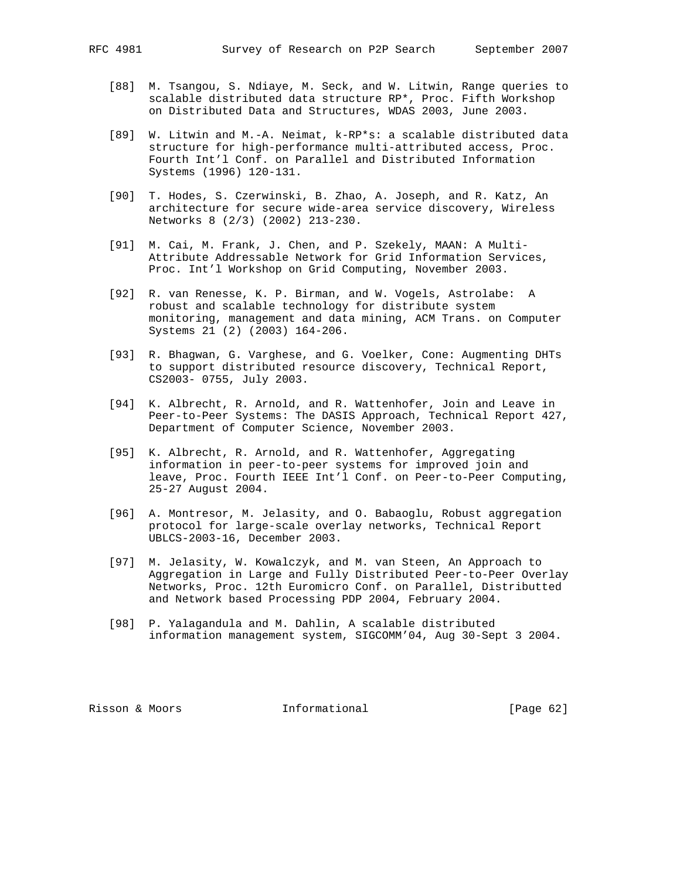- [88] M. Tsangou, S. Ndiaye, M. Seck, and W. Litwin, Range queries to scalable distributed data structure RP\*, Proc. Fifth Workshop on Distributed Data and Structures, WDAS 2003, June 2003.
- [89] W. Litwin and M.-A. Neimat, k-RP\*s: a scalable distributed data structure for high-performance multi-attributed access, Proc. Fourth Int'l Conf. on Parallel and Distributed Information Systems (1996) 120-131.
- [90] T. Hodes, S. Czerwinski, B. Zhao, A. Joseph, and R. Katz, An architecture for secure wide-area service discovery, Wireless Networks 8 (2/3) (2002) 213-230.
- [91] M. Cai, M. Frank, J. Chen, and P. Szekely, MAAN: A Multi- Attribute Addressable Network for Grid Information Services, Proc. Int'l Workshop on Grid Computing, November 2003.
- [92] R. van Renesse, K. P. Birman, and W. Vogels, Astrolabe: A robust and scalable technology for distribute system monitoring, management and data mining, ACM Trans. on Computer Systems 21 (2) (2003) 164-206.
- [93] R. Bhagwan, G. Varghese, and G. Voelker, Cone: Augmenting DHTs to support distributed resource discovery, Technical Report, CS2003- 0755, July 2003.
- [94] K. Albrecht, R. Arnold, and R. Wattenhofer, Join and Leave in Peer-to-Peer Systems: The DASIS Approach, Technical Report 427, Department of Computer Science, November 2003.
- [95] K. Albrecht, R. Arnold, and R. Wattenhofer, Aggregating information in peer-to-peer systems for improved join and leave, Proc. Fourth IEEE Int'l Conf. on Peer-to-Peer Computing, 25-27 August 2004.
- [96] A. Montresor, M. Jelasity, and O. Babaoglu, Robust aggregation protocol for large-scale overlay networks, Technical Report UBLCS-2003-16, December 2003.
- [97] M. Jelasity, W. Kowalczyk, and M. van Steen, An Approach to Aggregation in Large and Fully Distributed Peer-to-Peer Overlay Networks, Proc. 12th Euromicro Conf. on Parallel, Distributted and Network based Processing PDP 2004, February 2004.
- [98] P. Yalagandula and M. Dahlin, A scalable distributed information management system, SIGCOMM'04, Aug 30-Sept 3 2004.

Risson & Moors **Informational** [Page 62]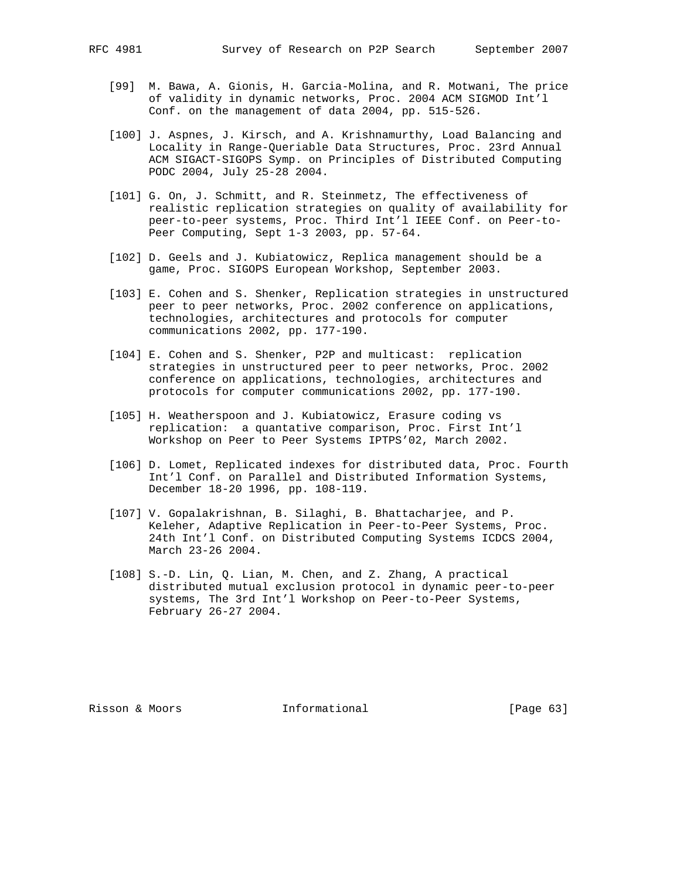- [99] M. Bawa, A. Gionis, H. Garcia-Molina, and R. Motwani, The price of validity in dynamic networks, Proc. 2004 ACM SIGMOD Int'l Conf. on the management of data 2004, pp. 515-526.
- [100] J. Aspnes, J. Kirsch, and A. Krishnamurthy, Load Balancing and Locality in Range-Queriable Data Structures, Proc. 23rd Annual ACM SIGACT-SIGOPS Symp. on Principles of Distributed Computing PODC 2004, July 25-28 2004.
- [101] G. On, J. Schmitt, and R. Steinmetz, The effectiveness of realistic replication strategies on quality of availability for peer-to-peer systems, Proc. Third Int'l IEEE Conf. on Peer-to- Peer Computing, Sept 1-3 2003, pp. 57-64.
- [102] D. Geels and J. Kubiatowicz, Replica management should be a game, Proc. SIGOPS European Workshop, September 2003.
- [103] E. Cohen and S. Shenker, Replication strategies in unstructured peer to peer networks, Proc. 2002 conference on applications, technologies, architectures and protocols for computer communications 2002, pp. 177-190.
- [104] E. Cohen and S. Shenker, P2P and multicast: replication strategies in unstructured peer to peer networks, Proc. 2002 conference on applications, technologies, architectures and protocols for computer communications 2002, pp. 177-190.
- [105] H. Weatherspoon and J. Kubiatowicz, Erasure coding vs replication: a quantative comparison, Proc. First Int'l Workshop on Peer to Peer Systems IPTPS'02, March 2002.
- [106] D. Lomet, Replicated indexes for distributed data, Proc. Fourth Int'l Conf. on Parallel and Distributed Information Systems, December 18-20 1996, pp. 108-119.
- [107] V. Gopalakrishnan, B. Silaghi, B. Bhattacharjee, and P. Keleher, Adaptive Replication in Peer-to-Peer Systems, Proc. 24th Int'l Conf. on Distributed Computing Systems ICDCS 2004, March 23-26 2004.
- [108] S.-D. Lin, Q. Lian, M. Chen, and Z. Zhang, A practical distributed mutual exclusion protocol in dynamic peer-to-peer systems, The 3rd Int'l Workshop on Peer-to-Peer Systems, February 26-27 2004.

Risson & Moors **Informational** [Page 63]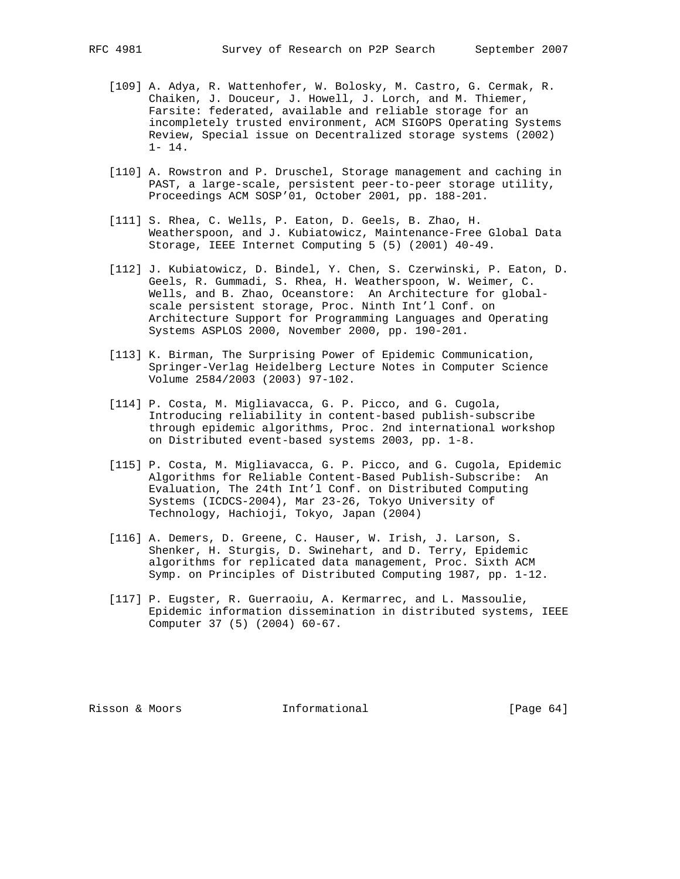- [109] A. Adya, R. Wattenhofer, W. Bolosky, M. Castro, G. Cermak, R. Chaiken, J. Douceur, J. Howell, J. Lorch, and M. Thiemer, Farsite: federated, available and reliable storage for an incompletely trusted environment, ACM SIGOPS Operating Systems Review, Special issue on Decentralized storage systems (2002)  $1 - 14$ .
- [110] A. Rowstron and P. Druschel, Storage management and caching in PAST, a large-scale, persistent peer-to-peer storage utility, Proceedings ACM SOSP'01, October 2001, pp. 188-201.
- [111] S. Rhea, C. Wells, P. Eaton, D. Geels, B. Zhao, H. Weatherspoon, and J. Kubiatowicz, Maintenance-Free Global Data Storage, IEEE Internet Computing 5 (5) (2001) 40-49.
- [112] J. Kubiatowicz, D. Bindel, Y. Chen, S. Czerwinski, P. Eaton, D. Geels, R. Gummadi, S. Rhea, H. Weatherspoon, W. Weimer, C. Wells, and B. Zhao, Oceanstore: An Architecture for global scale persistent storage, Proc. Ninth Int'l Conf. on Architecture Support for Programming Languages and Operating Systems ASPLOS 2000, November 2000, pp. 190-201.
- [113] K. Birman, The Surprising Power of Epidemic Communication, Springer-Verlag Heidelberg Lecture Notes in Computer Science Volume 2584/2003 (2003) 97-102.
- [114] P. Costa, M. Migliavacca, G. P. Picco, and G. Cugola, Introducing reliability in content-based publish-subscribe through epidemic algorithms, Proc. 2nd international workshop on Distributed event-based systems 2003, pp. 1-8.
- [115] P. Costa, M. Migliavacca, G. P. Picco, and G. Cugola, Epidemic Algorithms for Reliable Content-Based Publish-Subscribe: An Evaluation, The 24th Int'l Conf. on Distributed Computing Systems (ICDCS-2004), Mar 23-26, Tokyo University of Technology, Hachioji, Tokyo, Japan (2004)
- [116] A. Demers, D. Greene, C. Hauser, W. Irish, J. Larson, S. Shenker, H. Sturgis, D. Swinehart, and D. Terry, Epidemic algorithms for replicated data management, Proc. Sixth ACM Symp. on Principles of Distributed Computing 1987, pp. 1-12.
- [117] P. Eugster, R. Guerraoiu, A. Kermarrec, and L. Massoulie, Epidemic information dissemination in distributed systems, IEEE Computer 37 (5) (2004) 60-67.

Risson & Moors **Informational** [Page 64]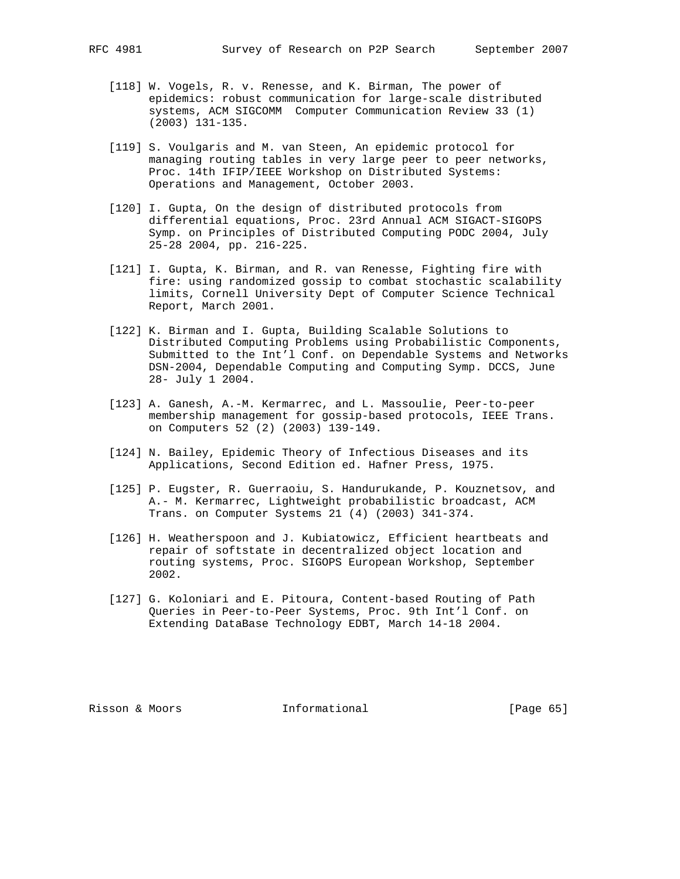- [118] W. Vogels, R. v. Renesse, and K. Birman, The power of epidemics: robust communication for large-scale distributed systems, ACM SIGCOMM Computer Communication Review 33 (1)
- [119] S. Voulgaris and M. van Steen, An epidemic protocol for managing routing tables in very large peer to peer networks, Proc. 14th IFIP/IEEE Workshop on Distributed Systems: Operations and Management, October 2003.
- [120] I. Gupta, On the design of distributed protocols from differential equations, Proc. 23rd Annual ACM SIGACT-SIGOPS Symp. on Principles of Distributed Computing PODC 2004, July 25-28 2004, pp. 216-225.
- [121] I. Gupta, K. Birman, and R. van Renesse, Fighting fire with fire: using randomized gossip to combat stochastic scalability limits, Cornell University Dept of Computer Science Technical Report, March 2001.
- [122] K. Birman and I. Gupta, Building Scalable Solutions to Distributed Computing Problems using Probabilistic Components, Submitted to the Int'l Conf. on Dependable Systems and Networks DSN-2004, Dependable Computing and Computing Symp. DCCS, June 28- July 1 2004.
- [123] A. Ganesh, A.-M. Kermarrec, and L. Massoulie, Peer-to-peer membership management for gossip-based protocols, IEEE Trans. on Computers 52 (2) (2003) 139-149.
- [124] N. Bailey, Epidemic Theory of Infectious Diseases and its Applications, Second Edition ed. Hafner Press, 1975.
- [125] P. Eugster, R. Guerraoiu, S. Handurukande, P. Kouznetsov, and A.- M. Kermarrec, Lightweight probabilistic broadcast, ACM Trans. on Computer Systems 21 (4) (2003) 341-374.
- [126] H. Weatherspoon and J. Kubiatowicz, Efficient heartbeats and repair of softstate in decentralized object location and routing systems, Proc. SIGOPS European Workshop, September 2002.
- [127] G. Koloniari and E. Pitoura, Content-based Routing of Path Queries in Peer-to-Peer Systems, Proc. 9th Int'l Conf. on Extending DataBase Technology EDBT, March 14-18 2004.

Risson & Moors **Informational** [Page 65]

(2003) 131-135.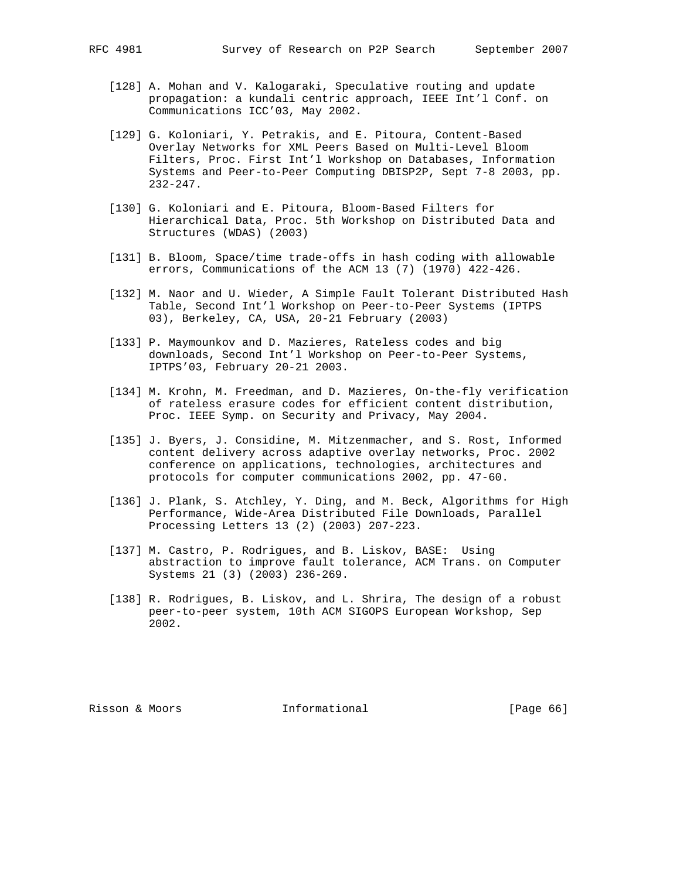- - [128] A. Mohan and V. Kalogaraki, Speculative routing and update propagation: a kundali centric approach, IEEE Int'l Conf. on Communications ICC'03, May 2002.
	- [129] G. Koloniari, Y. Petrakis, and E. Pitoura, Content-Based Overlay Networks for XML Peers Based on Multi-Level Bloom Filters, Proc. First Int'l Workshop on Databases, Information Systems and Peer-to-Peer Computing DBISP2P, Sept 7-8 2003, pp. 232-247.
	- [130] G. Koloniari and E. Pitoura, Bloom-Based Filters for Hierarchical Data, Proc. 5th Workshop on Distributed Data and Structures (WDAS) (2003)
	- [131] B. Bloom, Space/time trade-offs in hash coding with allowable errors, Communications of the ACM 13 (7) (1970) 422-426.
	- [132] M. Naor and U. Wieder, A Simple Fault Tolerant Distributed Hash Table, Second Int'l Workshop on Peer-to-Peer Systems (IPTPS 03), Berkeley, CA, USA, 20-21 February (2003)
	- [133] P. Maymounkov and D. Mazieres, Rateless codes and big downloads, Second Int'l Workshop on Peer-to-Peer Systems, IPTPS'03, February 20-21 2003.
	- [134] M. Krohn, M. Freedman, and D. Mazieres, On-the-fly verification of rateless erasure codes for efficient content distribution, Proc. IEEE Symp. on Security and Privacy, May 2004.
	- [135] J. Byers, J. Considine, M. Mitzenmacher, and S. Rost, Informed content delivery across adaptive overlay networks, Proc. 2002 conference on applications, technologies, architectures and protocols for computer communications 2002, pp. 47-60.
	- [136] J. Plank, S. Atchley, Y. Ding, and M. Beck, Algorithms for High Performance, Wide-Area Distributed File Downloads, Parallel Processing Letters 13 (2) (2003) 207-223.
	- [137] M. Castro, P. Rodrigues, and B. Liskov, BASE: Using abstraction to improve fault tolerance, ACM Trans. on Computer Systems 21 (3) (2003) 236-269.
	- [138] R. Rodrigues, B. Liskov, and L. Shrira, The design of a robust peer-to-peer system, 10th ACM SIGOPS European Workshop, Sep 2002.

Risson & Moors **Informational** [Page 66]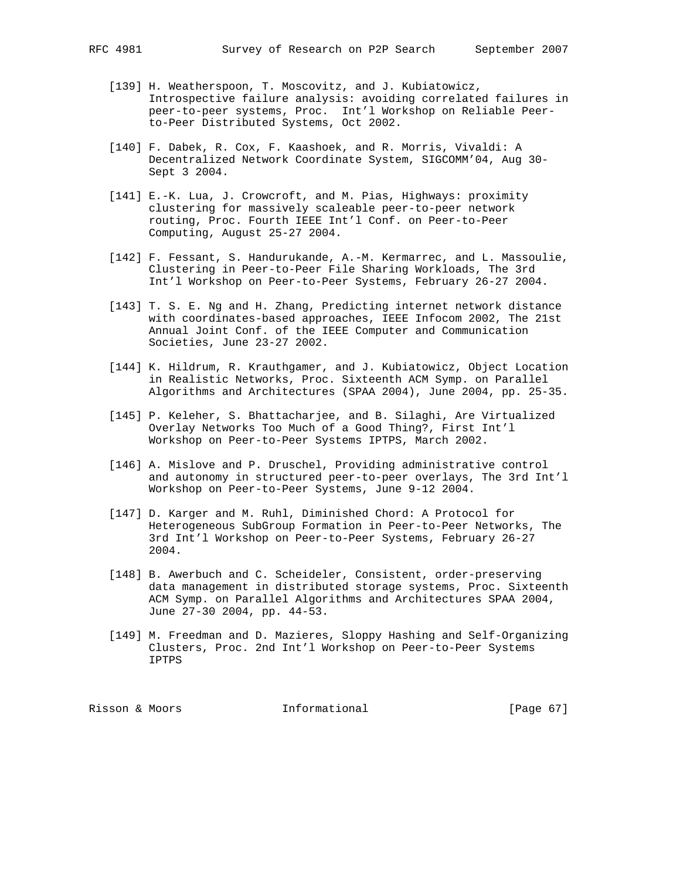- [139] H. Weatherspoon, T. Moscovitz, and J. Kubiatowicz, Introspective failure analysis: avoiding correlated failures in peer-to-peer systems, Proc. Int'l Workshop on Reliable Peer to-Peer Distributed Systems, Oct 2002.
	- [140] F. Dabek, R. Cox, F. Kaashoek, and R. Morris, Vivaldi: A Decentralized Network Coordinate System, SIGCOMM'04, Aug 30- Sept 3 2004.
	- [141] E.-K. Lua, J. Crowcroft, and M. Pias, Highways: proximity clustering for massively scaleable peer-to-peer network routing, Proc. Fourth IEEE Int'l Conf. on Peer-to-Peer Computing, August 25-27 2004.
	- [142] F. Fessant, S. Handurukande, A.-M. Kermarrec, and L. Massoulie, Clustering in Peer-to-Peer File Sharing Workloads, The 3rd Int'l Workshop on Peer-to-Peer Systems, February 26-27 2004.
	- [143] T. S. E. Ng and H. Zhang, Predicting internet network distance with coordinates-based approaches, IEEE Infocom 2002, The 21st Annual Joint Conf. of the IEEE Computer and Communication Societies, June 23-27 2002.
	- [144] K. Hildrum, R. Krauthgamer, and J. Kubiatowicz, Object Location in Realistic Networks, Proc. Sixteenth ACM Symp. on Parallel Algorithms and Architectures (SPAA 2004), June 2004, pp. 25-35.
	- [145] P. Keleher, S. Bhattacharjee, and B. Silaghi, Are Virtualized Overlay Networks Too Much of a Good Thing?, First Int'l Workshop on Peer-to-Peer Systems IPTPS, March 2002.
	- [146] A. Mislove and P. Druschel, Providing administrative control and autonomy in structured peer-to-peer overlays, The 3rd Int'l Workshop on Peer-to-Peer Systems, June 9-12 2004.
	- [147] D. Karger and M. Ruhl, Diminished Chord: A Protocol for Heterogeneous SubGroup Formation in Peer-to-Peer Networks, The 3rd Int'l Workshop on Peer-to-Peer Systems, February 26-27 2004.
	- [148] B. Awerbuch and C. Scheideler, Consistent, order-preserving data management in distributed storage systems, Proc. Sixteenth ACM Symp. on Parallel Algorithms and Architectures SPAA 2004, June 27-30 2004, pp. 44-53.
	- [149] M. Freedman and D. Mazieres, Sloppy Hashing and Self-Organizing Clusters, Proc. 2nd Int'l Workshop on Peer-to-Peer Systems IPTPS

Risson & Moors **Informational** [Page 67]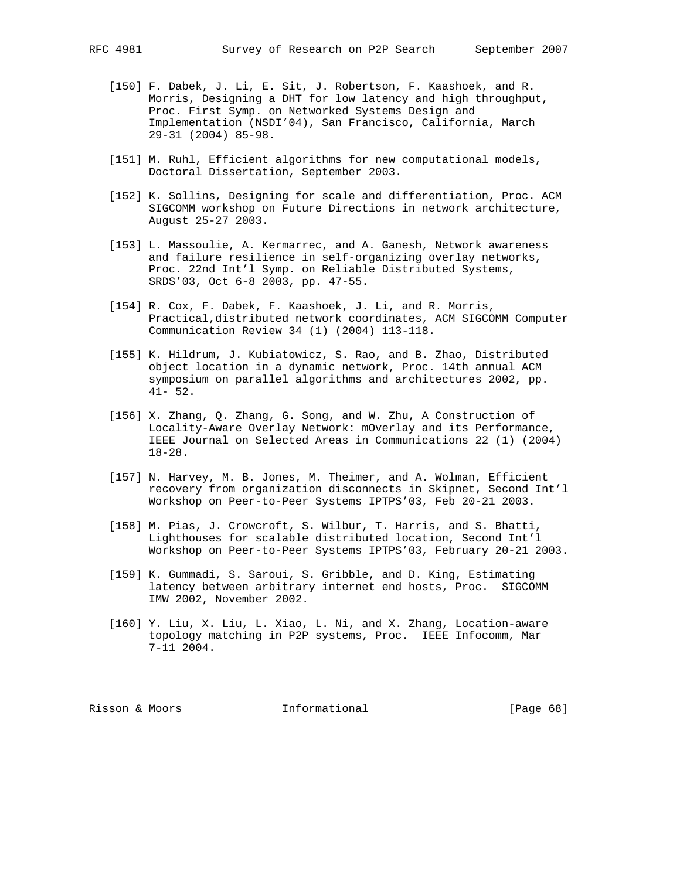- [150] F. Dabek, J. Li, E. Sit, J. Robertson, F. Kaashoek, and R. Morris, Designing a DHT for low latency and high throughput, Proc. First Symp. on Networked Systems Design and Implementation (NSDI'04), San Francisco, California, March 29-31 (2004) 85-98.
- [151] M. Ruhl, Efficient algorithms for new computational models, Doctoral Dissertation, September 2003.
- [152] K. Sollins, Designing for scale and differentiation, Proc. ACM SIGCOMM workshop on Future Directions in network architecture, August 25-27 2003.
- [153] L. Massoulie, A. Kermarrec, and A. Ganesh, Network awareness and failure resilience in self-organizing overlay networks, Proc. 22nd Int'l Symp. on Reliable Distributed Systems, SRDS'03, Oct 6-8 2003, pp. 47-55.
- [154] R. Cox, F. Dabek, F. Kaashoek, J. Li, and R. Morris, Practical,distributed network coordinates, ACM SIGCOMM Computer Communication Review 34 (1) (2004) 113-118.
- [155] K. Hildrum, J. Kubiatowicz, S. Rao, and B. Zhao, Distributed object location in a dynamic network, Proc. 14th annual ACM symposium on parallel algorithms and architectures 2002, pp. 41- 52.
- [156] X. Zhang, Q. Zhang, G. Song, and W. Zhu, A Construction of Locality-Aware Overlay Network: mOverlay and its Performance, IEEE Journal on Selected Areas in Communications 22 (1) (2004) 18-28.
- [157] N. Harvey, M. B. Jones, M. Theimer, and A. Wolman, Efficient recovery from organization disconnects in Skipnet, Second Int'l Workshop on Peer-to-Peer Systems IPTPS'03, Feb 20-21 2003.
- [158] M. Pias, J. Crowcroft, S. Wilbur, T. Harris, and S. Bhatti, Lighthouses for scalable distributed location, Second Int'l Workshop on Peer-to-Peer Systems IPTPS'03, February 20-21 2003.
- [159] K. Gummadi, S. Saroui, S. Gribble, and D. King, Estimating latency between arbitrary internet end hosts, Proc. SIGCOMM IMW 2002, November 2002.
- [160] Y. Liu, X. Liu, L. Xiao, L. Ni, and X. Zhang, Location-aware topology matching in P2P systems, Proc. IEEE Infocomm, Mar 7-11 2004.

Risson & Moors **Informational** [Page 68]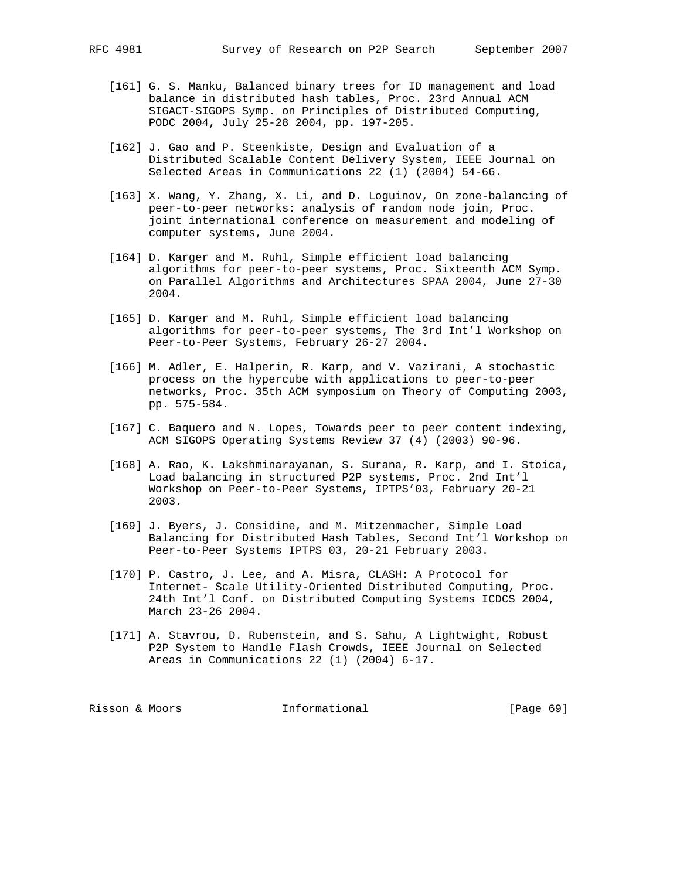- [161] G. S. Manku, Balanced binary trees for ID management and load balance in distributed hash tables, Proc. 23rd Annual ACM SIGACT-SIGOPS Symp. on Principles of Distributed Computing, PODC 2004, July 25-28 2004, pp. 197-205.
- [162] J. Gao and P. Steenkiste, Design and Evaluation of a Distributed Scalable Content Delivery System, IEEE Journal on Selected Areas in Communications 22 (1) (2004) 54-66.
- [163] X. Wang, Y. Zhang, X. Li, and D. Loguinov, On zone-balancing of peer-to-peer networks: analysis of random node join, Proc. joint international conference on measurement and modeling of computer systems, June 2004.
- [164] D. Karger and M. Ruhl, Simple efficient load balancing algorithms for peer-to-peer systems, Proc. Sixteenth ACM Symp. on Parallel Algorithms and Architectures SPAA 2004, June 27-30 2004.
- [165] D. Karger and M. Ruhl, Simple efficient load balancing algorithms for peer-to-peer systems, The 3rd Int'l Workshop on Peer-to-Peer Systems, February 26-27 2004.
- [166] M. Adler, E. Halperin, R. Karp, and V. Vazirani, A stochastic process on the hypercube with applications to peer-to-peer networks, Proc. 35th ACM symposium on Theory of Computing 2003, pp. 575-584.
- [167] C. Baquero and N. Lopes, Towards peer to peer content indexing, ACM SIGOPS Operating Systems Review 37 (4) (2003) 90-96.
- [168] A. Rao, K. Lakshminarayanan, S. Surana, R. Karp, and I. Stoica, Load balancing in structured P2P systems, Proc. 2nd Int'l Workshop on Peer-to-Peer Systems, IPTPS'03, February 20-21 2003.
- [169] J. Byers, J. Considine, and M. Mitzenmacher, Simple Load Balancing for Distributed Hash Tables, Second Int'l Workshop on Peer-to-Peer Systems IPTPS 03, 20-21 February 2003.
- [170] P. Castro, J. Lee, and A. Misra, CLASH: A Protocol for Internet- Scale Utility-Oriented Distributed Computing, Proc. 24th Int'l Conf. on Distributed Computing Systems ICDCS 2004, March 23-26 2004.
- [171] A. Stavrou, D. Rubenstein, and S. Sahu, A Lightwight, Robust P2P System to Handle Flash Crowds, IEEE Journal on Selected Areas in Communications 22 (1) (2004) 6-17.

| Risson & Moors<br>Informational | [Page 69] |  |
|---------------------------------|-----------|--|
|---------------------------------|-----------|--|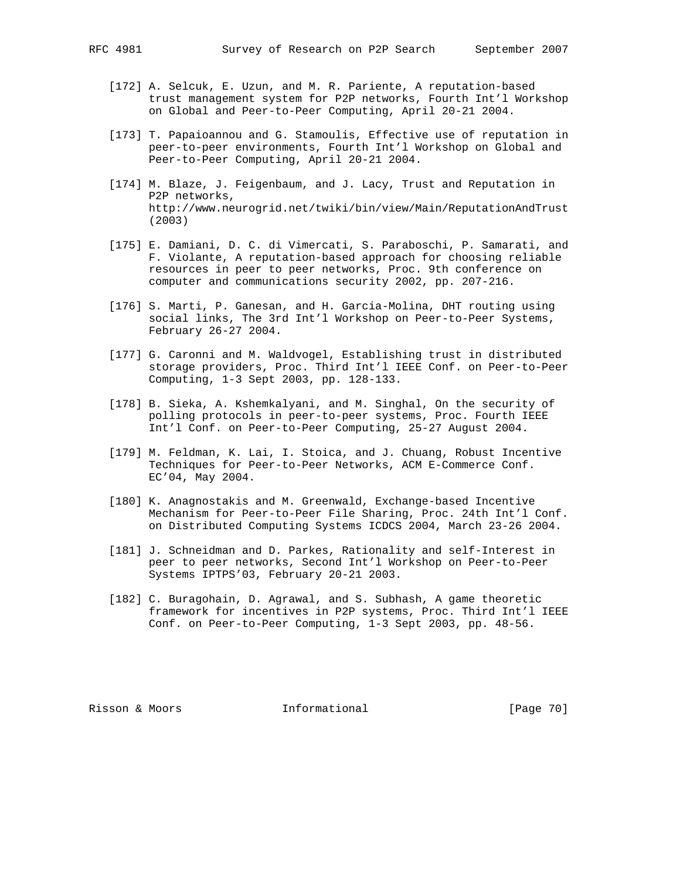- - [172] A. Selcuk, E. Uzun, and M. R. Pariente, A reputation-based trust management system for P2P networks, Fourth Int'l Workshop on Global and Peer-to-Peer Computing, April 20-21 2004.
	- [173] T. Papaioannou and G. Stamoulis, Effective use of reputation in peer-to-peer environments, Fourth Int'l Workshop on Global and Peer-to-Peer Computing, April 20-21 2004.
	- [174] M. Blaze, J. Feigenbaum, and J. Lacy, Trust and Reputation in P2P networks, http://www.neurogrid.net/twiki/bin/view/Main/ReputationAndTrust (2003)
	- [175] E. Damiani, D. C. di Vimercati, S. Paraboschi, P. Samarati, and F. Violante, A reputation-based approach for choosing reliable resources in peer to peer networks, Proc. 9th conference on computer and communications security 2002, pp. 207-216.
	- [176] S. Marti, P. Ganesan, and H. Garcia-Molina, DHT routing using social links, The 3rd Int'l Workshop on Peer-to-Peer Systems, February 26-27 2004.
	- [177] G. Caronni and M. Waldvogel, Establishing trust in distributed storage providers, Proc. Third Int'l IEEE Conf. on Peer-to-Peer Computing, 1-3 Sept 2003, pp. 128-133.
	- [178] B. Sieka, A. Kshemkalyani, and M. Singhal, On the security of polling protocols in peer-to-peer systems, Proc. Fourth IEEE Int'l Conf. on Peer-to-Peer Computing, 25-27 August 2004.
	- [179] M. Feldman, K. Lai, I. Stoica, and J. Chuang, Robust Incentive Techniques for Peer-to-Peer Networks, ACM E-Commerce Conf. EC'04, May 2004.
	- [180] K. Anagnostakis and M. Greenwald, Exchange-based Incentive Mechanism for Peer-to-Peer File Sharing, Proc. 24th Int'l Conf. on Distributed Computing Systems ICDCS 2004, March 23-26 2004.
	- [181] J. Schneidman and D. Parkes, Rationality and self-Interest in peer to peer networks, Second Int'l Workshop on Peer-to-Peer Systems IPTPS'03, February 20-21 2003.
	- [182] C. Buragohain, D. Agrawal, and S. Subhash, A game theoretic framework for incentives in P2P systems, Proc. Third Int'l IEEE Conf. on Peer-to-Peer Computing, 1-3 Sept 2003, pp. 48-56.

Risson & Moors **Informational** [Page 70]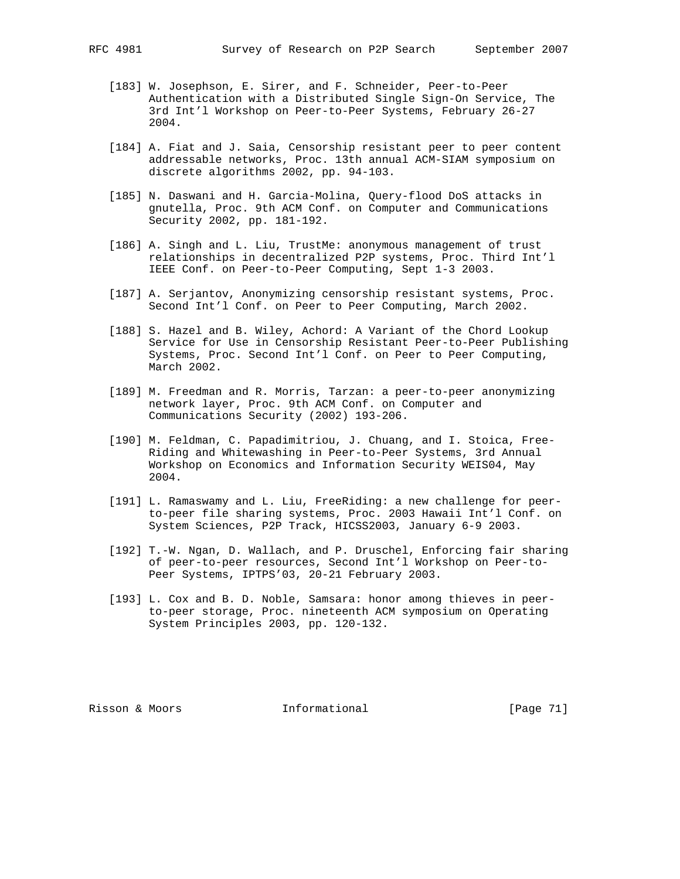- [183] W. Josephson, E. Sirer, and F. Schneider, Peer-to-Peer Authentication with a Distributed Single Sign-On Service, The 3rd Int'l Workshop on Peer-to-Peer Systems, February 26-27 2004.
- [184] A. Fiat and J. Saia, Censorship resistant peer to peer content addressable networks, Proc. 13th annual ACM-SIAM symposium on discrete algorithms 2002, pp. 94-103.
- [185] N. Daswani and H. Garcia-Molina, Query-flood DoS attacks in gnutella, Proc. 9th ACM Conf. on Computer and Communications Security 2002, pp. 181-192.
- [186] A. Singh and L. Liu, TrustMe: anonymous management of trust relationships in decentralized P2P systems, Proc. Third Int'l IEEE Conf. on Peer-to-Peer Computing, Sept 1-3 2003.
- [187] A. Serjantov, Anonymizing censorship resistant systems, Proc. Second Int'l Conf. on Peer to Peer Computing, March 2002.
- [188] S. Hazel and B. Wiley, Achord: A Variant of the Chord Lookup Service for Use in Censorship Resistant Peer-to-Peer Publishing Systems, Proc. Second Int'l Conf. on Peer to Peer Computing, March 2002.
- [189] M. Freedman and R. Morris, Tarzan: a peer-to-peer anonymizing network layer, Proc. 9th ACM Conf. on Computer and Communications Security (2002) 193-206.
- [190] M. Feldman, C. Papadimitriou, J. Chuang, and I. Stoica, Free- Riding and Whitewashing in Peer-to-Peer Systems, 3rd Annual Workshop on Economics and Information Security WEIS04, May 2004.
- [191] L. Ramaswamy and L. Liu, FreeRiding: a new challenge for peer to-peer file sharing systems, Proc. 2003 Hawaii Int'l Conf. on System Sciences, P2P Track, HICSS2003, January 6-9 2003.
- [192] T.-W. Ngan, D. Wallach, and P. Druschel, Enforcing fair sharing of peer-to-peer resources, Second Int'l Workshop on Peer-to- Peer Systems, IPTPS'03, 20-21 February 2003.
- [193] L. Cox and B. D. Noble, Samsara: honor among thieves in peer to-peer storage, Proc. nineteenth ACM symposium on Operating System Principles 2003, pp. 120-132.

Risson & Moors **Informational** [Page 71]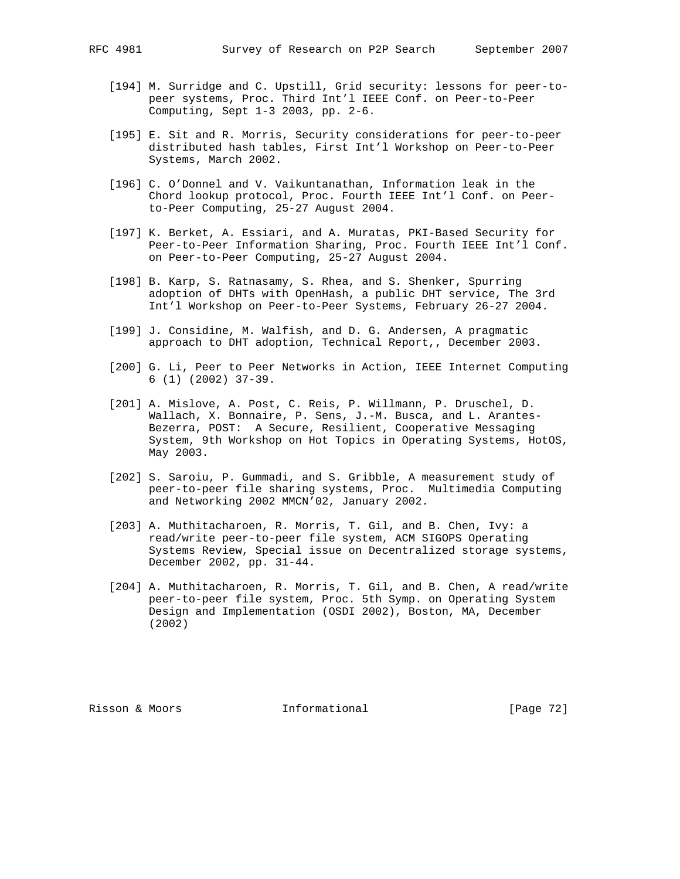- - [194] M. Surridge and C. Upstill, Grid security: lessons for peer-to peer systems, Proc. Third Int'l IEEE Conf. on Peer-to-Peer Computing, Sept 1-3 2003, pp. 2-6.
	- [195] E. Sit and R. Morris, Security considerations for peer-to-peer distributed hash tables, First Int'l Workshop on Peer-to-Peer Systems, March 2002.
	- [196] C. O'Donnel and V. Vaikuntanathan, Information leak in the Chord lookup protocol, Proc. Fourth IEEE Int'l Conf. on Peer to-Peer Computing, 25-27 August 2004.
	- [197] K. Berket, A. Essiari, and A. Muratas, PKI-Based Security for Peer-to-Peer Information Sharing, Proc. Fourth IEEE Int'l Conf. on Peer-to-Peer Computing, 25-27 August 2004.
	- [198] B. Karp, S. Ratnasamy, S. Rhea, and S. Shenker, Spurring adoption of DHTs with OpenHash, a public DHT service, The 3rd Int'l Workshop on Peer-to-Peer Systems, February 26-27 2004.
	- [199] J. Considine, M. Walfish, and D. G. Andersen, A pragmatic approach to DHT adoption, Technical Report,, December 2003.
	- [200] G. Li, Peer to Peer Networks in Action, IEEE Internet Computing 6 (1) (2002) 37-39.
	- [201] A. Mislove, A. Post, C. Reis, P. Willmann, P. Druschel, D. Wallach, X. Bonnaire, P. Sens, J.-M. Busca, and L. Arantes- Bezerra, POST: A Secure, Resilient, Cooperative Messaging System, 9th Workshop on Hot Topics in Operating Systems, HotOS, May 2003.
	- [202] S. Saroiu, P. Gummadi, and S. Gribble, A measurement study of peer-to-peer file sharing systems, Proc. Multimedia Computing and Networking 2002 MMCN'02, January 2002.
	- [203] A. Muthitacharoen, R. Morris, T. Gil, and B. Chen, Ivy: a read/write peer-to-peer file system, ACM SIGOPS Operating Systems Review, Special issue on Decentralized storage systems, December 2002, pp. 31-44.
	- [204] A. Muthitacharoen, R. Morris, T. Gil, and B. Chen, A read/write peer-to-peer file system, Proc. 5th Symp. on Operating System Design and Implementation (OSDI 2002), Boston, MA, December (2002)

Risson & Moors **Informational** [Page 72]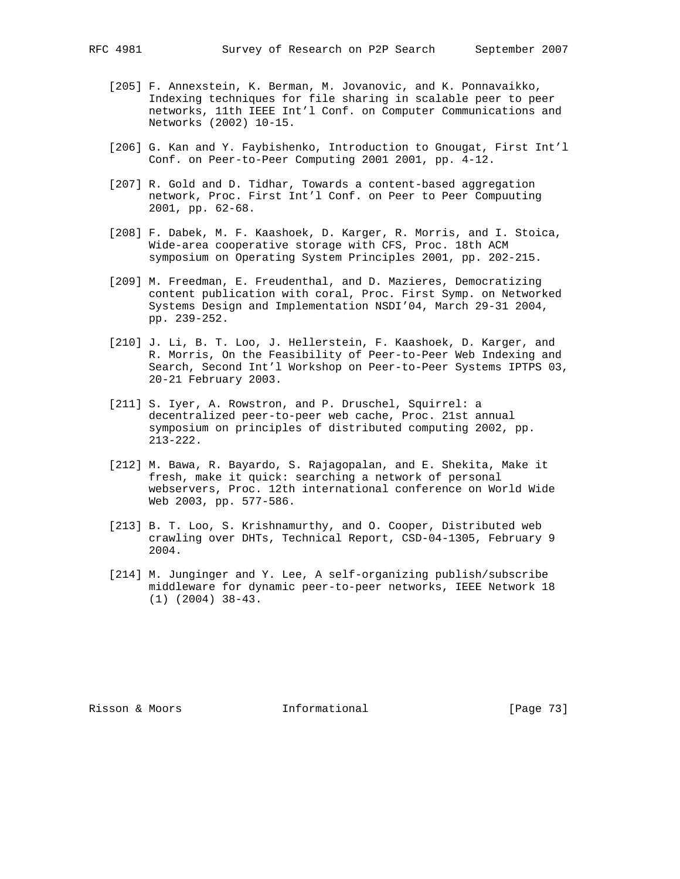- [205] F. Annexstein, K. Berman, M. Jovanovic, and K. Ponnavaikko,
	- Indexing techniques for file sharing in scalable peer to peer networks, 11th IEEE Int'l Conf. on Computer Communications and Networks (2002) 10-15.
- [206] G. Kan and Y. Faybishenko, Introduction to Gnougat, First Int'l Conf. on Peer-to-Peer Computing 2001 2001, pp. 4-12.
- [207] R. Gold and D. Tidhar, Towards a content-based aggregation network, Proc. First Int'l Conf. on Peer to Peer Compuuting 2001, pp. 62-68.
- [208] F. Dabek, M. F. Kaashoek, D. Karger, R. Morris, and I. Stoica, Wide-area cooperative storage with CFS, Proc. 18th ACM symposium on Operating System Principles 2001, pp. 202-215.
- [209] M. Freedman, E. Freudenthal, and D. Mazieres, Democratizing content publication with coral, Proc. First Symp. on Networked Systems Design and Implementation NSDI'04, March 29-31 2004, pp. 239-252.
- [210] J. Li, B. T. Loo, J. Hellerstein, F. Kaashoek, D. Karger, and R. Morris, On the Feasibility of Peer-to-Peer Web Indexing and Search, Second Int'l Workshop on Peer-to-Peer Systems IPTPS 03, 20-21 February 2003.
- [211] S. Iyer, A. Rowstron, and P. Druschel, Squirrel: a decentralized peer-to-peer web cache, Proc. 21st annual symposium on principles of distributed computing 2002, pp. 213-222.
- [212] M. Bawa, R. Bayardo, S. Rajagopalan, and E. Shekita, Make it fresh, make it quick: searching a network of personal webservers, Proc. 12th international conference on World Wide Web 2003, pp. 577-586.
- [213] B. T. Loo, S. Krishnamurthy, and O. Cooper, Distributed web crawling over DHTs, Technical Report, CSD-04-1305, February 9 2004.
- [214] M. Junginger and Y. Lee, A self-organizing publish/subscribe middleware for dynamic peer-to-peer networks, IEEE Network 18 (1) (2004) 38-43.

Risson & Moors **Informational** [Page 73]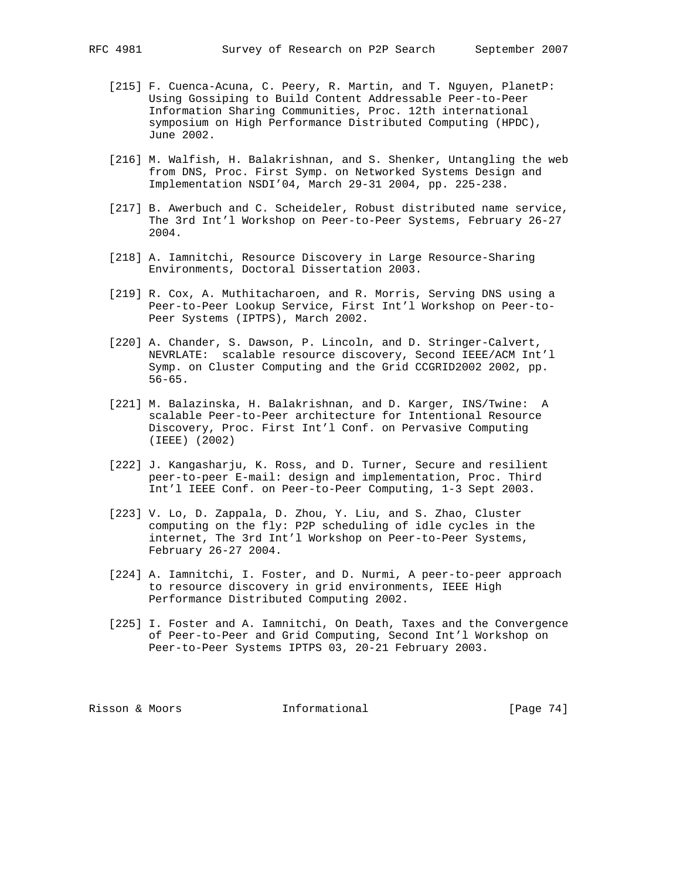- [215] F. Cuenca-Acuna, C. Peery, R. Martin, and T. Nguyen, PlanetP: Using Gossiping to Build Content Addressable Peer-to-Peer Information Sharing Communities, Proc. 12th international symposium on High Performance Distributed Computing (HPDC), June 2002.
- [216] M. Walfish, H. Balakrishnan, and S. Shenker, Untangling the web from DNS, Proc. First Symp. on Networked Systems Design and Implementation NSDI'04, March 29-31 2004, pp. 225-238.
- [217] B. Awerbuch and C. Scheideler, Robust distributed name service, The 3rd Int'l Workshop on Peer-to-Peer Systems, February 26-27 2004.
- [218] A. Iamnitchi, Resource Discovery in Large Resource-Sharing Environments, Doctoral Dissertation 2003.
- [219] R. Cox, A. Muthitacharoen, and R. Morris, Serving DNS using a Peer-to-Peer Lookup Service, First Int'l Workshop on Peer-to- Peer Systems (IPTPS), March 2002.
- [220] A. Chander, S. Dawson, P. Lincoln, and D. Stringer-Calvert, NEVRLATE: scalable resource discovery, Second IEEE/ACM Int'l Symp. on Cluster Computing and the Grid CCGRID2002 2002, pp. 56-65.
- [221] M. Balazinska, H. Balakrishnan, and D. Karger, INS/Twine: A scalable Peer-to-Peer architecture for Intentional Resource Discovery, Proc. First Int'l Conf. on Pervasive Computing (IEEE) (2002)
- [222] J. Kangasharju, K. Ross, and D. Turner, Secure and resilient peer-to-peer E-mail: design and implementation, Proc. Third Int'l IEEE Conf. on Peer-to-Peer Computing, 1-3 Sept 2003.
- [223] V. Lo, D. Zappala, D. Zhou, Y. Liu, and S. Zhao, Cluster computing on the fly: P2P scheduling of idle cycles in the internet, The 3rd Int'l Workshop on Peer-to-Peer Systems, February 26-27 2004.
- [224] A. Iamnitchi, I. Foster, and D. Nurmi, A peer-to-peer approach to resource discovery in grid environments, IEEE High Performance Distributed Computing 2002.
- [225] I. Foster and A. Iamnitchi, On Death, Taxes and the Convergence of Peer-to-Peer and Grid Computing, Second Int'l Workshop on Peer-to-Peer Systems IPTPS 03, 20-21 February 2003.

Risson & Moors **Informational** [Page 74]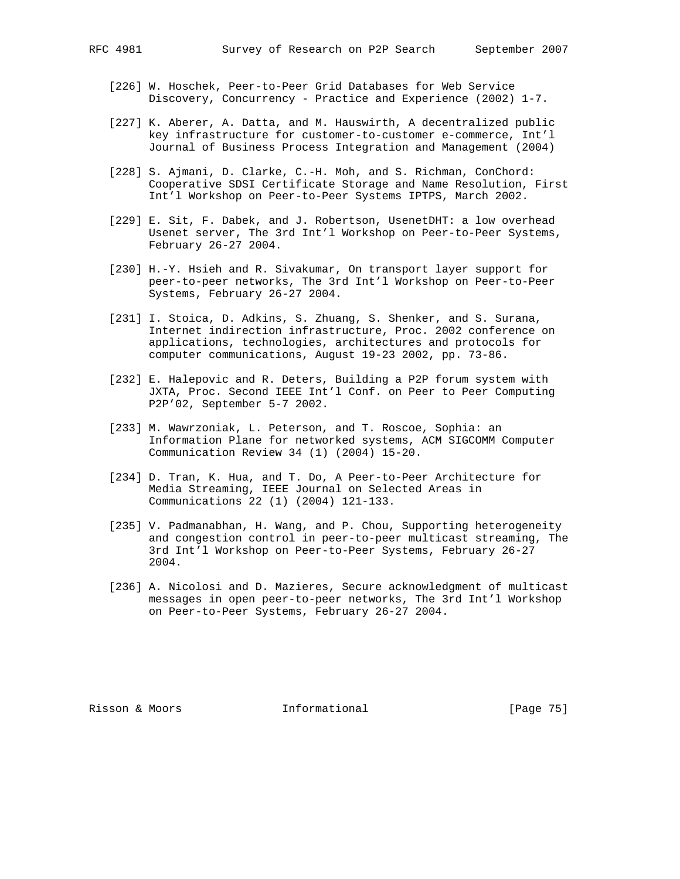- 
- [226] W. Hoschek, Peer-to-Peer Grid Databases for Web Service Discovery, Concurrency - Practice and Experience (2002) 1-7.
- [227] K. Aberer, A. Datta, and M. Hauswirth, A decentralized public key infrastructure for customer-to-customer e-commerce, Int'l Journal of Business Process Integration and Management (2004)
- [228] S. Ajmani, D. Clarke, C.-H. Moh, and S. Richman, ConChord: Cooperative SDSI Certificate Storage and Name Resolution, First Int'l Workshop on Peer-to-Peer Systems IPTPS, March 2002.
- [229] E. Sit, F. Dabek, and J. Robertson, UsenetDHT: a low overhead Usenet server, The 3rd Int'l Workshop on Peer-to-Peer Systems, February 26-27 2004.
- [230] H.-Y. Hsieh and R. Sivakumar, On transport layer support for peer-to-peer networks, The 3rd Int'l Workshop on Peer-to-Peer Systems, February 26-27 2004.
- [231] I. Stoica, D. Adkins, S. Zhuang, S. Shenker, and S. Surana, Internet indirection infrastructure, Proc. 2002 conference on applications, technologies, architectures and protocols for computer communications, August 19-23 2002, pp. 73-86.
- [232] E. Halepovic and R. Deters, Building a P2P forum system with JXTA, Proc. Second IEEE Int'l Conf. on Peer to Peer Computing P2P'02, September 5-7 2002.
- [233] M. Wawrzoniak, L. Peterson, and T. Roscoe, Sophia: an Information Plane for networked systems, ACM SIGCOMM Computer Communication Review 34 (1) (2004) 15-20.
- [234] D. Tran, K. Hua, and T. Do, A Peer-to-Peer Architecture for Media Streaming, IEEE Journal on Selected Areas in Communications 22 (1) (2004) 121-133.
- [235] V. Padmanabhan, H. Wang, and P. Chou, Supporting heterogeneity and congestion control in peer-to-peer multicast streaming, The 3rd Int'l Workshop on Peer-to-Peer Systems, February 26-27 2004.
- [236] A. Nicolosi and D. Mazieres, Secure acknowledgment of multicast messages in open peer-to-peer networks, The 3rd Int'l Workshop on Peer-to-Peer Systems, February 26-27 2004.

Risson & Moors **Informational** [Page 75]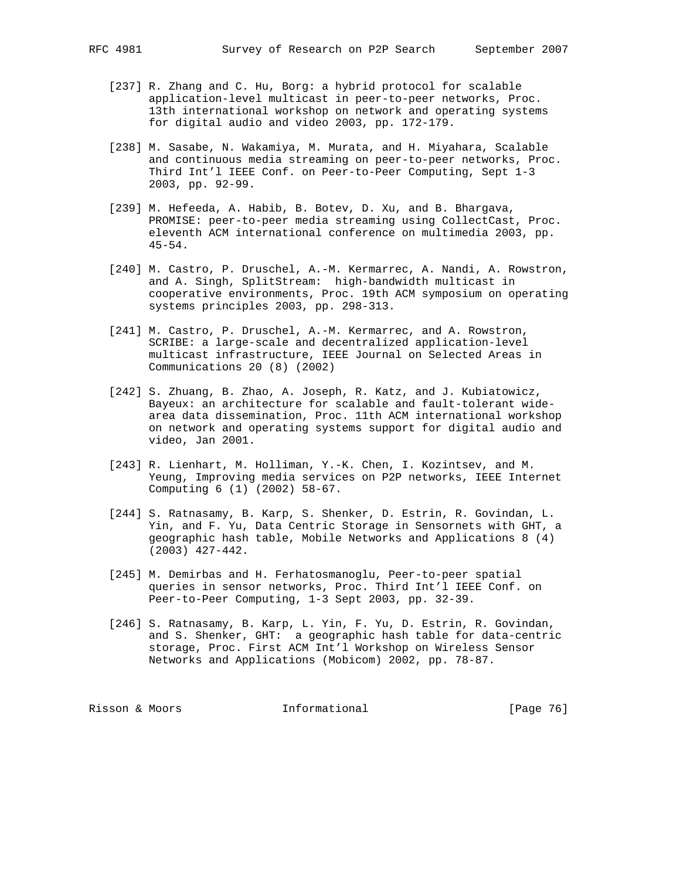- [237] R. Zhang and C. Hu, Borg: a hybrid protocol for scalable application-level multicast in peer-to-peer networks, Proc. 13th international workshop on network and operating systems for digital audio and video 2003, pp. 172-179.
- [238] M. Sasabe, N. Wakamiya, M. Murata, and H. Miyahara, Scalable and continuous media streaming on peer-to-peer networks, Proc. Third Int'l IEEE Conf. on Peer-to-Peer Computing, Sept 1-3 2003, pp. 92-99.
- [239] M. Hefeeda, A. Habib, B. Botev, D. Xu, and B. Bhargava, PROMISE: peer-to-peer media streaming using CollectCast, Proc. eleventh ACM international conference on multimedia 2003, pp. 45-54.
- [240] M. Castro, P. Druschel, A.-M. Kermarrec, A. Nandi, A. Rowstron, and A. Singh, SplitStream: high-bandwidth multicast in cooperative environments, Proc. 19th ACM symposium on operating systems principles 2003, pp. 298-313.
- [241] M. Castro, P. Druschel, A.-M. Kermarrec, and A. Rowstron, SCRIBE: a large-scale and decentralized application-level multicast infrastructure, IEEE Journal on Selected Areas in Communications 20 (8) (2002)
- [242] S. Zhuang, B. Zhao, A. Joseph, R. Katz, and J. Kubiatowicz, Bayeux: an architecture for scalable and fault-tolerant wide area data dissemination, Proc. 11th ACM international workshop on network and operating systems support for digital audio and video, Jan 2001.
- [243] R. Lienhart, M. Holliman, Y.-K. Chen, I. Kozintsev, and M. Yeung, Improving media services on P2P networks, IEEE Internet Computing 6 (1) (2002) 58-67.
- [244] S. Ratnasamy, B. Karp, S. Shenker, D. Estrin, R. Govindan, L. Yin, and F. Yu, Data Centric Storage in Sensornets with GHT, a geographic hash table, Mobile Networks and Applications 8 (4) (2003) 427-442.
- [245] M. Demirbas and H. Ferhatosmanoglu, Peer-to-peer spatial queries in sensor networks, Proc. Third Int'l IEEE Conf. on Peer-to-Peer Computing, 1-3 Sept 2003, pp. 32-39.
- [246] S. Ratnasamy, B. Karp, L. Yin, F. Yu, D. Estrin, R. Govindan, and S. Shenker, GHT: a geographic hash table for data-centric storage, Proc. First ACM Int'l Workshop on Wireless Sensor Networks and Applications (Mobicom) 2002, pp. 78-87.

Risson & Moors **Informational** [Page 76]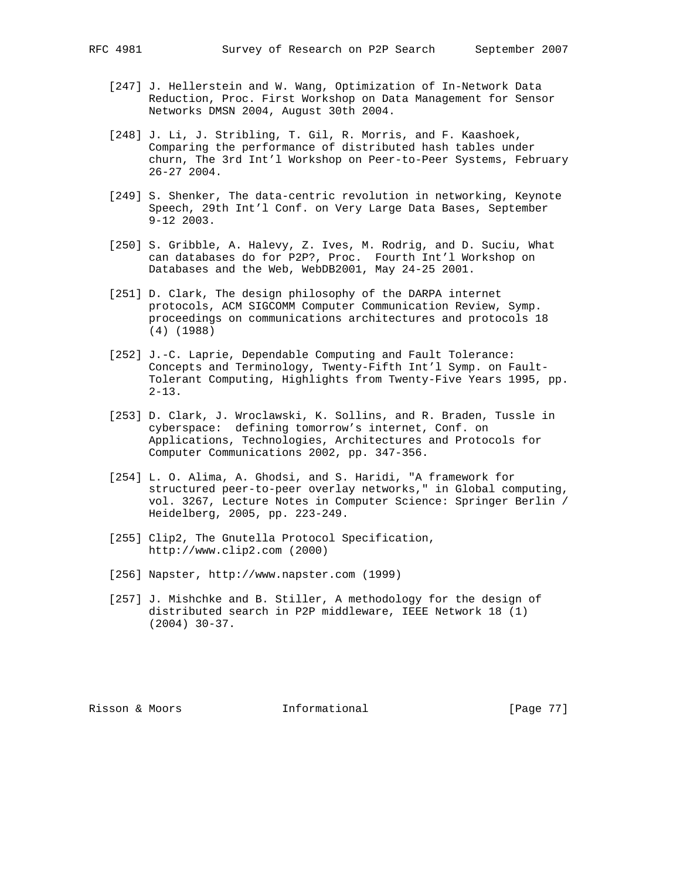- - [247] J. Hellerstein and W. Wang, Optimization of In-Network Data Reduction, Proc. First Workshop on Data Management for Sensor Networks DMSN 2004, August 30th 2004.
	- [248] J. Li, J. Stribling, T. Gil, R. Morris, and F. Kaashoek, Comparing the performance of distributed hash tables under churn, The 3rd Int'l Workshop on Peer-to-Peer Systems, February 26-27 2004.
	- [249] S. Shenker, The data-centric revolution in networking, Keynote Speech, 29th Int'l Conf. on Very Large Data Bases, September 9-12 2003.
- [250] S. Gribble, A. Halevy, Z. Ives, M. Rodrig, and D. Suciu, What can databases do for P2P?, Proc. Fourth Int'l Workshop on Databases and the Web, WebDB2001, May 24-25 2001.
	- [251] D. Clark, The design philosophy of the DARPA internet protocols, ACM SIGCOMM Computer Communication Review, Symp. proceedings on communications architectures and protocols 18 (4) (1988)
	- [252] J.-C. Laprie, Dependable Computing and Fault Tolerance: Concepts and Terminology, Twenty-Fifth Int'l Symp. on Fault- Tolerant Computing, Highlights from Twenty-Five Years 1995, pp.  $2 - 13$ .
	- [253] D. Clark, J. Wroclawski, K. Sollins, and R. Braden, Tussle in cyberspace: defining tomorrow's internet, Conf. on Applications, Technologies, Architectures and Protocols for Computer Communications 2002, pp. 347-356.
	- [254] L. O. Alima, A. Ghodsi, and S. Haridi, "A framework for structured peer-to-peer overlay networks," in Global computing, vol. 3267, Lecture Notes in Computer Science: Springer Berlin / Heidelberg, 2005, pp. 223-249.
	- [255] Clip2, The Gnutella Protocol Specification, http://www.clip2.com (2000)
	- [256] Napster, http://www.napster.com (1999)
	- [257] J. Mishchke and B. Stiller, A methodology for the design of distributed search in P2P middleware, IEEE Network 18 (1) (2004) 30-37.

Risson & Moors **Informational** [Page 77]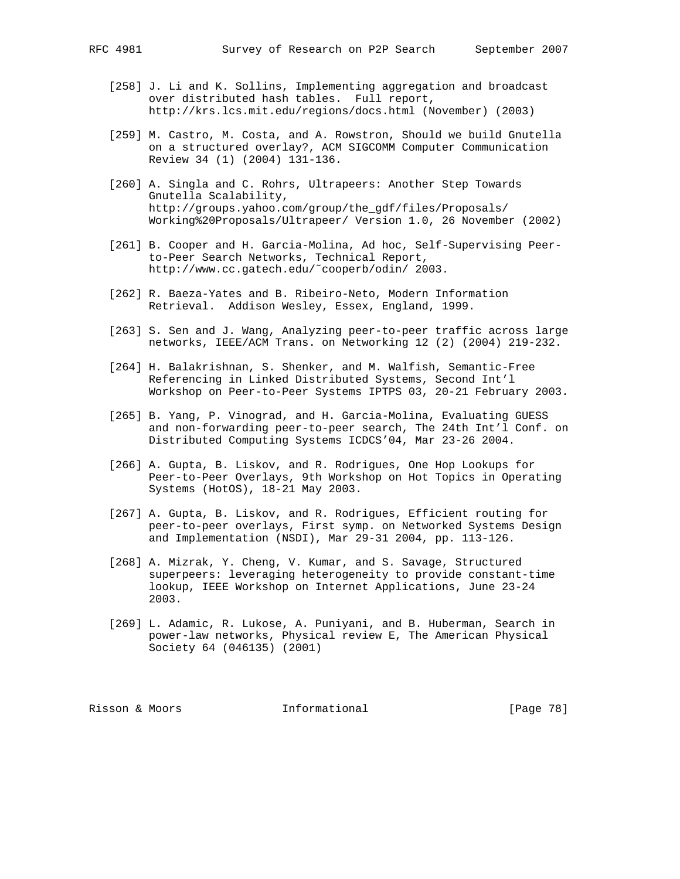- [258] J. Li and K. Sollins, Implementing aggregation and broadcast over distributed hash tables. Full report, http://krs.lcs.mit.edu/regions/docs.html (November) (2003)
- [259] M. Castro, M. Costa, and A. Rowstron, Should we build Gnutella on a structured overlay?, ACM SIGCOMM Computer Communication Review 34 (1) (2004) 131-136.
- [260] A. Singla and C. Rohrs, Ultrapeers: Another Step Towards Gnutella Scalability, http://groups.yahoo.com/group/the\_gdf/files/Proposals/ Working%20Proposals/Ultrapeer/ Version 1.0, 26 November (2002)
- [261] B. Cooper and H. Garcia-Molina, Ad hoc, Self-Supervising Peer to-Peer Search Networks, Technical Report, http://www.cc.gatech.edu/˜cooperb/odin/ 2003.
- [262] R. Baeza-Yates and B. Ribeiro-Neto, Modern Information Retrieval. Addison Wesley, Essex, England, 1999.
- [263] S. Sen and J. Wang, Analyzing peer-to-peer traffic across large networks, IEEE/ACM Trans. on Networking 12 (2) (2004) 219-232.
- [264] H. Balakrishnan, S. Shenker, and M. Walfish, Semantic-Free Referencing in Linked Distributed Systems, Second Int'l Workshop on Peer-to-Peer Systems IPTPS 03, 20-21 February 2003.
- [265] B. Yang, P. Vinograd, and H. Garcia-Molina, Evaluating GUESS and non-forwarding peer-to-peer search, The 24th Int'l Conf. on Distributed Computing Systems ICDCS'04, Mar 23-26 2004.
- [266] A. Gupta, B. Liskov, and R. Rodrigues, One Hop Lookups for Peer-to-Peer Overlays, 9th Workshop on Hot Topics in Operating Systems (HotOS), 18-21 May 2003.
- [267] A. Gupta, B. Liskov, and R. Rodrigues, Efficient routing for peer-to-peer overlays, First symp. on Networked Systems Design and Implementation (NSDI), Mar 29-31 2004, pp. 113-126.
- [268] A. Mizrak, Y. Cheng, V. Kumar, and S. Savage, Structured superpeers: leveraging heterogeneity to provide constant-time lookup, IEEE Workshop on Internet Applications, June 23-24 2003.
- [269] L. Adamic, R. Lukose, A. Puniyani, and B. Huberman, Search in power-law networks, Physical review E, The American Physical Society 64 (046135) (2001)

Risson & Moors **Informational** [Page 78]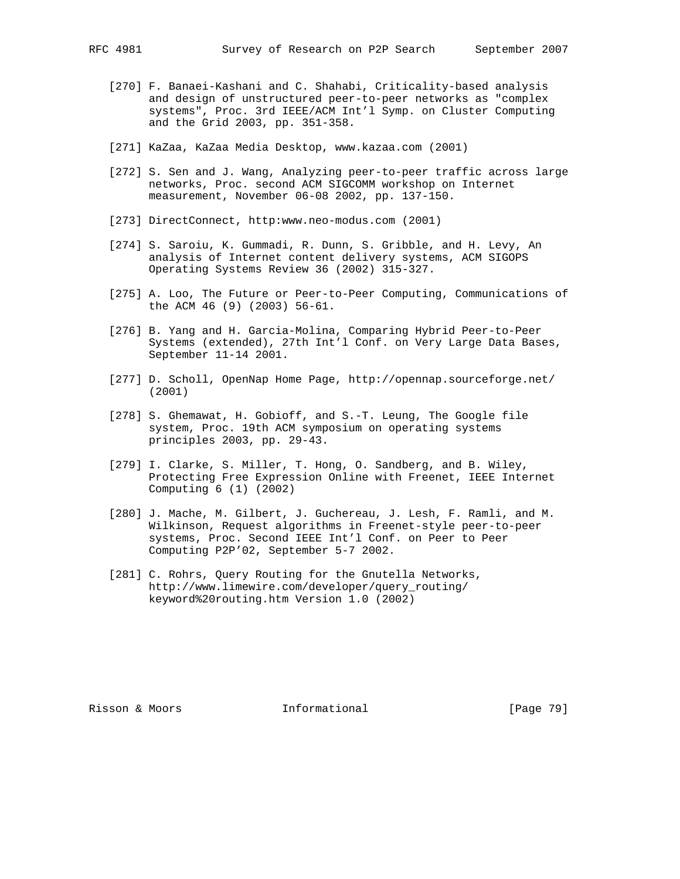- - [270] F. Banaei-Kashani and C. Shahabi, Criticality-based analysis and design of unstructured peer-to-peer networks as "complex systems", Proc. 3rd IEEE/ACM Int'l Symp. on Cluster Computing and the Grid 2003, pp. 351-358.
	- [271] KaZaa, KaZaa Media Desktop, www.kazaa.com (2001)
	- [272] S. Sen and J. Wang, Analyzing peer-to-peer traffic across large networks, Proc. second ACM SIGCOMM workshop on Internet measurement, November 06-08 2002, pp. 137-150.
	- [273] DirectConnect, http:www.neo-modus.com (2001)
	- [274] S. Saroiu, K. Gummadi, R. Dunn, S. Gribble, and H. Levy, An analysis of Internet content delivery systems, ACM SIGOPS Operating Systems Review 36 (2002) 315-327.
	- [275] A. Loo, The Future or Peer-to-Peer Computing, Communications of the ACM 46 (9) (2003) 56-61.
	- [276] B. Yang and H. Garcia-Molina, Comparing Hybrid Peer-to-Peer Systems (extended), 27th Int'l Conf. on Very Large Data Bases, September 11-14 2001.
	- [277] D. Scholl, OpenNap Home Page, http://opennap.sourceforge.net/ (2001)
	- [278] S. Ghemawat, H. Gobioff, and S.-T. Leung, The Google file system, Proc. 19th ACM symposium on operating systems principles 2003, pp. 29-43.
	- [279] I. Clarke, S. Miller, T. Hong, O. Sandberg, and B. Wiley, Protecting Free Expression Online with Freenet, IEEE Internet Computing 6 (1) (2002)
	- [280] J. Mache, M. Gilbert, J. Guchereau, J. Lesh, F. Ramli, and M. Wilkinson, Request algorithms in Freenet-style peer-to-peer systems, Proc. Second IEEE Int'l Conf. on Peer to Peer Computing P2P'02, September 5-7 2002.
	- [281] C. Rohrs, Query Routing for the Gnutella Networks, http://www.limewire.com/developer/query\_routing/ keyword%20routing.htm Version 1.0 (2002)

Risson & Moors **Informational** [Page 79]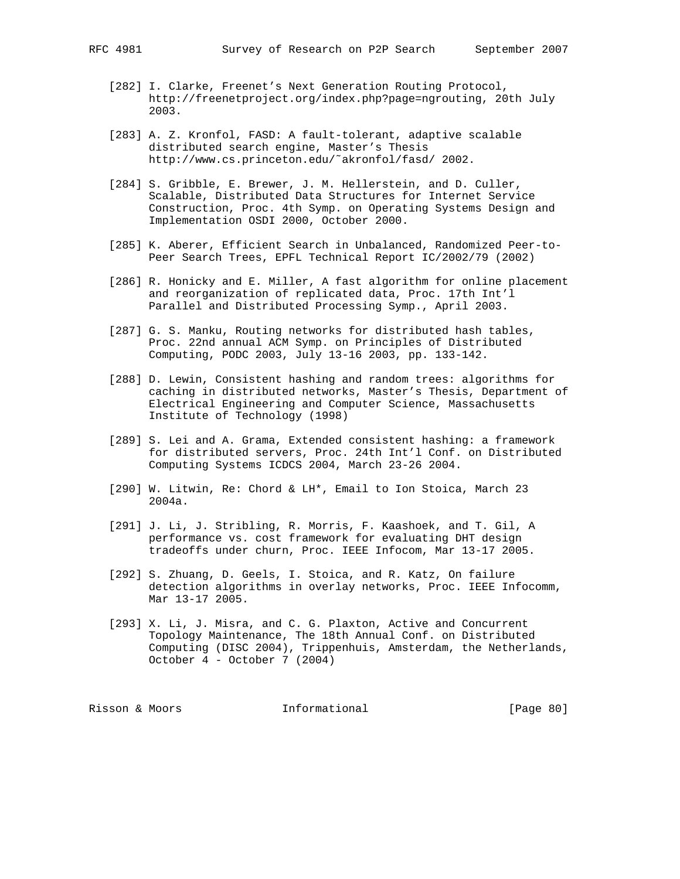- [282] I. Clarke, Freenet's Next Generation Routing Protocol, http://freenetproject.org/index.php?page=ngrouting, 20th July 2003.
- [283] A. Z. Kronfol, FASD: A fault-tolerant, adaptive scalable distributed search engine, Master's Thesis http://www.cs.princeton.edu/˜akronfol/fasd/ 2002.
- [284] S. Gribble, E. Brewer, J. M. Hellerstein, and D. Culler, Scalable, Distributed Data Structures for Internet Service Construction, Proc. 4th Symp. on Operating Systems Design and Implementation OSDI 2000, October 2000.
- [285] K. Aberer, Efficient Search in Unbalanced, Randomized Peer-to- Peer Search Trees, EPFL Technical Report IC/2002/79 (2002)
- [286] R. Honicky and E. Miller, A fast algorithm for online placement and reorganization of replicated data, Proc. 17th Int'l Parallel and Distributed Processing Symp., April 2003.
- [287] G. S. Manku, Routing networks for distributed hash tables, Proc. 22nd annual ACM Symp. on Principles of Distributed Computing, PODC 2003, July 13-16 2003, pp. 133-142.
- [288] D. Lewin, Consistent hashing and random trees: algorithms for caching in distributed networks, Master's Thesis, Department of Electrical Engineering and Computer Science, Massachusetts Institute of Technology (1998)
- [289] S. Lei and A. Grama, Extended consistent hashing: a framework for distributed servers, Proc. 24th Int'l Conf. on Distributed Computing Systems ICDCS 2004, March 23-26 2004.
- [290] W. Litwin, Re: Chord & LH\*, Email to Ion Stoica, March 23 2004a.
- [291] J. Li, J. Stribling, R. Morris, F. Kaashoek, and T. Gil, A performance vs. cost framework for evaluating DHT design tradeoffs under churn, Proc. IEEE Infocom, Mar 13-17 2005.
- [292] S. Zhuang, D. Geels, I. Stoica, and R. Katz, On failure detection algorithms in overlay networks, Proc. IEEE Infocomm, Mar 13-17 2005.
- [293] X. Li, J. Misra, and C. G. Plaxton, Active and Concurrent Topology Maintenance, The 18th Annual Conf. on Distributed Computing (DISC 2004), Trippenhuis, Amsterdam, the Netherlands, October 4 - October 7 (2004)

| Risson & Moors |  |  | Informational | [Page 80] |  |  |
|----------------|--|--|---------------|-----------|--|--|
|----------------|--|--|---------------|-----------|--|--|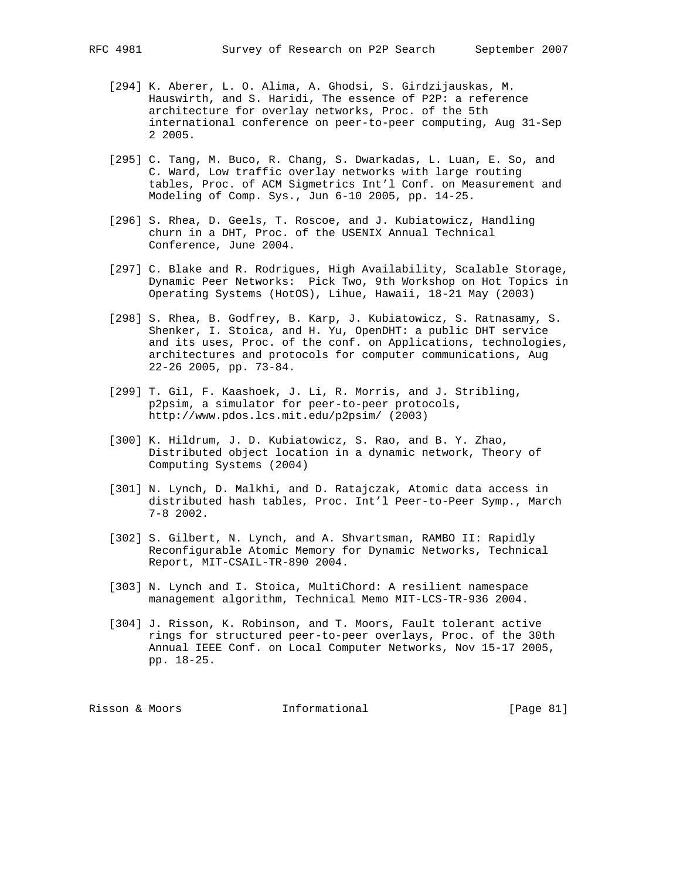- [294] K. Aberer, L. O. Alima, A. Ghodsi, S. Girdzijauskas, M. Hauswirth, and S. Haridi, The essence of P2P: a reference architecture for overlay networks, Proc. of the 5th international conference on peer-to-peer computing, Aug 31-Sep 2 2005.
- [295] C. Tang, M. Buco, R. Chang, S. Dwarkadas, L. Luan, E. So, and C. Ward, Low traffic overlay networks with large routing tables, Proc. of ACM Sigmetrics Int'l Conf. on Measurement and Modeling of Comp. Sys., Jun 6-10 2005, pp. 14-25.
- [296] S. Rhea, D. Geels, T. Roscoe, and J. Kubiatowicz, Handling churn in a DHT, Proc. of the USENIX Annual Technical Conference, June 2004.
- [297] C. Blake and R. Rodrigues, High Availability, Scalable Storage, Dynamic Peer Networks: Pick Two, 9th Workshop on Hot Topics in Operating Systems (HotOS), Lihue, Hawaii, 18-21 May (2003)
- [298] S. Rhea, B. Godfrey, B. Karp, J. Kubiatowicz, S. Ratnasamy, S. Shenker, I. Stoica, and H. Yu, OpenDHT: a public DHT service and its uses, Proc. of the conf. on Applications, technologies, architectures and protocols for computer communications, Aug 22-26 2005, pp. 73-84.
- [299] T. Gil, F. Kaashoek, J. Li, R. Morris, and J. Stribling, p2psim, a simulator for peer-to-peer protocols, http://www.pdos.lcs.mit.edu/p2psim/ (2003)
- [300] K. Hildrum, J. D. Kubiatowicz, S. Rao, and B. Y. Zhao, Distributed object location in a dynamic network, Theory of Computing Systems (2004)
- [301] N. Lynch, D. Malkhi, and D. Ratajczak, Atomic data access in distributed hash tables, Proc. Int'l Peer-to-Peer Symp., March 7-8 2002.
- [302] S. Gilbert, N. Lynch, and A. Shvartsman, RAMBO II: Rapidly Reconfigurable Atomic Memory for Dynamic Networks, Technical Report, MIT-CSAIL-TR-890 2004.
- [303] N. Lynch and I. Stoica, MultiChord: A resilient namespace management algorithm, Technical Memo MIT-LCS-TR-936 2004.
- [304] J. Risson, K. Robinson, and T. Moors, Fault tolerant active rings for structured peer-to-peer overlays, Proc. of the 30th Annual IEEE Conf. on Local Computer Networks, Nov 15-17 2005, pp. 18-25.

Risson & Moors **Informational** [Page 81]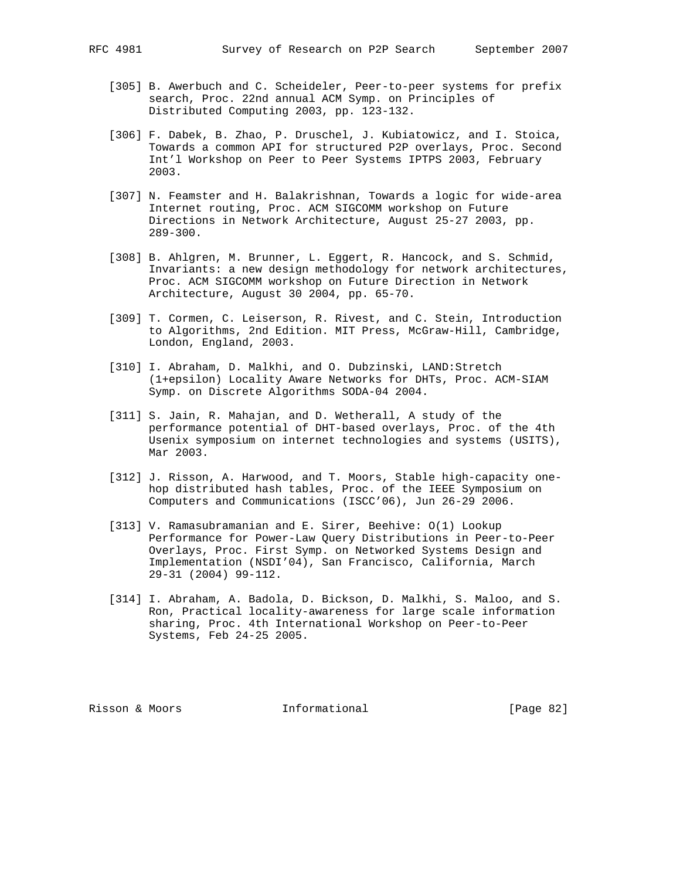- [305] B. Awerbuch and C. Scheideler, Peer-to-peer systems for prefix search, Proc. 22nd annual ACM Symp. on Principles of Distributed Computing 2003, pp. 123-132.
- [306] F. Dabek, B. Zhao, P. Druschel, J. Kubiatowicz, and I. Stoica, Towards a common API for structured P2P overlays, Proc. Second Int'l Workshop on Peer to Peer Systems IPTPS 2003, February 2003.
- [307] N. Feamster and H. Balakrishnan, Towards a logic for wide-area Internet routing, Proc. ACM SIGCOMM workshop on Future Directions in Network Architecture, August 25-27 2003, pp. 289-300.
- [308] B. Ahlgren, M. Brunner, L. Eggert, R. Hancock, and S. Schmid, Invariants: a new design methodology for network architectures, Proc. ACM SIGCOMM workshop on Future Direction in Network Architecture, August 30 2004, pp. 65-70.
- [309] T. Cormen, C. Leiserson, R. Rivest, and C. Stein, Introduction to Algorithms, 2nd Edition. MIT Press, McGraw-Hill, Cambridge, London, England, 2003.
- [310] I. Abraham, D. Malkhi, and O. Dubzinski, LAND:Stretch (1+epsilon) Locality Aware Networks for DHTs, Proc. ACM-SIAM Symp. on Discrete Algorithms SODA-04 2004.
- [311] S. Jain, R. Mahajan, and D. Wetherall, A study of the performance potential of DHT-based overlays, Proc. of the 4th Usenix symposium on internet technologies and systems (USITS), Mar 2003.
- [312] J. Risson, A. Harwood, and T. Moors, Stable high-capacity one hop distributed hash tables, Proc. of the IEEE Symposium on Computers and Communications (ISCC'06), Jun 26-29 2006.
- [313] V. Ramasubramanian and E. Sirer, Beehive: O(1) Lookup Performance for Power-Law Query Distributions in Peer-to-Peer Overlays, Proc. First Symp. on Networked Systems Design and Implementation (NSDI'04), San Francisco, California, March 29-31 (2004) 99-112.
- [314] I. Abraham, A. Badola, D. Bickson, D. Malkhi, S. Maloo, and S. Ron, Practical locality-awareness for large scale information sharing, Proc. 4th International Workshop on Peer-to-Peer Systems, Feb 24-25 2005.

Risson & Moors **Informational** [Page 82]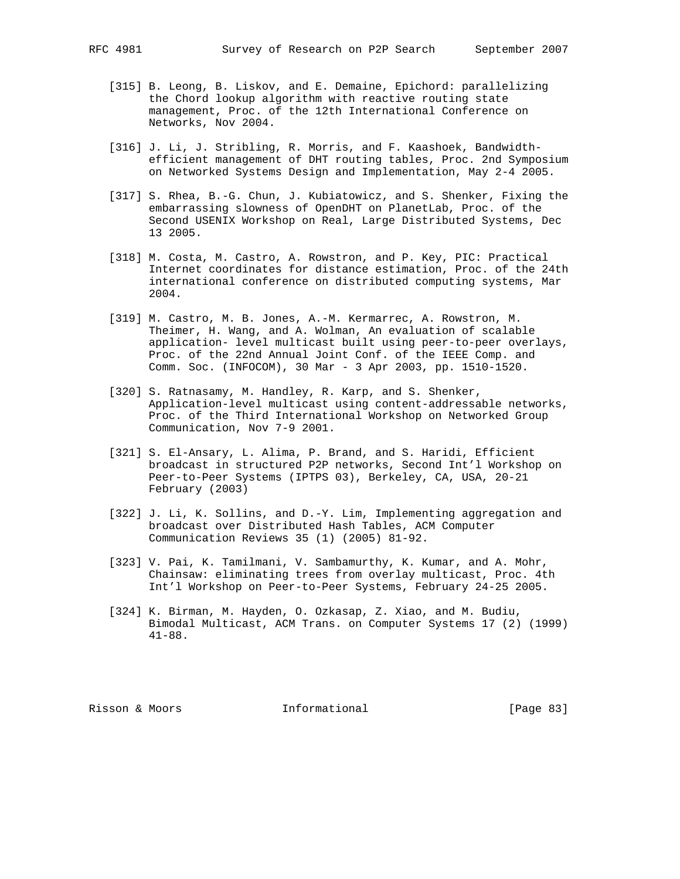- [315] B. Leong, B. Liskov, and E. Demaine, Epichord: parallelizing the Chord lookup algorithm with reactive routing state management, Proc. of the 12th International Conference on Networks, Nov 2004.
- [316] J. Li, J. Stribling, R. Morris, and F. Kaashoek, Bandwidth efficient management of DHT routing tables, Proc. 2nd Symposium on Networked Systems Design and Implementation, May 2-4 2005.
- [317] S. Rhea, B.-G. Chun, J. Kubiatowicz, and S. Shenker, Fixing the embarrassing slowness of OpenDHT on PlanetLab, Proc. of the Second USENIX Workshop on Real, Large Distributed Systems, Dec 13 2005.
- [318] M. Costa, M. Castro, A. Rowstron, and P. Key, PIC: Practical Internet coordinates for distance estimation, Proc. of the 24th international conference on distributed computing systems, Mar 2004.
- [319] M. Castro, M. B. Jones, A.-M. Kermarrec, A. Rowstron, M. Theimer, H. Wang, and A. Wolman, An evaluation of scalable application- level multicast built using peer-to-peer overlays, Proc. of the 22nd Annual Joint Conf. of the IEEE Comp. and Comm. Soc. (INFOCOM), 30 Mar - 3 Apr 2003, pp. 1510-1520.
- [320] S. Ratnasamy, M. Handley, R. Karp, and S. Shenker, Application-level multicast using content-addressable networks, Proc. of the Third International Workshop on Networked Group Communication, Nov 7-9 2001.
- [321] S. El-Ansary, L. Alima, P. Brand, and S. Haridi, Efficient broadcast in structured P2P networks, Second Int'l Workshop on Peer-to-Peer Systems (IPTPS 03), Berkeley, CA, USA, 20-21 February (2003)
- [322] J. Li, K. Sollins, and D.-Y. Lim, Implementing aggregation and broadcast over Distributed Hash Tables, ACM Computer Communication Reviews 35 (1) (2005) 81-92.
- [323] V. Pai, K. Tamilmani, V. Sambamurthy, K. Kumar, and A. Mohr, Chainsaw: eliminating trees from overlay multicast, Proc. 4th Int'l Workshop on Peer-to-Peer Systems, February 24-25 2005.
- [324] K. Birman, M. Hayden, O. Ozkasap, Z. Xiao, and M. Budiu, Bimodal Multicast, ACM Trans. on Computer Systems 17 (2) (1999) 41-88.

Risson & Moors **Informational** [Page 83]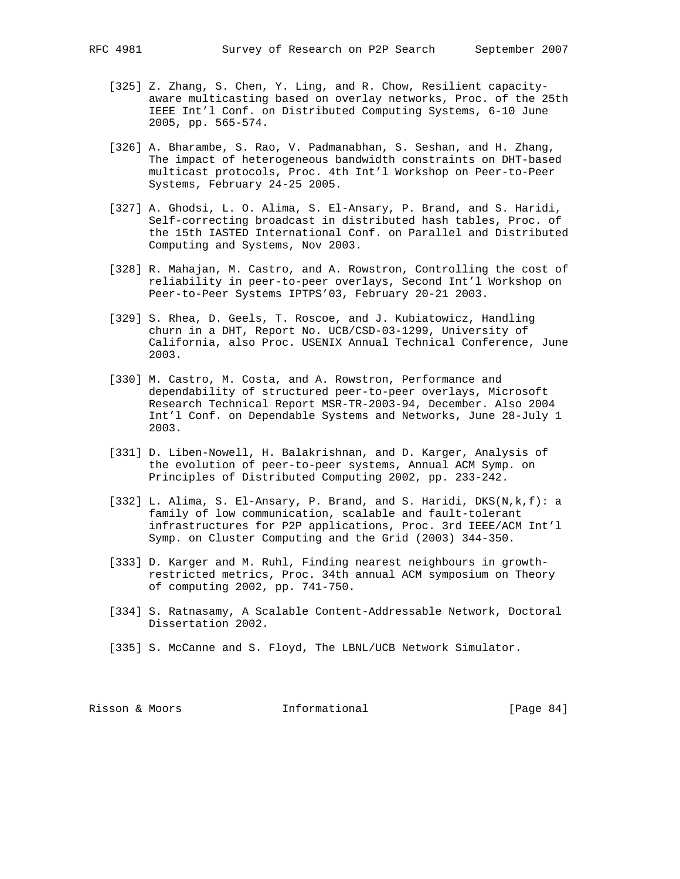- [325] Z. Zhang, S. Chen, Y. Ling, and R. Chow, Resilient capacity aware multicasting based on overlay networks, Proc. of the 25th IEEE Int'l Conf. on Distributed Computing Systems, 6-10 June 2005, pp. 565-574.
- [326] A. Bharambe, S. Rao, V. Padmanabhan, S. Seshan, and H. Zhang, The impact of heterogeneous bandwidth constraints on DHT-based multicast protocols, Proc. 4th Int'l Workshop on Peer-to-Peer Systems, February 24-25 2005.
- [327] A. Ghodsi, L. O. Alima, S. El-Ansary, P. Brand, and S. Haridi, Self-correcting broadcast in distributed hash tables, Proc. of the 15th IASTED International Conf. on Parallel and Distributed Computing and Systems, Nov 2003.
- [328] R. Mahajan, M. Castro, and A. Rowstron, Controlling the cost of reliability in peer-to-peer overlays, Second Int'l Workshop on Peer-to-Peer Systems IPTPS'03, February 20-21 2003.
- [329] S. Rhea, D. Geels, T. Roscoe, and J. Kubiatowicz, Handling churn in a DHT, Report No. UCB/CSD-03-1299, University of California, also Proc. USENIX Annual Technical Conference, June 2003.
- [330] M. Castro, M. Costa, and A. Rowstron, Performance and dependability of structured peer-to-peer overlays, Microsoft Research Technical Report MSR-TR-2003-94, December. Also 2004 Int'l Conf. on Dependable Systems and Networks, June 28-July 1 2003.
- [331] D. Liben-Nowell, H. Balakrishnan, and D. Karger, Analysis of the evolution of peer-to-peer systems, Annual ACM Symp. on Principles of Distributed Computing 2002, pp. 233-242.
- [332] L. Alima, S. El-Ansary, P. Brand, and S. Haridi, DKS(N,k,f): a family of low communication, scalable and fault-tolerant infrastructures for P2P applications, Proc. 3rd IEEE/ACM Int'l Symp. on Cluster Computing and the Grid (2003) 344-350.
- [333] D. Karger and M. Ruhl, Finding nearest neighbours in growth restricted metrics, Proc. 34th annual ACM symposium on Theory of computing 2002, pp. 741-750.
- [334] S. Ratnasamy, A Scalable Content-Addressable Network, Doctoral Dissertation 2002.
- [335] S. McCanne and S. Floyd, The LBNL/UCB Network Simulator.

Risson & Moors **Informational** [Page 84]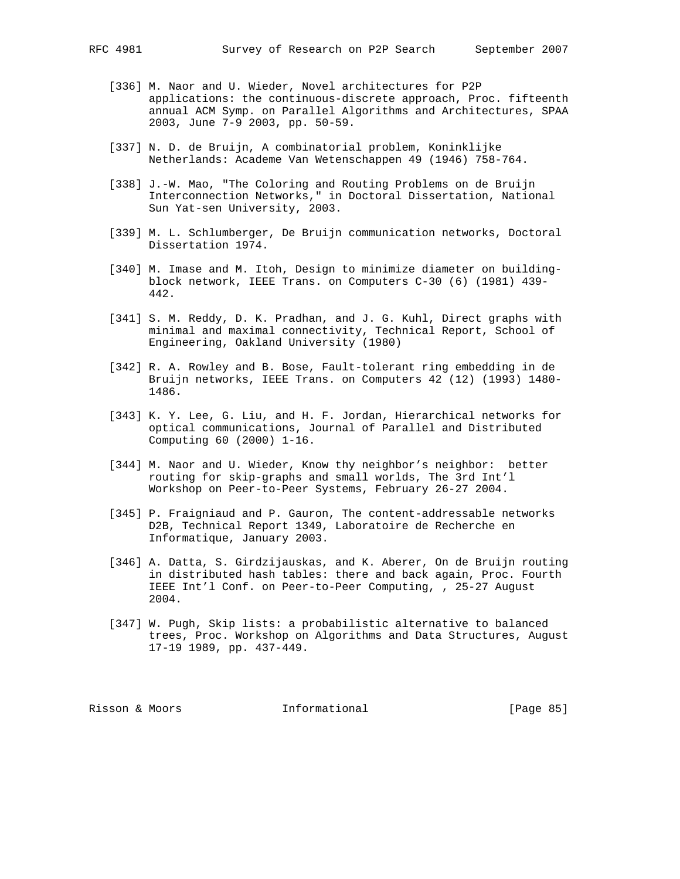- [336] M. Naor and U. Wieder, Novel architectures for P2P applications: the continuous-discrete approach, Proc. fifteenth annual ACM Symp. on Parallel Algorithms and Architectures, SPAA 2003, June 7-9 2003, pp. 50-59.
- [337] N. D. de Bruijn, A combinatorial problem, Koninklijke Netherlands: Academe Van Wetenschappen 49 (1946) 758-764.
- [338] J.-W. Mao, "The Coloring and Routing Problems on de Bruijn Interconnection Networks," in Doctoral Dissertation, National Sun Yat-sen University, 2003.
- [339] M. L. Schlumberger, De Bruijn communication networks, Doctoral Dissertation 1974.
- [340] M. Imase and M. Itoh, Design to minimize diameter on building block network, IEEE Trans. on Computers C-30 (6) (1981) 439- 442.
- [341] S. M. Reddy, D. K. Pradhan, and J. G. Kuhl, Direct graphs with minimal and maximal connectivity, Technical Report, School of Engineering, Oakland University (1980)
- [342] R. A. Rowley and B. Bose, Fault-tolerant ring embedding in de Bruijn networks, IEEE Trans. on Computers 42 (12) (1993) 1480- 1486.
- [343] K. Y. Lee, G. Liu, and H. F. Jordan, Hierarchical networks for optical communications, Journal of Parallel and Distributed Computing 60 (2000) 1-16.
- [344] M. Naor and U. Wieder, Know thy neighbor's neighbor: better routing for skip-graphs and small worlds, The 3rd Int'l Workshop on Peer-to-Peer Systems, February 26-27 2004.
- [345] P. Fraigniaud and P. Gauron, The content-addressable networks D2B, Technical Report 1349, Laboratoire de Recherche en Informatique, January 2003.
- [346] A. Datta, S. Girdzijauskas, and K. Aberer, On de Bruijn routing in distributed hash tables: there and back again, Proc. Fourth IEEE Int'l Conf. on Peer-to-Peer Computing, , 25-27 August 2004.
- [347] W. Pugh, Skip lists: a probabilistic alternative to balanced trees, Proc. Workshop on Algorithms and Data Structures, August 17-19 1989, pp. 437-449.

Risson & Moors **Informational** [Page 85]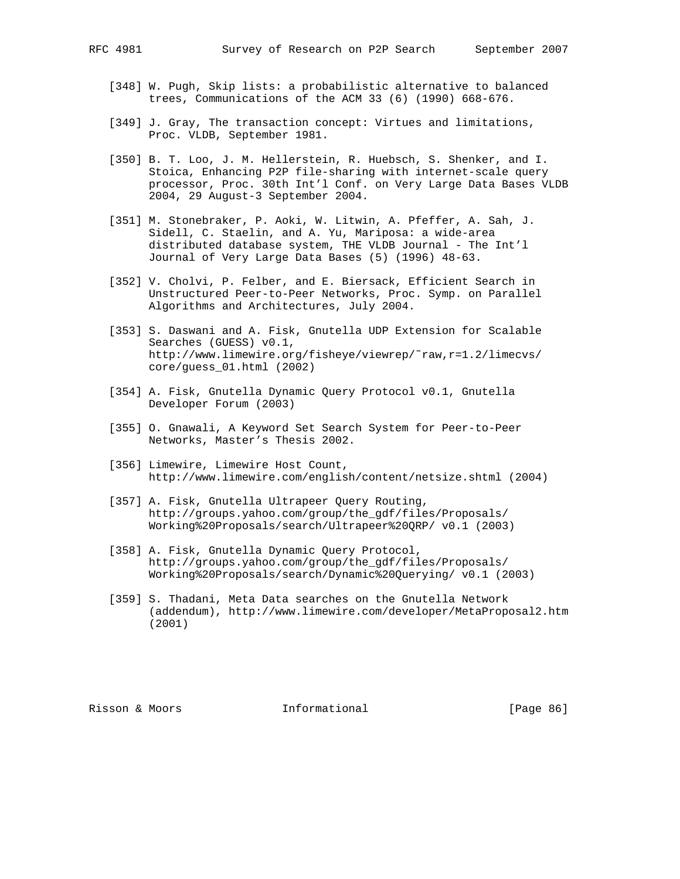- [348] W. Pugh, Skip lists: a probabilistic alternative to balanced trees, Communications of the ACM 33 (6) (1990) 668-676.
- [349] J. Gray, The transaction concept: Virtues and limitations, Proc. VLDB, September 1981.
- [350] B. T. Loo, J. M. Hellerstein, R. Huebsch, S. Shenker, and I. Stoica, Enhancing P2P file-sharing with internet-scale query processor, Proc. 30th Int'l Conf. on Very Large Data Bases VLDB 2004, 29 August-3 September 2004.
- [351] M. Stonebraker, P. Aoki, W. Litwin, A. Pfeffer, A. Sah, J. Sidell, C. Staelin, and A. Yu, Mariposa: a wide-area distributed database system, THE VLDB Journal - The Int'l Journal of Very Large Data Bases (5) (1996) 48-63.
- [352] V. Cholvi, P. Felber, and E. Biersack, Efficient Search in Unstructured Peer-to-Peer Networks, Proc. Symp. on Parallel Algorithms and Architectures, July 2004.
- [353] S. Daswani and A. Fisk, Gnutella UDP Extension for Scalable Searches (GUESS) v0.1, http://www.limewire.org/fisheye/viewrep/˜raw,r=1.2/limecvs/ core/guess\_01.html (2002)
- [354] A. Fisk, Gnutella Dynamic Query Protocol v0.1, Gnutella Developer Forum (2003)
- [355] O. Gnawali, A Keyword Set Search System for Peer-to-Peer Networks, Master's Thesis 2002.
- [356] Limewire, Limewire Host Count, http://www.limewire.com/english/content/netsize.shtml (2004)
- [357] A. Fisk, Gnutella Ultrapeer Query Routing, http://groups.yahoo.com/group/the\_gdf/files/Proposals/ Working%20Proposals/search/Ultrapeer%20QRP/ v0.1 (2003)
- [358] A. Fisk, Gnutella Dynamic Query Protocol, http://groups.yahoo.com/group/the\_gdf/files/Proposals/ Working%20Proposals/search/Dynamic%20Querying/ v0.1 (2003)
- [359] S. Thadani, Meta Data searches on the Gnutella Network (addendum), http://www.limewire.com/developer/MetaProposal2.htm (2001)

Risson & Moors **Informational** [Page 86]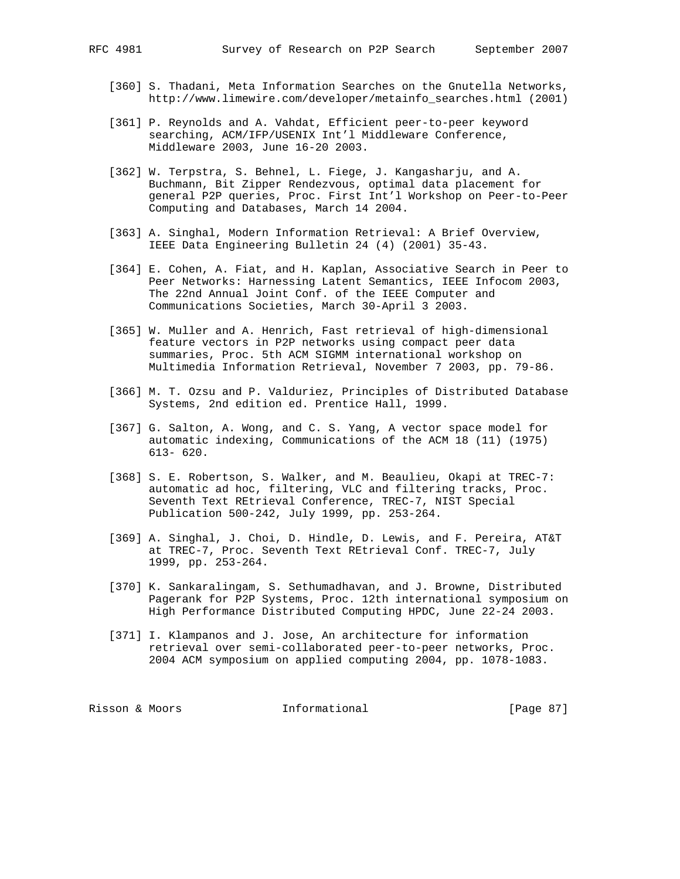- [360] S. Thadani, Meta Information Searches on the Gnutella Networks, http://www.limewire.com/developer/metainfo\_searches.html (2001)
- [361] P. Reynolds and A. Vahdat, Efficient peer-to-peer keyword searching, ACM/IFP/USENIX Int'l Middleware Conference, Middleware 2003, June 16-20 2003.
- [362] W. Terpstra, S. Behnel, L. Fiege, J. Kangasharju, and A. Buchmann, Bit Zipper Rendezvous, optimal data placement for general P2P queries, Proc. First Int'l Workshop on Peer-to-Peer Computing and Databases, March 14 2004.
- [363] A. Singhal, Modern Information Retrieval: A Brief Overview, IEEE Data Engineering Bulletin 24 (4) (2001) 35-43.
- [364] E. Cohen, A. Fiat, and H. Kaplan, Associative Search in Peer to Peer Networks: Harnessing Latent Semantics, IEEE Infocom 2003, The 22nd Annual Joint Conf. of the IEEE Computer and Communications Societies, March 30-April 3 2003.
- [365] W. Muller and A. Henrich, Fast retrieval of high-dimensional feature vectors in P2P networks using compact peer data summaries, Proc. 5th ACM SIGMM international workshop on Multimedia Information Retrieval, November 7 2003, pp. 79-86.
- [366] M. T. Ozsu and P. Valduriez, Principles of Distributed Database Systems, 2nd edition ed. Prentice Hall, 1999.
- [367] G. Salton, A. Wong, and C. S. Yang, A vector space model for automatic indexing, Communications of the ACM 18 (11) (1975) 613- 620.
- [368] S. E. Robertson, S. Walker, and M. Beaulieu, Okapi at TREC-7: automatic ad hoc, filtering, VLC and filtering tracks, Proc. Seventh Text REtrieval Conference, TREC-7, NIST Special Publication 500-242, July 1999, pp. 253-264.
- [369] A. Singhal, J. Choi, D. Hindle, D. Lewis, and F. Pereira, AT&T at TREC-7, Proc. Seventh Text REtrieval Conf. TREC-7, July 1999, pp. 253-264.
- [370] K. Sankaralingam, S. Sethumadhavan, and J. Browne, Distributed Pagerank for P2P Systems, Proc. 12th international symposium on High Performance Distributed Computing HPDC, June 22-24 2003.
- [371] I. Klampanos and J. Jose, An architecture for information retrieval over semi-collaborated peer-to-peer networks, Proc. 2004 ACM symposium on applied computing 2004, pp. 1078-1083.

Risson & Moors **Informational** [Page 87]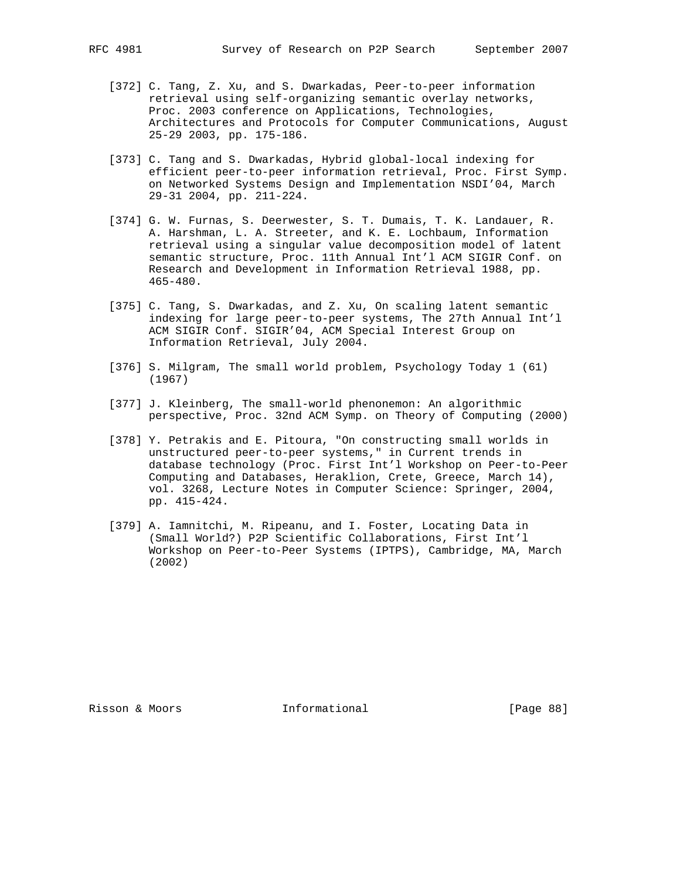- [372] C. Tang, Z. Xu, and S. Dwarkadas, Peer-to-peer information retrieval using self-organizing semantic overlay networks, Proc. 2003 conference on Applications, Technologies, Architectures and Protocols for Computer Communications, August 25-29 2003, pp. 175-186.
- [373] C. Tang and S. Dwarkadas, Hybrid global-local indexing for efficient peer-to-peer information retrieval, Proc. First Symp. on Networked Systems Design and Implementation NSDI'04, March 29-31 2004, pp. 211-224.
- [374] G. W. Furnas, S. Deerwester, S. T. Dumais, T. K. Landauer, R. A. Harshman, L. A. Streeter, and K. E. Lochbaum, Information retrieval using a singular value decomposition model of latent semantic structure, Proc. 11th Annual Int'l ACM SIGIR Conf. on Research and Development in Information Retrieval 1988, pp. 465-480.
- [375] C. Tang, S. Dwarkadas, and Z. Xu, On scaling latent semantic indexing for large peer-to-peer systems, The 27th Annual Int'l ACM SIGIR Conf. SIGIR'04, ACM Special Interest Group on Information Retrieval, July 2004.
- [376] S. Milgram, The small world problem, Psychology Today 1 (61) (1967)
- [377] J. Kleinberg, The small-world phenonemon: An algorithmic perspective, Proc. 32nd ACM Symp. on Theory of Computing (2000)
- [378] Y. Petrakis and E. Pitoura, "On constructing small worlds in unstructured peer-to-peer systems," in Current trends in database technology (Proc. First Int'l Workshop on Peer-to-Peer Computing and Databases, Heraklion, Crete, Greece, March 14), vol. 3268, Lecture Notes in Computer Science: Springer, 2004, pp. 415-424.
- [379] A. Iamnitchi, M. Ripeanu, and I. Foster, Locating Data in (Small World?) P2P Scientific Collaborations, First Int'l Workshop on Peer-to-Peer Systems (IPTPS), Cambridge, MA, March (2002)

Risson & Moors **Informational** [Page 88]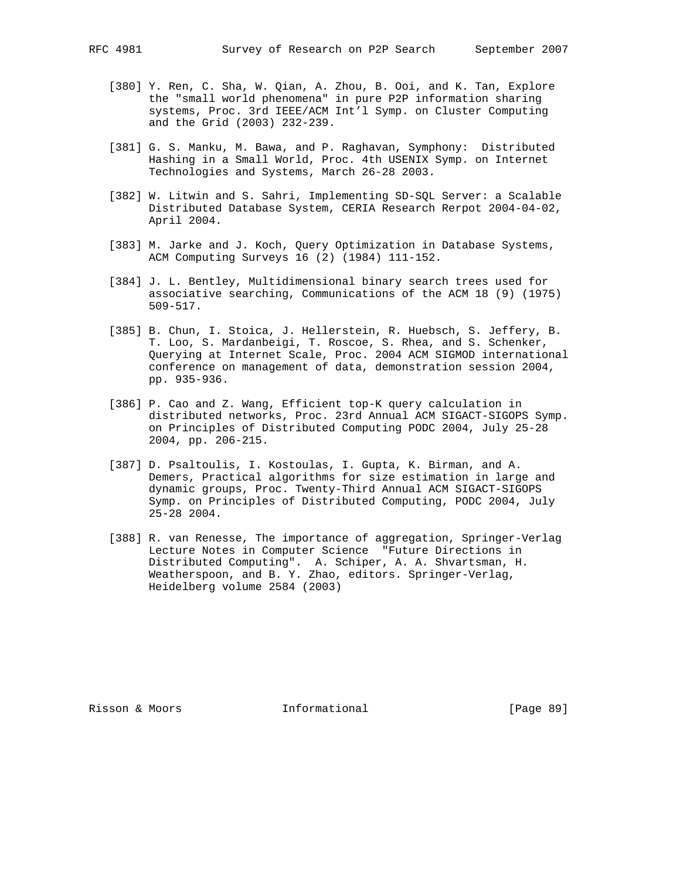- [380] Y. Ren, C. Sha, W. Qian, A. Zhou, B. Ooi, and K. Tan, Explore the "small world phenomena" in pure P2P information sharing systems, Proc. 3rd IEEE/ACM Int'l Symp. on Cluster Computing and the Grid (2003) 232-239.
- [381] G. S. Manku, M. Bawa, and P. Raghavan, Symphony: Distributed Hashing in a Small World, Proc. 4th USENIX Symp. on Internet Technologies and Systems, March 26-28 2003.
- [382] W. Litwin and S. Sahri, Implementing SD-SQL Server: a Scalable Distributed Database System, CERIA Research Rerpot 2004-04-02, April 2004.
- [383] M. Jarke and J. Koch, Query Optimization in Database Systems, ACM Computing Surveys 16 (2) (1984) 111-152.
- [384] J. L. Bentley, Multidimensional binary search trees used for associative searching, Communications of the ACM 18 (9) (1975) 509-517.
- [385] B. Chun, I. Stoica, J. Hellerstein, R. Huebsch, S. Jeffery, B. T. Loo, S. Mardanbeigi, T. Roscoe, S. Rhea, and S. Schenker, Querying at Internet Scale, Proc. 2004 ACM SIGMOD international conference on management of data, demonstration session 2004, pp. 935-936.
- [386] P. Cao and Z. Wang, Efficient top-K query calculation in distributed networks, Proc. 23rd Annual ACM SIGACT-SIGOPS Symp. on Principles of Distributed Computing PODC 2004, July 25-28 2004, pp. 206-215.
- [387] D. Psaltoulis, I. Kostoulas, I. Gupta, K. Birman, and A. Demers, Practical algorithms for size estimation in large and dynamic groups, Proc. Twenty-Third Annual ACM SIGACT-SIGOPS Symp. on Principles of Distributed Computing, PODC 2004, July 25-28 2004.
- [388] R. van Renesse, The importance of aggregation, Springer-Verlag Lecture Notes in Computer Science "Future Directions in Distributed Computing". A. Schiper, A. A. Shvartsman, H. Weatherspoon, and B. Y. Zhao, editors. Springer-Verlag, Heidelberg volume 2584 (2003)

Risson & Moors **Informational** [Page 89]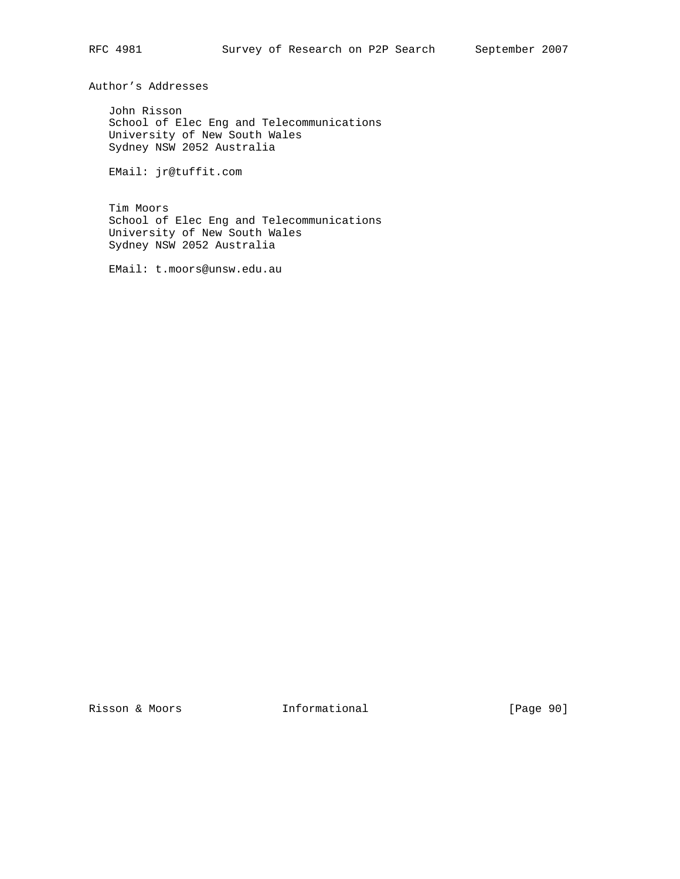Author's Addresses

 John Risson School of Elec Eng and Telecommunications University of New South Wales Sydney NSW 2052 Australia

EMail: jr@tuffit.com

 Tim Moors School of Elec Eng and Telecommunications University of New South Wales Sydney NSW 2052 Australia

EMail: t.moors@unsw.edu.au

Risson & Moors **Informational** [Page 90]